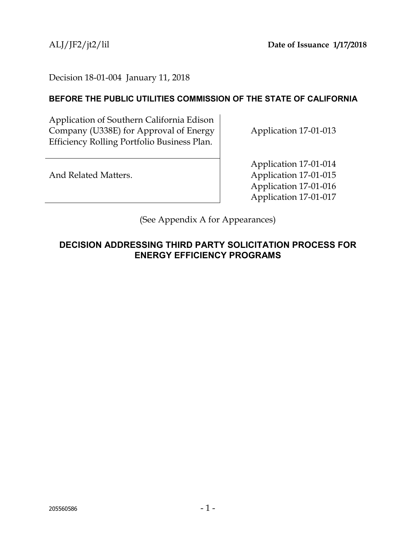### Decision 18-01-004 January 11, 2018

### **BEFORE THE PUBLIC UTILITIES COMMISSION OF THE STATE OF CALIFORNIA**

Application of Southern California Edison Company (U338E) for Approval of Energy Efficiency Rolling Portfolio Business Plan.

Application 17-01-013

And Related Matters.

Application 17-01-014 Application 17-01-015 Application 17-01-016 Application 17-01-017

(See Appendix A for Appearances)

# **DECISION ADDRESSING THIRD PARTY SOLICITATION PROCESS FOR ENERGY EFFICIENCY PROGRAMS**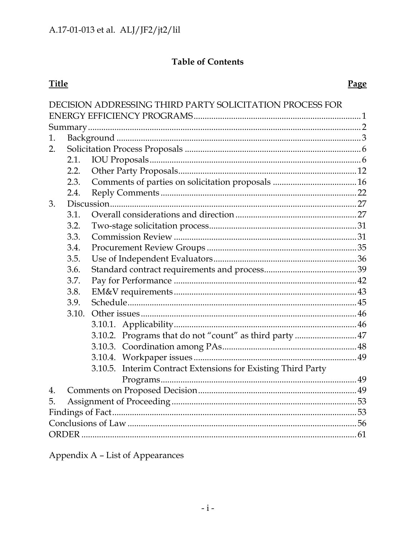# **Table of Contents**

# **Title**

# Page

|    |       | DECISION ADDRESSING THIRD PARTY SOLICITATION PROCESS FOR     |  |  |  |
|----|-------|--------------------------------------------------------------|--|--|--|
|    |       |                                                              |  |  |  |
|    |       |                                                              |  |  |  |
| 1. |       |                                                              |  |  |  |
| 2. |       |                                                              |  |  |  |
|    | 2.1.  |                                                              |  |  |  |
|    | 2.2.  |                                                              |  |  |  |
|    | 2.3.  |                                                              |  |  |  |
|    | 2.4.  |                                                              |  |  |  |
| 3. |       |                                                              |  |  |  |
|    | 3.1.  |                                                              |  |  |  |
|    | 3.2.  |                                                              |  |  |  |
|    | 3.3.  |                                                              |  |  |  |
|    | 3.4.  |                                                              |  |  |  |
|    | 3.5.  |                                                              |  |  |  |
|    | 3.6.  |                                                              |  |  |  |
|    | 3.7.  |                                                              |  |  |  |
|    | 3.8.  |                                                              |  |  |  |
|    | 3.9.  |                                                              |  |  |  |
|    | 3.10. |                                                              |  |  |  |
|    |       |                                                              |  |  |  |
|    |       | 3.10.2. Programs that do not "count" as third party  47      |  |  |  |
|    |       |                                                              |  |  |  |
|    |       |                                                              |  |  |  |
|    |       | 3.10.5. Interim Contract Extensions for Existing Third Party |  |  |  |
|    |       |                                                              |  |  |  |
| 4. |       |                                                              |  |  |  |
| 5. |       |                                                              |  |  |  |
|    |       |                                                              |  |  |  |
|    |       |                                                              |  |  |  |
|    |       |                                                              |  |  |  |

Appendix A - List of Appearances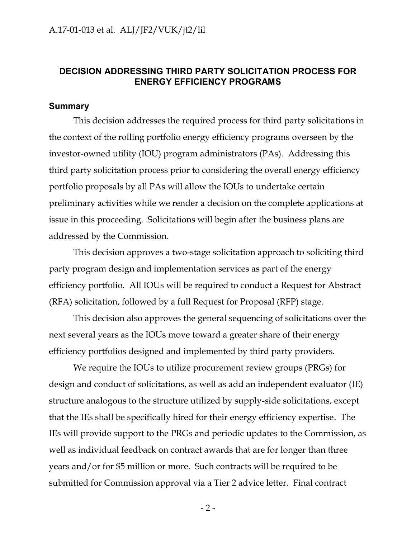#### <span id="page-2-0"></span>**DECISION ADDRESSING THIRD PARTY SOLICITATION PROCESS FOR ENERGY EFFICIENCY PROGRAMS**

#### <span id="page-2-1"></span>**Summary**

This decision addresses the required process for third party solicitations in the context of the rolling portfolio energy efficiency programs overseen by the investor-owned utility (IOU) program administrators (PAs). Addressing this third party solicitation process prior to considering the overall energy efficiency portfolio proposals by all PAs will allow the IOUs to undertake certain preliminary activities while we render a decision on the complete applications at issue in this proceeding. Solicitations will begin after the business plans are addressed by the Commission.

This decision approves a two-stage solicitation approach to soliciting third party program design and implementation services as part of the energy efficiency portfolio. All IOUs will be required to conduct a Request for Abstract (RFA) solicitation, followed by a full Request for Proposal (RFP) stage.

This decision also approves the general sequencing of solicitations over the next several years as the IOUs move toward a greater share of their energy efficiency portfolios designed and implemented by third party providers.

We require the IOUs to utilize procurement review groups (PRGs) for design and conduct of solicitations, as well as add an independent evaluator (IE) structure analogous to the structure utilized by supply-side solicitations, except that the IEs shall be specifically hired for their energy efficiency expertise. The IEs will provide support to the PRGs and periodic updates to the Commission, as well as individual feedback on contract awards that are for longer than three years and/or for \$5 million or more. Such contracts will be required to be submitted for Commission approval via a Tier 2 advice letter. Final contract

 $-2-$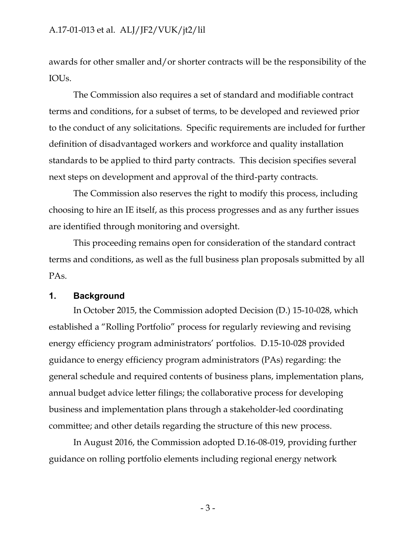awards for other smaller and/or shorter contracts will be the responsibility of the IOUs.

The Commission also requires a set of standard and modifiable contract terms and conditions, for a subset of terms, to be developed and reviewed prior to the conduct of any solicitations. Specific requirements are included for further definition of disadvantaged workers and workforce and quality installation standards to be applied to third party contracts. This decision specifies several next steps on development and approval of the third-party contracts.

The Commission also reserves the right to modify this process, including choosing to hire an IE itself, as this process progresses and as any further issues are identified through monitoring and oversight.

This proceeding remains open for consideration of the standard contract terms and conditions, as well as the full business plan proposals submitted by all PAs.

### <span id="page-3-0"></span>**1. Background**

In October 2015, the Commission adopted Decision (D.) 15-10-028, which established a "Rolling Portfolio" process for regularly reviewing and revising energy efficiency program administrators' portfolios. D.15-10-028 provided guidance to energy efficiency program administrators (PAs) regarding: the general schedule and required contents of business plans, implementation plans, annual budget advice letter filings; the collaborative process for developing business and implementation plans through a stakeholder-led coordinating committee; and other details regarding the structure of this new process.

In August 2016, the Commission adopted D.16-08-019, providing further guidance on rolling portfolio elements including regional energy network

- 3 -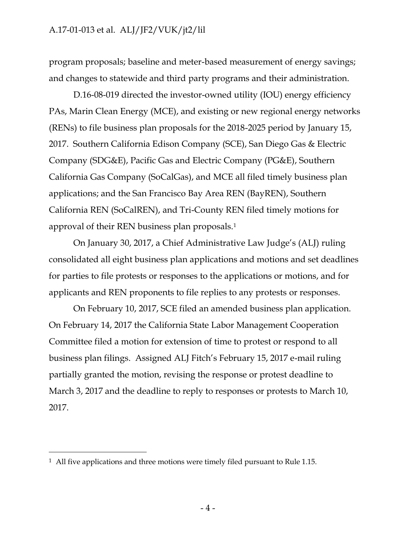program proposals; baseline and meter-based measurement of energy savings; and changes to statewide and third party programs and their administration.

D.16-08-019 directed the investor-owned utility (IOU) energy efficiency PAs, Marin Clean Energy (MCE), and existing or new regional energy networks (RENs) to file business plan proposals for the 2018-2025 period by January 15, 2017. Southern California Edison Company (SCE), San Diego Gas & Electric Company (SDG&E), Pacific Gas and Electric Company (PG&E), Southern California Gas Company (SoCalGas), and MCE all filed timely business plan applications; and the San Francisco Bay Area REN (BayREN), Southern California REN (SoCalREN), and Tri-County REN filed timely motions for approval of their REN business plan proposals.<sup>1</sup>

On January 30, 2017, a Chief Administrative Law Judge's (ALJ) ruling consolidated all eight business plan applications and motions and set deadlines for parties to file protests or responses to the applications or motions, and for applicants and REN proponents to file replies to any protests or responses.

On February 10, 2017, SCE filed an amended business plan application. On February 14, 2017 the California State Labor Management Cooperation Committee filed a motion for extension of time to protest or respond to all business plan filings. Assigned ALJ Fitch's February 15, 2017 e-mail ruling partially granted the motion, revising the response or protest deadline to March 3, 2017 and the deadline to reply to responses or protests to March 10, 2017.

 $\overline{a}$ 

<sup>&</sup>lt;sup>1</sup> All five applications and three motions were timely filed pursuant to Rule 1.15.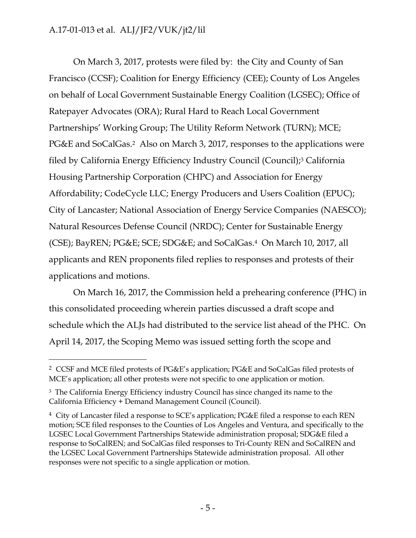$\overline{a}$ 

On March 3, 2017, protests were filed by: the City and County of San Francisco (CCSF); Coalition for Energy Efficiency (CEE); County of Los Angeles on behalf of Local Government Sustainable Energy Coalition (LGSEC); Office of Ratepayer Advocates (ORA); Rural Hard to Reach Local Government Partnerships' Working Group; The Utility Reform Network (TURN); MCE; PG&E and SoCalGas.<sup>2</sup> Also on March 3, 2017, responses to the applications were filed by California Energy Efficiency Industry Council (Council);<sup>3</sup> California Housing Partnership Corporation (CHPC) and Association for Energy Affordability; CodeCycle LLC; Energy Producers and Users Coalition (EPUC); City of Lancaster; National Association of Energy Service Companies (NAESCO); Natural Resources Defense Council (NRDC); Center for Sustainable Energy (CSE); BayREN; PG&E; SCE; SDG&E; and SoCalGas. <sup>4</sup> On March 10, 2017, all applicants and REN proponents filed replies to responses and protests of their applications and motions.

On March 16, 2017, the Commission held a prehearing conference (PHC) in this consolidated proceeding wherein parties discussed a draft scope and schedule which the ALJs had distributed to the service list ahead of the PHC. On April 14, 2017, the Scoping Memo was issued setting forth the scope and

<sup>2</sup> CCSF and MCE filed protests of PG&E's application; PG&E and SoCalGas filed protests of MCE's application; all other protests were not specific to one application or motion.

<sup>3</sup> The California Energy Efficiency industry Council has since changed its name to the California Efficiency + Demand Management Council (Council).

<sup>&</sup>lt;sup>4</sup> City of Lancaster filed a response to SCE's application; PG&E filed a response to each REN motion; SCE filed responses to the Counties of Los Angeles and Ventura, and specifically to the LGSEC Local Government Partnerships Statewide administration proposal; SDG&E filed a response to SoCalREN; and SoCalGas filed responses to Tri-County REN and SoCalREN and the LGSEC Local Government Partnerships Statewide administration proposal. All other responses were not specific to a single application or motion.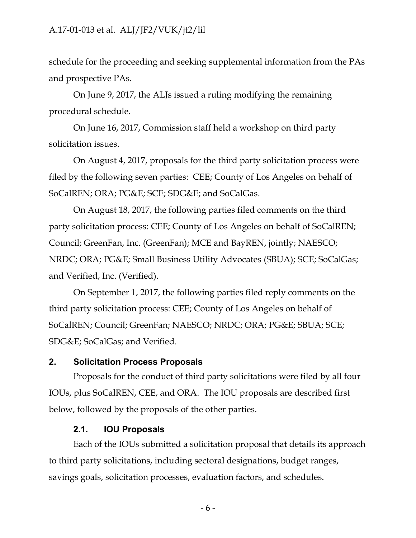schedule for the proceeding and seeking supplemental information from the PAs and prospective PAs.

On June 9, 2017, the ALJs issued a ruling modifying the remaining procedural schedule.

On June 16, 2017, Commission staff held a workshop on third party solicitation issues.

On August 4, 2017, proposals for the third party solicitation process were filed by the following seven parties: CEE; County of Los Angeles on behalf of SoCalREN; ORA; PG&E; SCE; SDG&E; and SoCalGas.

On August 18, 2017, the following parties filed comments on the third party solicitation process: CEE; County of Los Angeles on behalf of SoCalREN; Council; GreenFan, Inc. (GreenFan); MCE and BayREN, jointly; NAESCO; NRDC; ORA; PG&E; Small Business Utility Advocates (SBUA); SCE; SoCalGas; and Verified, Inc. (Verified).

On September 1, 2017, the following parties filed reply comments on the third party solicitation process: CEE; County of Los Angeles on behalf of SoCalREN; Council; GreenFan; NAESCO; NRDC; ORA; PG&E; SBUA; SCE; SDG&E; SoCalGas; and Verified.

#### <span id="page-6-0"></span>**2. Solicitation Process Proposals**

Proposals for the conduct of third party solicitations were filed by all four IOUs, plus SoCalREN, CEE, and ORA. The IOU proposals are described first below, followed by the proposals of the other parties.

#### **2.1. IOU Proposals**

<span id="page-6-1"></span>Each of the IOUs submitted a solicitation proposal that details its approach to third party solicitations, including sectoral designations, budget ranges, savings goals, solicitation processes, evaluation factors, and schedules.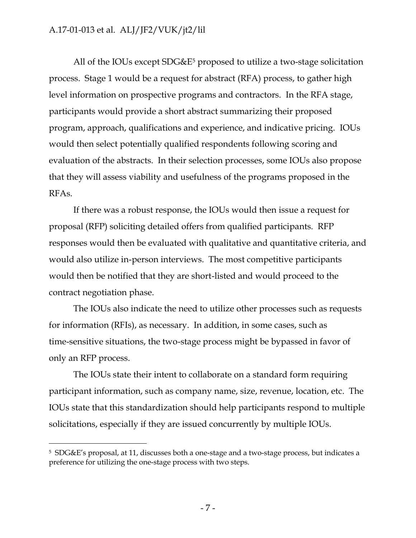All of the IOUs except  $SDG&E^5$  proposed to utilize a two-stage solicitation process. Stage 1 would be a request for abstract (RFA) process, to gather high level information on prospective programs and contractors. In the RFA stage, participants would provide a short abstract summarizing their proposed program, approach, qualifications and experience, and indicative pricing. IOUs would then select potentially qualified respondents following scoring and evaluation of the abstracts. In their selection processes, some IOUs also propose that they will assess viability and usefulness of the programs proposed in the RFAs.

If there was a robust response, the IOUs would then issue a request for proposal (RFP) soliciting detailed offers from qualified participants. RFP responses would then be evaluated with qualitative and quantitative criteria, and would also utilize in-person interviews. The most competitive participants would then be notified that they are short-listed and would proceed to the contract negotiation phase.

The IOUs also indicate the need to utilize other processes such as requests for information (RFIs), as necessary. In addition, in some cases, such as time-sensitive situations, the two-stage process might be bypassed in favor of only an RFP process.

The IOUs state their intent to collaborate on a standard form requiring participant information, such as company name, size, revenue, location, etc. The IOUs state that this standardization should help participants respond to multiple solicitations, especially if they are issued concurrently by multiple IOUs.

 $\overline{a}$ 

<sup>5</sup> SDG&E's proposal, at 11, discusses both a one-stage and a two-stage process, but indicates a preference for utilizing the one-stage process with two steps.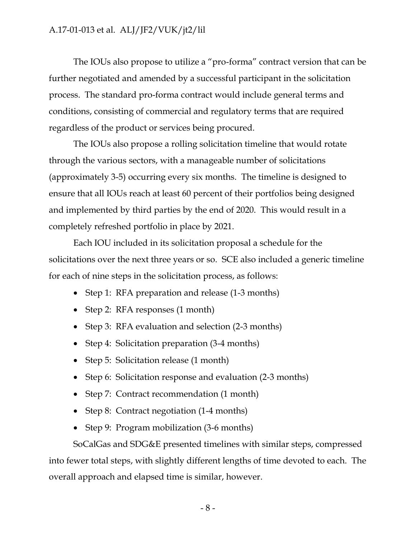The IOUs also propose to utilize a "pro-forma" contract version that can be further negotiated and amended by a successful participant in the solicitation process. The standard pro-forma contract would include general terms and conditions, consisting of commercial and regulatory terms that are required regardless of the product or services being procured.

The IOUs also propose a rolling solicitation timeline that would rotate through the various sectors, with a manageable number of solicitations (approximately 3-5) occurring every six months. The timeline is designed to ensure that all IOUs reach at least 60 percent of their portfolios being designed and implemented by third parties by the end of 2020. This would result in a completely refreshed portfolio in place by 2021.

Each IOU included in its solicitation proposal a schedule for the solicitations over the next three years or so. SCE also included a generic timeline for each of nine steps in the solicitation process, as follows:

- Step 1: RFA preparation and release (1-3 months)
- Step 2: RFA responses (1 month)
- Step 3: RFA evaluation and selection (2-3 months)
- Step 4: Solicitation preparation (3-4 months)
- Step 5: Solicitation release (1 month)
- Step 6: Solicitation response and evaluation (2-3 months)
- Step 7: Contract recommendation (1 month)
- Step 8: Contract negotiation (1-4 months)
- Step 9: Program mobilization (3-6 months)

SoCalGas and SDG&E presented timelines with similar steps, compressed into fewer total steps, with slightly different lengths of time devoted to each. The overall approach and elapsed time is similar, however.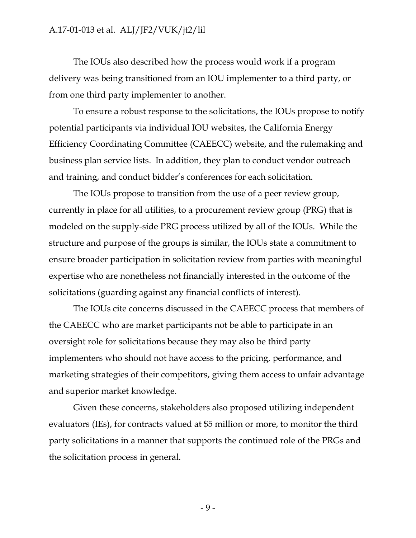The IOUs also described how the process would work if a program delivery was being transitioned from an IOU implementer to a third party, or from one third party implementer to another.

To ensure a robust response to the solicitations, the IOUs propose to notify potential participants via individual IOU websites, the California Energy Efficiency Coordinating Committee (CAEECC) website, and the rulemaking and business plan service lists. In addition, they plan to conduct vendor outreach and training, and conduct bidder's conferences for each solicitation.

The IOUs propose to transition from the use of a peer review group, currently in place for all utilities, to a procurement review group (PRG) that is modeled on the supply-side PRG process utilized by all of the IOUs. While the structure and purpose of the groups is similar, the IOUs state a commitment to ensure broader participation in solicitation review from parties with meaningful expertise who are nonetheless not financially interested in the outcome of the solicitations (guarding against any financial conflicts of interest).

The IOUs cite concerns discussed in the CAEECC process that members of the CAEECC who are market participants not be able to participate in an oversight role for solicitations because they may also be third party implementers who should not have access to the pricing, performance, and marketing strategies of their competitors, giving them access to unfair advantage and superior market knowledge.

Given these concerns, stakeholders also proposed utilizing independent evaluators (IEs), for contracts valued at \$5 million or more, to monitor the third party solicitations in a manner that supports the continued role of the PRGs and the solicitation process in general.

- 9 -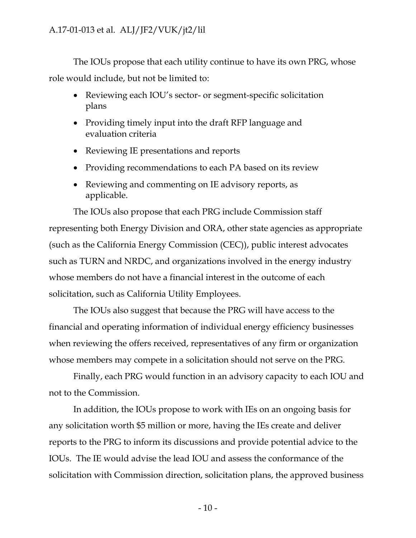The IOUs propose that each utility continue to have its own PRG, whose role would include, but not be limited to:

- Reviewing each IOU's sector- or segment-specific solicitation plans
- Providing timely input into the draft RFP language and evaluation criteria
- Reviewing IE presentations and reports
- Providing recommendations to each PA based on its review
- Reviewing and commenting on IE advisory reports, as applicable.

The IOUs also propose that each PRG include Commission staff representing both Energy Division and ORA, other state agencies as appropriate (such as the California Energy Commission (CEC)), public interest advocates such as TURN and NRDC, and organizations involved in the energy industry whose members do not have a financial interest in the outcome of each solicitation, such as California Utility Employees.

The IOUs also suggest that because the PRG will have access to the financial and operating information of individual energy efficiency businesses when reviewing the offers received, representatives of any firm or organization whose members may compete in a solicitation should not serve on the PRG.

Finally, each PRG would function in an advisory capacity to each IOU and not to the Commission.

In addition, the IOUs propose to work with IEs on an ongoing basis for any solicitation worth \$5 million or more, having the IEs create and deliver reports to the PRG to inform its discussions and provide potential advice to the IOUs. The IE would advise the lead IOU and assess the conformance of the solicitation with Commission direction, solicitation plans, the approved business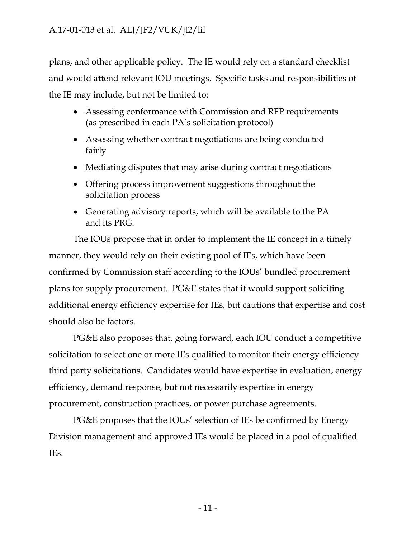plans, and other applicable policy. The IE would rely on a standard checklist and would attend relevant IOU meetings. Specific tasks and responsibilities of the IE may include, but not be limited to:

- Assessing conformance with Commission and RFP requirements (as prescribed in each PA's solicitation protocol)
- Assessing whether contract negotiations are being conducted fairly
- Mediating disputes that may arise during contract negotiations
- Offering process improvement suggestions throughout the solicitation process
- Generating advisory reports, which will be available to the PA and its PRG.

The IOUs propose that in order to implement the IE concept in a timely manner, they would rely on their existing pool of IEs, which have been confirmed by Commission staff according to the IOUs' bundled procurement plans for supply procurement. PG&E states that it would support soliciting additional energy efficiency expertise for IEs, but cautions that expertise and cost should also be factors.

PG&E also proposes that, going forward, each IOU conduct a competitive solicitation to select one or more IEs qualified to monitor their energy efficiency third party solicitations. Candidates would have expertise in evaluation, energy efficiency, demand response, but not necessarily expertise in energy procurement, construction practices, or power purchase agreements.

PG&E proposes that the IOUs' selection of IEs be confirmed by Energy Division management and approved IEs would be placed in a pool of qualified IEs.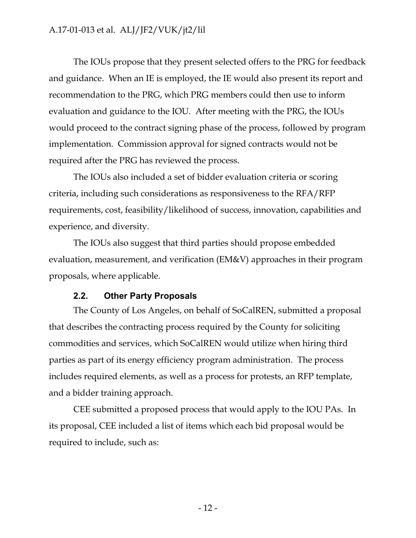The IOUs propose that they present selected offers to the PRG for feedback and guidance. When an IE is employed, the IE would also present its report and recommendation to the PRG, which PRG members could then use to inform evaluation and guidance to the IOU. After meeting with the PRG, the IOUs would proceed to the contract signing phase of the process, followed by program implementation. Commission approval for signed contracts would not be required after the PRG has reviewed the process.

The IOUs also included a set of bidder evaluation criteria or scoring criteria, including such considerations as responsiveness to the RFA/RFP requirements, cost, feasibility/likelihood of success, innovation, capabilities and experience, and diversity.

The IOUs also suggest that third parties should propose embedded evaluation, measurement, and verification (EM&V) approaches in their program proposals, where applicable.

#### **2.2. Other Party Proposals**

<span id="page-12-0"></span>The County of Los Angeles, on behalf of SoCalREN, submitted a proposal that describes the contracting process required by the County for soliciting commodities and services, which SoCalREN would utilize when hiring third parties as part of its energy efficiency program administration. The process includes required elements, as well as a process for protests, an RFP template, and a bidder training approach.

CEE submitted a proposed process that would apply to the IOU PAs. In its proposal, CEE included a list of items which each bid proposal would be required to include, such as: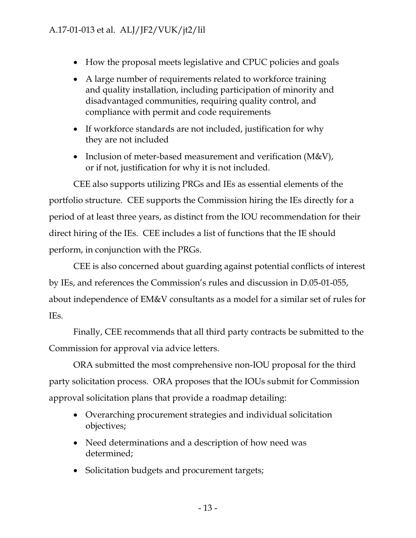- How the proposal meets legislative and CPUC policies and goals
- A large number of requirements related to workforce training and quality installation, including participation of minority and disadvantaged communities, requiring quality control, and compliance with permit and code requirements
- If workforce standards are not included, justification for why they are not included
- Inclusion of meter-based measurement and verification  $(M&V)$ , or if not, justification for why it is not included.

CEE also supports utilizing PRGs and IEs as essential elements of the portfolio structure. CEE supports the Commission hiring the IEs directly for a period of at least three years, as distinct from the IOU recommendation for their direct hiring of the IEs. CEE includes a list of functions that the IE should perform, in conjunction with the PRGs.

CEE is also concerned about guarding against potential conflicts of interest by IEs, and references the Commission's rules and discussion in D.05-01-055, about independence of EM&V consultants as a model for a similar set of rules for IEs.

Finally, CEE recommends that all third party contracts be submitted to the Commission for approval via advice letters.

ORA submitted the most comprehensive non-IOU proposal for the third party solicitation process. ORA proposes that the IOUs submit for Commission approval solicitation plans that provide a roadmap detailing:

- Overarching procurement strategies and individual solicitation objectives;
- Need determinations and a description of how need was determined;
- Solicitation budgets and procurement targets;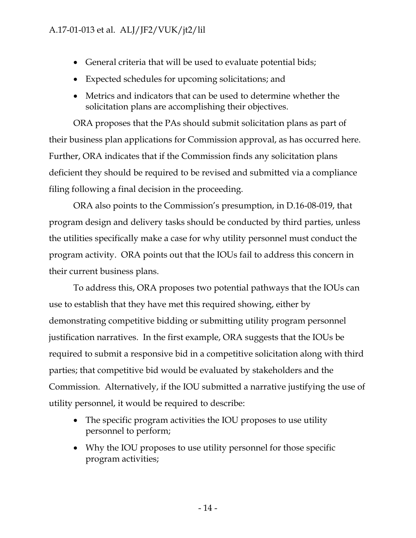- General criteria that will be used to evaluate potential bids;
- Expected schedules for upcoming solicitations; and
- Metrics and indicators that can be used to determine whether the solicitation plans are accomplishing their objectives.

ORA proposes that the PAs should submit solicitation plans as part of their business plan applications for Commission approval, as has occurred here. Further, ORA indicates that if the Commission finds any solicitation plans deficient they should be required to be revised and submitted via a compliance filing following a final decision in the proceeding.

ORA also points to the Commission's presumption, in D.16-08-019, that program design and delivery tasks should be conducted by third parties, unless the utilities specifically make a case for why utility personnel must conduct the program activity. ORA points out that the IOUs fail to address this concern in their current business plans.

To address this, ORA proposes two potential pathways that the IOUs can use to establish that they have met this required showing, either by demonstrating competitive bidding or submitting utility program personnel justification narratives. In the first example, ORA suggests that the IOUs be required to submit a responsive bid in a competitive solicitation along with third parties; that competitive bid would be evaluated by stakeholders and the Commission. Alternatively, if the IOU submitted a narrative justifying the use of utility personnel, it would be required to describe:

- The specific program activities the IOU proposes to use utility personnel to perform;
- Why the IOU proposes to use utility personnel for those specific program activities;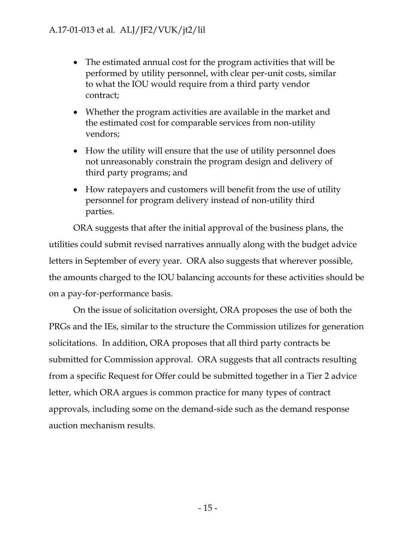- The estimated annual cost for the program activities that will be performed by utility personnel, with clear per-unit costs, similar to what the IOU would require from a third party vendor contract;
- Whether the program activities are available in the market and the estimated cost for comparable services from non-utility vendors;
- How the utility will ensure that the use of utility personnel does not unreasonably constrain the program design and delivery of third party programs; and
- How ratepayers and customers will benefit from the use of utility personnel for program delivery instead of non-utility third parties.

ORA suggests that after the initial approval of the business plans, the utilities could submit revised narratives annually along with the budget advice letters in September of every year. ORA also suggests that wherever possible, the amounts charged to the IOU balancing accounts for these activities should be on a pay-for-performance basis.

On the issue of solicitation oversight, ORA proposes the use of both the PRGs and the IEs, similar to the structure the Commission utilizes for generation solicitations. In addition, ORA proposes that all third party contracts be submitted for Commission approval. ORA suggests that all contracts resulting from a specific Request for Offer could be submitted together in a Tier 2 advice letter, which ORA argues is common practice for many types of contract approvals, including some on the demand-side such as the demand response auction mechanism results.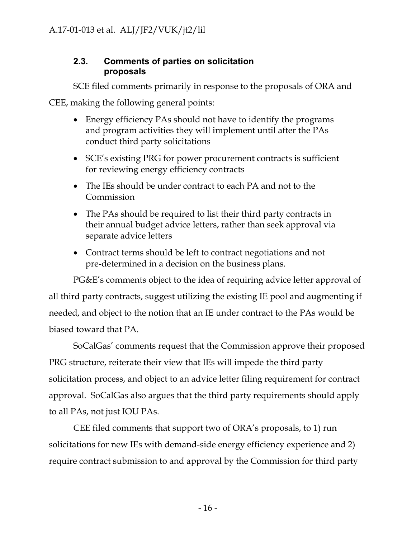### <span id="page-16-0"></span>**2.3. Comments of parties on solicitation proposals**

SCE filed comments primarily in response to the proposals of ORA and

CEE, making the following general points:

- Energy efficiency PAs should not have to identify the programs and program activities they will implement until after the PAs conduct third party solicitations
- SCE's existing PRG for power procurement contracts is sufficient for reviewing energy efficiency contracts
- The IEs should be under contract to each PA and not to the Commission
- The PAs should be required to list their third party contracts in their annual budget advice letters, rather than seek approval via separate advice letters
- Contract terms should be left to contract negotiations and not pre-determined in a decision on the business plans.

PG&E's comments object to the idea of requiring advice letter approval of all third party contracts, suggest utilizing the existing IE pool and augmenting if needed, and object to the notion that an IE under contract to the PAs would be biased toward that PA.

SoCalGas' comments request that the Commission approve their proposed PRG structure, reiterate their view that IEs will impede the third party solicitation process, and object to an advice letter filing requirement for contract approval. SoCalGas also argues that the third party requirements should apply to all PAs, not just IOU PAs.

CEE filed comments that support two of ORA's proposals, to 1) run solicitations for new IEs with demand-side energy efficiency experience and 2) require contract submission to and approval by the Commission for third party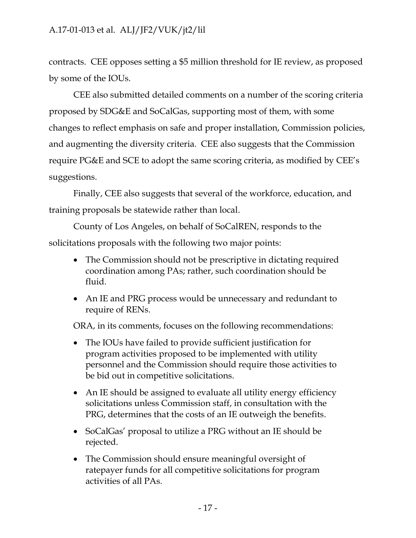contracts. CEE opposes setting a \$5 million threshold for IE review, as proposed by some of the IOUs.

CEE also submitted detailed comments on a number of the scoring criteria proposed by SDG&E and SoCalGas, supporting most of them, with some changes to reflect emphasis on safe and proper installation, Commission policies, and augmenting the diversity criteria. CEE also suggests that the Commission require PG&E and SCE to adopt the same scoring criteria, as modified by CEE's suggestions.

Finally, CEE also suggests that several of the workforce, education, and training proposals be statewide rather than local.

County of Los Angeles, on behalf of SoCalREN, responds to the solicitations proposals with the following two major points:

- The Commission should not be prescriptive in dictating required coordination among PAs; rather, such coordination should be fluid.
- An IE and PRG process would be unnecessary and redundant to require of RENs.

ORA, in its comments, focuses on the following recommendations:

- The IOUs have failed to provide sufficient justification for program activities proposed to be implemented with utility personnel and the Commission should require those activities to be bid out in competitive solicitations.
- An IE should be assigned to evaluate all utility energy efficiency solicitations unless Commission staff, in consultation with the PRG, determines that the costs of an IE outweigh the benefits.
- SoCalGas' proposal to utilize a PRG without an IE should be rejected.
- The Commission should ensure meaningful oversight of ratepayer funds for all competitive solicitations for program activities of all PAs.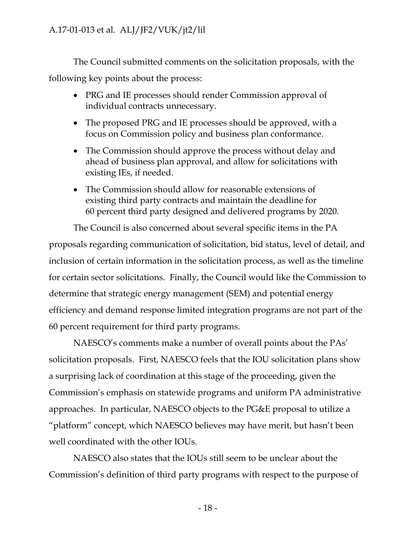The Council submitted comments on the solicitation proposals, with the following key points about the process:

- PRG and IE processes should render Commission approval of individual contracts unnecessary.
- The proposed PRG and IE processes should be approved, with a focus on Commission policy and business plan conformance.
- The Commission should approve the process without delay and ahead of business plan approval, and allow for solicitations with existing IEs, if needed.
- The Commission should allow for reasonable extensions of existing third party contracts and maintain the deadline for 60 percent third party designed and delivered programs by 2020.

The Council is also concerned about several specific items in the PA proposals regarding communication of solicitation, bid status, level of detail, and inclusion of certain information in the solicitation process, as well as the timeline for certain sector solicitations. Finally, the Council would like the Commission to determine that strategic energy management (SEM) and potential energy efficiency and demand response limited integration programs are not part of the 60 percent requirement for third party programs.

NAESCO's comments make a number of overall points about the PAs' solicitation proposals. First, NAESCO feels that the IOU solicitation plans show a surprising lack of coordination at this stage of the proceeding, given the Commission's emphasis on statewide programs and uniform PA administrative approaches. In particular, NAESCO objects to the PG&E proposal to utilize a "platform" concept, which NAESCO believes may have merit, but hasn't been well coordinated with the other IOUs.

NAESCO also states that the IOUs still seem to be unclear about the Commission's definition of third party programs with respect to the purpose of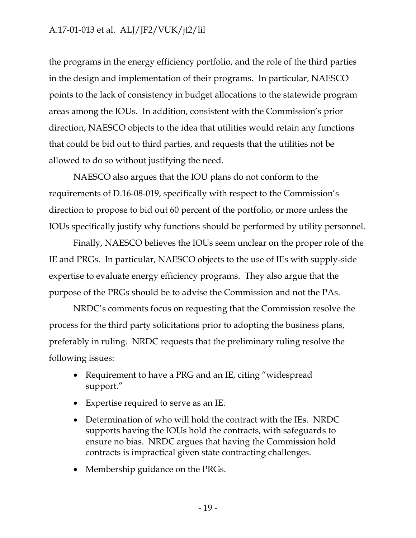the programs in the energy efficiency portfolio, and the role of the third parties in the design and implementation of their programs. In particular, NAESCO points to the lack of consistency in budget allocations to the statewide program areas among the IOUs. In addition, consistent with the Commission's prior direction, NAESCO objects to the idea that utilities would retain any functions that could be bid out to third parties, and requests that the utilities not be allowed to do so without justifying the need.

NAESCO also argues that the IOU plans do not conform to the requirements of D.16-08-019, specifically with respect to the Commission's direction to propose to bid out 60 percent of the portfolio, or more unless the IOUs specifically justify why functions should be performed by utility personnel.

Finally, NAESCO believes the IOUs seem unclear on the proper role of the IE and PRGs. In particular, NAESCO objects to the use of IEs with supply-side expertise to evaluate energy efficiency programs. They also argue that the purpose of the PRGs should be to advise the Commission and not the PAs.

NRDC's comments focus on requesting that the Commission resolve the process for the third party solicitations prior to adopting the business plans, preferably in ruling. NRDC requests that the preliminary ruling resolve the following issues:

- Requirement to have a PRG and an IE, citing "widespread" support."
- Expertise required to serve as an IE.
- Determination of who will hold the contract with the IEs. NRDC supports having the IOUs hold the contracts, with safeguards to ensure no bias. NRDC argues that having the Commission hold contracts is impractical given state contracting challenges.
- Membership guidance on the PRGs.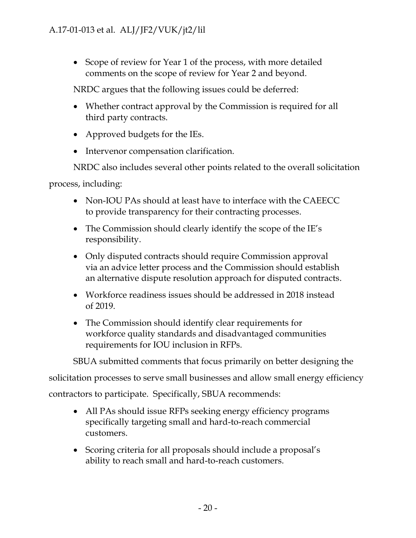• Scope of review for Year 1 of the process, with more detailed comments on the scope of review for Year 2 and beyond.

NRDC argues that the following issues could be deferred:

- Whether contract approval by the Commission is required for all third party contracts.
- Approved budgets for the IEs.
- Intervenor compensation clarification.

NRDC also includes several other points related to the overall solicitation

process, including:

- Non-IOU PAs should at least have to interface with the CAEECC to provide transparency for their contracting processes.
- The Commission should clearly identify the scope of the IE's responsibility.
- Only disputed contracts should require Commission approval via an advice letter process and the Commission should establish an alternative dispute resolution approach for disputed contracts.
- Workforce readiness issues should be addressed in 2018 instead of 2019.
- The Commission should identify clear requirements for workforce quality standards and disadvantaged communities requirements for IOU inclusion in RFPs.

SBUA submitted comments that focus primarily on better designing the

solicitation processes to serve small businesses and allow small energy efficiency

contractors to participate. Specifically, SBUA recommends:

- All PAs should issue RFPs seeking energy efficiency programs specifically targeting small and hard-to-reach commercial customers.
- Scoring criteria for all proposals should include a proposal's ability to reach small and hard-to-reach customers.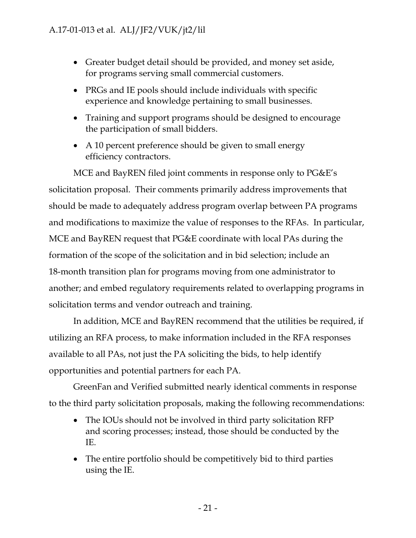- Greater budget detail should be provided, and money set aside, for programs serving small commercial customers.
- PRGs and IE pools should include individuals with specific experience and knowledge pertaining to small businesses.
- Training and support programs should be designed to encourage the participation of small bidders.
- A 10 percent preference should be given to small energy efficiency contractors.

MCE and BayREN filed joint comments in response only to PG&E's solicitation proposal. Their comments primarily address improvements that should be made to adequately address program overlap between PA programs and modifications to maximize the value of responses to the RFAs. In particular, MCE and BayREN request that PG&E coordinate with local PAs during the formation of the scope of the solicitation and in bid selection; include an 18-month transition plan for programs moving from one administrator to another; and embed regulatory requirements related to overlapping programs in solicitation terms and vendor outreach and training.

In addition, MCE and BayREN recommend that the utilities be required, if utilizing an RFA process, to make information included in the RFA responses available to all PAs, not just the PA soliciting the bids, to help identify opportunities and potential partners for each PA.

GreenFan and Verified submitted nearly identical comments in response to the third party solicitation proposals, making the following recommendations:

- The IOUs should not be involved in third party solicitation RFP and scoring processes; instead, those should be conducted by the IE.
- The entire portfolio should be competitively bid to third parties using the IE.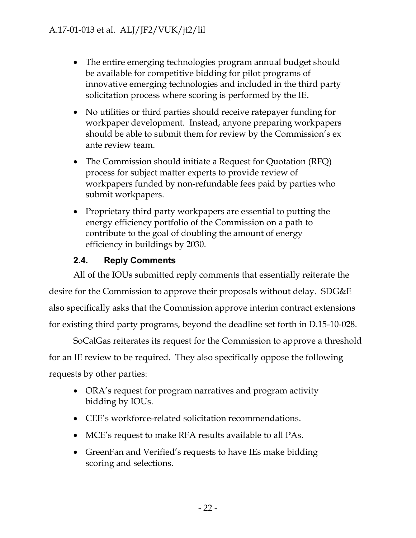- The entire emerging technologies program annual budget should be available for competitive bidding for pilot programs of innovative emerging technologies and included in the third party solicitation process where scoring is performed by the IE.
- No utilities or third parties should receive ratepayer funding for workpaper development. Instead, anyone preparing workpapers should be able to submit them for review by the Commission's ex ante review team.
- The Commission should initiate a Request for Quotation (RFQ) process for subject matter experts to provide review of workpapers funded by non-refundable fees paid by parties who submit workpapers.
- Proprietary third party workpapers are essential to putting the energy efficiency portfolio of the Commission on a path to contribute to the goal of doubling the amount of energy efficiency in buildings by 2030.

# **2.4. Reply Comments**

<span id="page-22-0"></span>All of the IOUs submitted reply comments that essentially reiterate the desire for the Commission to approve their proposals without delay. SDG&E also specifically asks that the Commission approve interim contract extensions for existing third party programs, beyond the deadline set forth in D.15-10-028.

SoCalGas reiterates its request for the Commission to approve a threshold for an IE review to be required. They also specifically oppose the following requests by other parties:

- ORA's request for program narratives and program activity bidding by IOUs.
- CEE's workforce-related solicitation recommendations.
- MCE's request to make RFA results available to all PAs.
- GreenFan and Verified's requests to have IEs make bidding scoring and selections.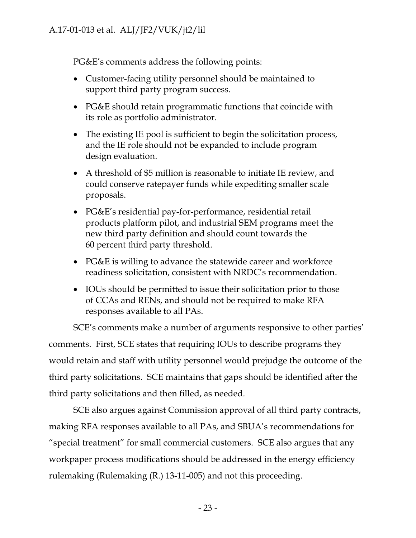PG&E's comments address the following points:

- Customer-facing utility personnel should be maintained to support third party program success.
- PG&E should retain programmatic functions that coincide with its role as portfolio administrator.
- The existing IE pool is sufficient to begin the solicitation process, and the IE role should not be expanded to include program design evaluation.
- A threshold of \$5 million is reasonable to initiate IE review, and could conserve ratepayer funds while expediting smaller scale proposals.
- PG&E's residential pay-for-performance, residential retail products platform pilot, and industrial SEM programs meet the new third party definition and should count towards the 60 percent third party threshold.
- PG&E is willing to advance the statewide career and workforce readiness solicitation, consistent with NRDC's recommendation.
- IOUs should be permitted to issue their solicitation prior to those of CCAs and RENs, and should not be required to make RFA responses available to all PAs.

SCE's comments make a number of arguments responsive to other parties' comments. First, SCE states that requiring IOUs to describe programs they would retain and staff with utility personnel would prejudge the outcome of the third party solicitations. SCE maintains that gaps should be identified after the third party solicitations and then filled, as needed.

SCE also argues against Commission approval of all third party contracts, making RFA responses available to all PAs, and SBUA's recommendations for "special treatment" for small commercial customers. SCE also argues that any workpaper process modifications should be addressed in the energy efficiency rulemaking (Rulemaking (R.) 13-11-005) and not this proceeding.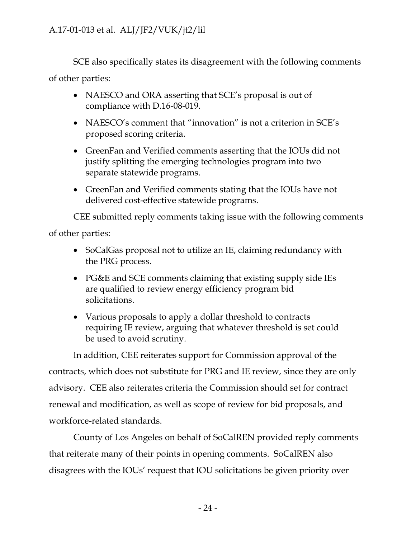SCE also specifically states its disagreement with the following comments of other parties:

- NAESCO and ORA asserting that SCE's proposal is out of compliance with D.16-08-019.
- NAESCO's comment that "innovation" is not a criterion in SCE's proposed scoring criteria.
- GreenFan and Verified comments asserting that the IOUs did not justify splitting the emerging technologies program into two separate statewide programs.
- GreenFan and Verified comments stating that the IOUs have not delivered cost-effective statewide programs.

CEE submitted reply comments taking issue with the following comments

of other parties:

- SoCalGas proposal not to utilize an IE, claiming redundancy with the PRG process.
- PG&E and SCE comments claiming that existing supply side IEs are qualified to review energy efficiency program bid solicitations.
- Various proposals to apply a dollar threshold to contracts requiring IE review, arguing that whatever threshold is set could be used to avoid scrutiny.

In addition, CEE reiterates support for Commission approval of the contracts, which does not substitute for PRG and IE review, since they are only advisory. CEE also reiterates criteria the Commission should set for contract renewal and modification, as well as scope of review for bid proposals, and workforce-related standards.

County of Los Angeles on behalf of SoCalREN provided reply comments that reiterate many of their points in opening comments. SoCalREN also disagrees with the IOUs' request that IOU solicitations be given priority over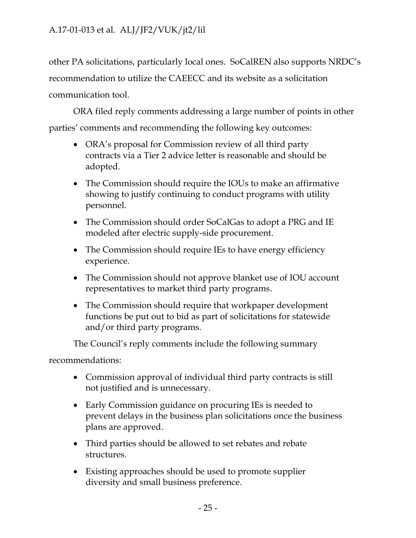other PA solicitations, particularly local ones. SoCalREN also supports NRDC's recommendation to utilize the CAEECC and its website as a solicitation communication tool.

ORA filed reply comments addressing a large number of points in other parties' comments and recommending the following key outcomes:

- ORA's proposal for Commission review of all third party contracts via a Tier 2 advice letter is reasonable and should be adopted.
- The Commission should require the IOUs to make an affirmative showing to justify continuing to conduct programs with utility personnel.
- The Commission should order SoCalGas to adopt a PRG and IE modeled after electric supply-side procurement.
- The Commission should require IEs to have energy efficiency experience.
- The Commission should not approve blanket use of IOU account representatives to market third party programs.
- The Commission should require that workpaper development functions be put out to bid as part of solicitations for statewide and/or third party programs.

The Council's reply comments include the following summary

recommendations:

- Commission approval of individual third party contracts is still not justified and is unnecessary.
- Early Commission guidance on procuring IEs is needed to prevent delays in the business plan solicitations once the business plans are approved.
- Third parties should be allowed to set rebates and rebate structures.
- Existing approaches should be used to promote supplier diversity and small business preference.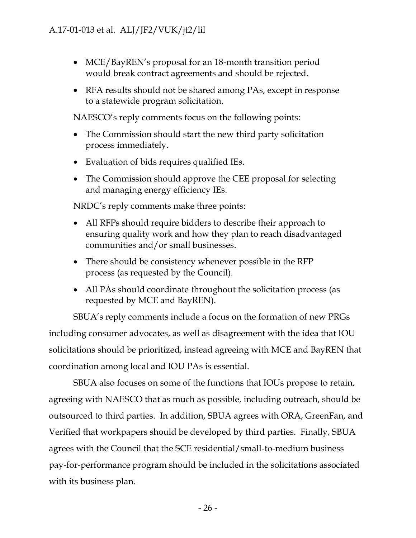- MCE/BayREN's proposal for an 18-month transition period would break contract agreements and should be rejected.
- RFA results should not be shared among PAs, except in response to a statewide program solicitation.

NAESCO's reply comments focus on the following points:

- The Commission should start the new third party solicitation process immediately.
- Evaluation of bids requires qualified IEs.
- The Commission should approve the CEE proposal for selecting and managing energy efficiency IEs.

NRDC's reply comments make three points:

- All RFPs should require bidders to describe their approach to ensuring quality work and how they plan to reach disadvantaged communities and/or small businesses.
- There should be consistency whenever possible in the RFP process (as requested by the Council).
- All PAs should coordinate throughout the solicitation process (as requested by MCE and BayREN).

SBUA's reply comments include a focus on the formation of new PRGs including consumer advocates, as well as disagreement with the idea that IOU solicitations should be prioritized, instead agreeing with MCE and BayREN that coordination among local and IOU PAs is essential.

SBUA also focuses on some of the functions that IOUs propose to retain, agreeing with NAESCO that as much as possible, including outreach, should be outsourced to third parties. In addition, SBUA agrees with ORA, GreenFan, and Verified that workpapers should be developed by third parties. Finally, SBUA agrees with the Council that the SCE residential/small-to-medium business pay-for-performance program should be included in the solicitations associated with its business plan.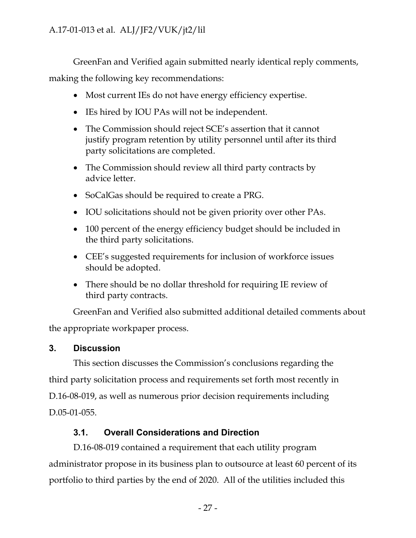GreenFan and Verified again submitted nearly identical reply comments, making the following key recommendations:

- Most current IEs do not have energy efficiency expertise.
- IEs hired by IOU PAs will not be independent.
- The Commission should reject SCE's assertion that it cannot justify program retention by utility personnel until after its third party solicitations are completed.
- The Commission should review all third party contracts by advice letter.
- SoCalGas should be required to create a PRG.
- IOU solicitations should not be given priority over other PAs.
- 100 percent of the energy efficiency budget should be included in the third party solicitations.
- CEE's suggested requirements for inclusion of workforce issues should be adopted.
- There should be no dollar threshold for requiring IE review of third party contracts.

GreenFan and Verified also submitted additional detailed comments about the appropriate workpaper process.

# <span id="page-27-0"></span>**3. Discussion**

This section discusses the Commission's conclusions regarding the third party solicitation process and requirements set forth most recently in D.16-08-019, as well as numerous prior decision requirements including D.05-01-055.

# **3.1. Overall Considerations and Direction**

<span id="page-27-1"></span>D.16-08-019 contained a requirement that each utility program administrator propose in its business plan to outsource at least 60 percent of its portfolio to third parties by the end of 2020. All of the utilities included this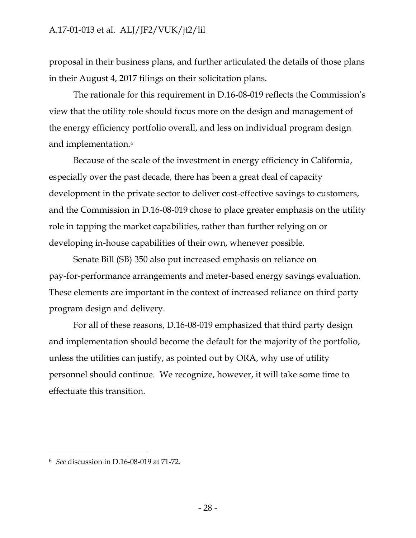proposal in their business plans, and further articulated the details of those plans in their August 4, 2017 filings on their solicitation plans.

The rationale for this requirement in D.16-08-019 reflects the Commission's view that the utility role should focus more on the design and management of the energy efficiency portfolio overall, and less on individual program design and implementation.<sup>6</sup>

Because of the scale of the investment in energy efficiency in California, especially over the past decade, there has been a great deal of capacity development in the private sector to deliver cost-effective savings to customers, and the Commission in D.16-08-019 chose to place greater emphasis on the utility role in tapping the market capabilities, rather than further relying on or developing in-house capabilities of their own, whenever possible.

Senate Bill (SB) 350 also put increased emphasis on reliance on pay-for-performance arrangements and meter-based energy savings evaluation. These elements are important in the context of increased reliance on third party program design and delivery.

For all of these reasons, D.16-08-019 emphasized that third party design and implementation should become the default for the majority of the portfolio, unless the utilities can justify, as pointed out by ORA, why use of utility personnel should continue. We recognize, however, it will take some time to effectuate this transition.

 $\overline{a}$ 

<sup>6</sup> *See* discussion in D.16-08-019 at 71-72.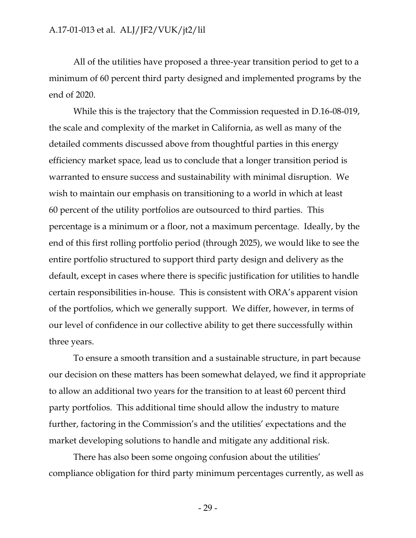All of the utilities have proposed a three-year transition period to get to a minimum of 60 percent third party designed and implemented programs by the end of 2020.

While this is the trajectory that the Commission requested in D.16-08-019, the scale and complexity of the market in California, as well as many of the detailed comments discussed above from thoughtful parties in this energy efficiency market space, lead us to conclude that a longer transition period is warranted to ensure success and sustainability with minimal disruption. We wish to maintain our emphasis on transitioning to a world in which at least 60 percent of the utility portfolios are outsourced to third parties. This percentage is a minimum or a floor, not a maximum percentage. Ideally, by the end of this first rolling portfolio period (through 2025), we would like to see the entire portfolio structured to support third party design and delivery as the default, except in cases where there is specific justification for utilities to handle certain responsibilities in-house. This is consistent with ORA's apparent vision of the portfolios, which we generally support. We differ, however, in terms of our level of confidence in our collective ability to get there successfully within three years.

To ensure a smooth transition and a sustainable structure, in part because our decision on these matters has been somewhat delayed, we find it appropriate to allow an additional two years for the transition to at least 60 percent third party portfolios. This additional time should allow the industry to mature further, factoring in the Commission's and the utilities' expectations and the market developing solutions to handle and mitigate any additional risk.

There has also been some ongoing confusion about the utilities' compliance obligation for third party minimum percentages currently, as well as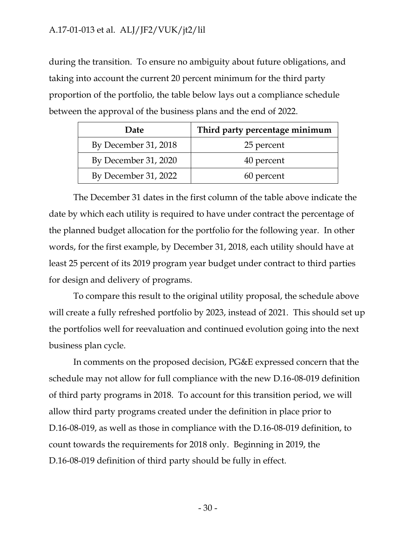during the transition. To ensure no ambiguity about future obligations, and taking into account the current 20 percent minimum for the third party proportion of the portfolio, the table below lays out a compliance schedule between the approval of the business plans and the end of 2022.

| Date                 | Third party percentage minimum |
|----------------------|--------------------------------|
| By December 31, 2018 | 25 percent                     |
| By December 31, 2020 | 40 percent                     |
| By December 31, 2022 | 60 percent                     |

The December 31 dates in the first column of the table above indicate the date by which each utility is required to have under contract the percentage of the planned budget allocation for the portfolio for the following year. In other words, for the first example, by December 31, 2018, each utility should have at least 25 percent of its 2019 program year budget under contract to third parties for design and delivery of programs.

To compare this result to the original utility proposal, the schedule above will create a fully refreshed portfolio by 2023, instead of 2021. This should set up the portfolios well for reevaluation and continued evolution going into the next business plan cycle.

In comments on the proposed decision, PG&E expressed concern that the schedule may not allow for full compliance with the new D.16-08-019 definition of third party programs in 2018. To account for this transition period, we will allow third party programs created under the definition in place prior to D.16-08-019, as well as those in compliance with the D.16-08-019 definition, to count towards the requirements for 2018 only. Beginning in 2019, the D.16-08-019 definition of third party should be fully in effect.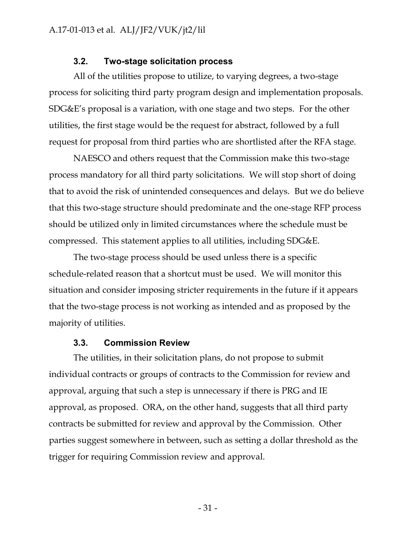#### **3.2. Two-stage solicitation process**

<span id="page-31-0"></span>All of the utilities propose to utilize, to varying degrees, a two-stage process for soliciting third party program design and implementation proposals. SDG&E's proposal is a variation, with one stage and two steps. For the other utilities, the first stage would be the request for abstract, followed by a full request for proposal from third parties who are shortlisted after the RFA stage.

NAESCO and others request that the Commission make this two-stage process mandatory for all third party solicitations. We will stop short of doing that to avoid the risk of unintended consequences and delays. But we do believe that this two-stage structure should predominate and the one-stage RFP process should be utilized only in limited circumstances where the schedule must be compressed. This statement applies to all utilities, including SDG&E.

The two-stage process should be used unless there is a specific schedule-related reason that a shortcut must be used. We will monitor this situation and consider imposing stricter requirements in the future if it appears that the two-stage process is not working as intended and as proposed by the majority of utilities.

#### **3.3. Commission Review**

<span id="page-31-1"></span>The utilities, in their solicitation plans, do not propose to submit individual contracts or groups of contracts to the Commission for review and approval, arguing that such a step is unnecessary if there is PRG and IE approval, as proposed. ORA, on the other hand, suggests that all third party contracts be submitted for review and approval by the Commission. Other parties suggest somewhere in between, such as setting a dollar threshold as the trigger for requiring Commission review and approval.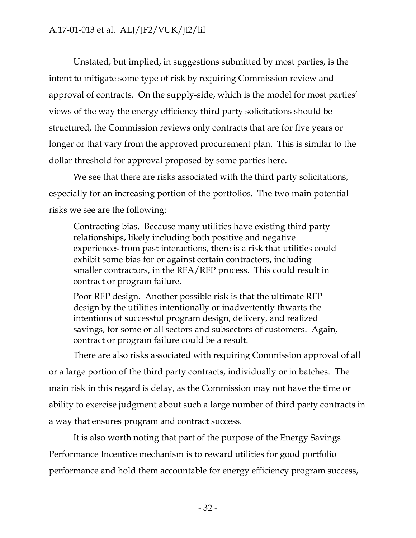Unstated, but implied, in suggestions submitted by most parties, is the intent to mitigate some type of risk by requiring Commission review and approval of contracts. On the supply-side, which is the model for most parties' views of the way the energy efficiency third party solicitations should be structured, the Commission reviews only contracts that are for five years or longer or that vary from the approved procurement plan. This is similar to the dollar threshold for approval proposed by some parties here.

We see that there are risks associated with the third party solicitations, especially for an increasing portion of the portfolios. The two main potential risks we see are the following:

Contracting bias. Because many utilities have existing third party relationships, likely including both positive and negative experiences from past interactions, there is a risk that utilities could exhibit some bias for or against certain contractors, including smaller contractors, in the RFA/RFP process. This could result in contract or program failure.

Poor RFP design. Another possible risk is that the ultimate RFP design by the utilities intentionally or inadvertently thwarts the intentions of successful program design, delivery, and realized savings, for some or all sectors and subsectors of customers. Again, contract or program failure could be a result.

There are also risks associated with requiring Commission approval of all or a large portion of the third party contracts, individually or in batches. The main risk in this regard is delay, as the Commission may not have the time or ability to exercise judgment about such a large number of third party contracts in a way that ensures program and contract success.

It is also worth noting that part of the purpose of the Energy Savings Performance Incentive mechanism is to reward utilities for good portfolio performance and hold them accountable for energy efficiency program success,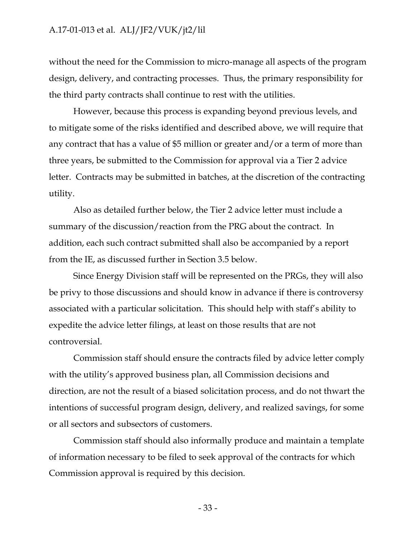without the need for the Commission to micro-manage all aspects of the program design, delivery, and contracting processes. Thus, the primary responsibility for the third party contracts shall continue to rest with the utilities.

However, because this process is expanding beyond previous levels, and to mitigate some of the risks identified and described above, we will require that any contract that has a value of \$5 million or greater and/or a term of more than three years, be submitted to the Commission for approval via a Tier 2 advice letter. Contracts may be submitted in batches, at the discretion of the contracting utility.

Also as detailed further below, the Tier 2 advice letter must include a summary of the discussion/reaction from the PRG about the contract. In addition, each such contract submitted shall also be accompanied by a report from the IE, as discussed further in Section 3.5 below.

Since Energy Division staff will be represented on the PRGs, they will also be privy to those discussions and should know in advance if there is controversy associated with a particular solicitation. This should help with staff's ability to expedite the advice letter filings, at least on those results that are not controversial.

Commission staff should ensure the contracts filed by advice letter comply with the utility's approved business plan, all Commission decisions and direction, are not the result of a biased solicitation process, and do not thwart the intentions of successful program design, delivery, and realized savings, for some or all sectors and subsectors of customers.

Commission staff should also informally produce and maintain a template of information necessary to be filed to seek approval of the contracts for which Commission approval is required by this decision.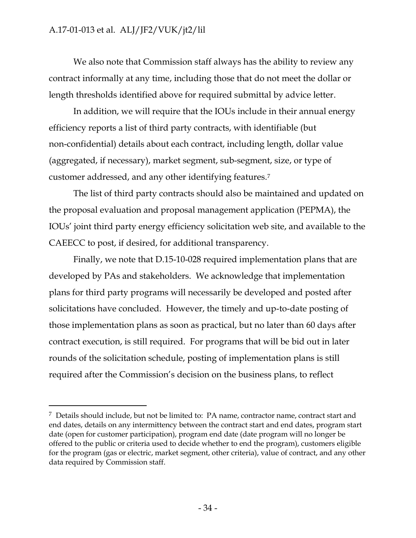$\overline{a}$ 

We also note that Commission staff always has the ability to review any contract informally at any time, including those that do not meet the dollar or length thresholds identified above for required submittal by advice letter.

In addition, we will require that the IOUs include in their annual energy efficiency reports a list of third party contracts, with identifiable (but non-confidential) details about each contract, including length, dollar value (aggregated, if necessary), market segment, sub-segment, size, or type of customer addressed, and any other identifying features.<sup>7</sup>

The list of third party contracts should also be maintained and updated on the proposal evaluation and proposal management application (PEPMA), the IOUs' joint third party energy efficiency solicitation web site, and available to the CAEECC to post, if desired, for additional transparency.

Finally, we note that D.15-10-028 required implementation plans that are developed by PAs and stakeholders. We acknowledge that implementation plans for third party programs will necessarily be developed and posted after solicitations have concluded. However, the timely and up-to-date posting of those implementation plans as soon as practical, but no later than 60 days after contract execution, is still required. For programs that will be bid out in later rounds of the solicitation schedule, posting of implementation plans is still required after the Commission's decision on the business plans, to reflect

<sup>7</sup> Details should include, but not be limited to: PA name, contractor name, contract start and end dates, details on any intermittency between the contract start and end dates, program start date (open for customer participation), program end date (date program will no longer be offered to the public or criteria used to decide whether to end the program), customers eligible for the program (gas or electric, market segment, other criteria), value of contract, and any other data required by Commission staff.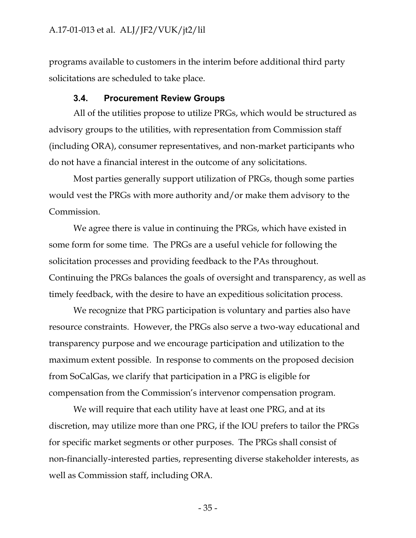programs available to customers in the interim before additional third party solicitations are scheduled to take place.

#### **3.4. Procurement Review Groups**

<span id="page-35-0"></span>All of the utilities propose to utilize PRGs, which would be structured as advisory groups to the utilities, with representation from Commission staff (including ORA), consumer representatives, and non-market participants who do not have a financial interest in the outcome of any solicitations.

Most parties generally support utilization of PRGs, though some parties would vest the PRGs with more authority and/or make them advisory to the Commission.

We agree there is value in continuing the PRGs, which have existed in some form for some time. The PRGs are a useful vehicle for following the solicitation processes and providing feedback to the PAs throughout. Continuing the PRGs balances the goals of oversight and transparency, as well as timely feedback, with the desire to have an expeditious solicitation process.

We recognize that PRG participation is voluntary and parties also have resource constraints. However, the PRGs also serve a two-way educational and transparency purpose and we encourage participation and utilization to the maximum extent possible. In response to comments on the proposed decision from SoCalGas, we clarify that participation in a PRG is eligible for compensation from the Commission's intervenor compensation program.

We will require that each utility have at least one PRG, and at its discretion, may utilize more than one PRG, if the IOU prefers to tailor the PRGs for specific market segments or other purposes. The PRGs shall consist of non-financially-interested parties, representing diverse stakeholder interests, as well as Commission staff, including ORA.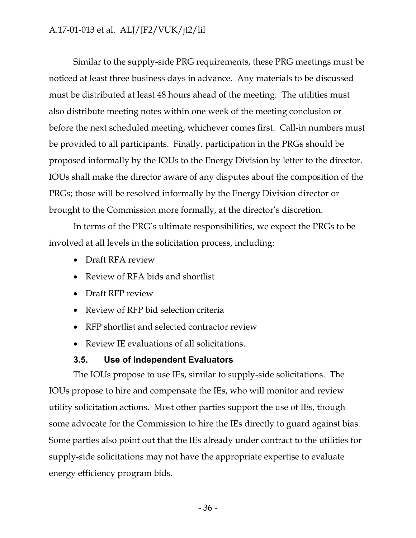Similar to the supply-side PRG requirements, these PRG meetings must be noticed at least three business days in advance. Any materials to be discussed must be distributed at least 48 hours ahead of the meeting. The utilities must also distribute meeting notes within one week of the meeting conclusion or before the next scheduled meeting, whichever comes first. Call-in numbers must be provided to all participants. Finally, participation in the PRGs should be proposed informally by the IOUs to the Energy Division by letter to the director. IOUs shall make the director aware of any disputes about the composition of the PRGs; those will be resolved informally by the Energy Division director or brought to the Commission more formally, at the director's discretion.

In terms of the PRG's ultimate responsibilities, we expect the PRGs to be involved at all levels in the solicitation process, including:

- Draft RFA review
- Review of RFA bids and shortlist
- Draft RFP review
- Review of RFP bid selection criteria
- RFP shortlist and selected contractor review
- Review IE evaluations of all solicitations.

## **3.5. Use of Independent Evaluators**

The IOUs propose to use IEs, similar to supply-side solicitations. The IOUs propose to hire and compensate the IEs, who will monitor and review utility solicitation actions. Most other parties support the use of IEs, though some advocate for the Commission to hire the IEs directly to guard against bias. Some parties also point out that the IEs already under contract to the utilities for supply-side solicitations may not have the appropriate expertise to evaluate energy efficiency program bids.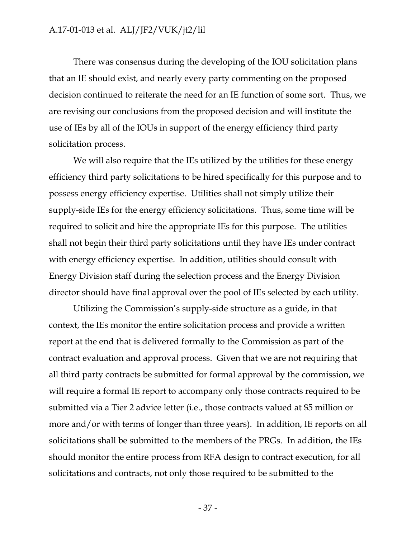There was consensus during the developing of the IOU solicitation plans that an IE should exist, and nearly every party commenting on the proposed decision continued to reiterate the need for an IE function of some sort. Thus, we are revising our conclusions from the proposed decision and will institute the use of IEs by all of the IOUs in support of the energy efficiency third party solicitation process.

We will also require that the IEs utilized by the utilities for these energy efficiency third party solicitations to be hired specifically for this purpose and to possess energy efficiency expertise. Utilities shall not simply utilize their supply-side IEs for the energy efficiency solicitations. Thus, some time will be required to solicit and hire the appropriate IEs for this purpose. The utilities shall not begin their third party solicitations until they have IEs under contract with energy efficiency expertise. In addition, utilities should consult with Energy Division staff during the selection process and the Energy Division director should have final approval over the pool of IEs selected by each utility.

Utilizing the Commission's supply-side structure as a guide, in that context, the IEs monitor the entire solicitation process and provide a written report at the end that is delivered formally to the Commission as part of the contract evaluation and approval process. Given that we are not requiring that all third party contracts be submitted for formal approval by the commission, we will require a formal IE report to accompany only those contracts required to be submitted via a Tier 2 advice letter (i.e., those contracts valued at \$5 million or more and/or with terms of longer than three years). In addition, IE reports on all solicitations shall be submitted to the members of the PRGs. In addition, the IEs should monitor the entire process from RFA design to contract execution, for all solicitations and contracts, not only those required to be submitted to the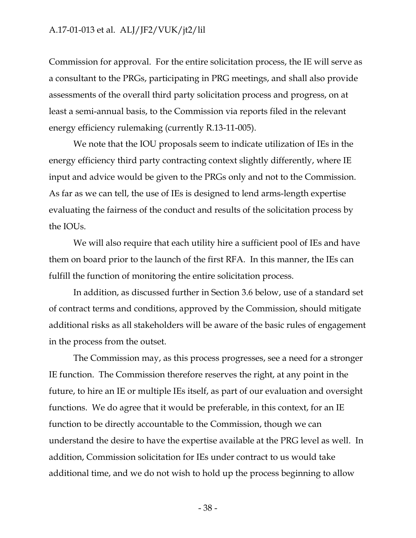Commission for approval. For the entire solicitation process, the IE will serve as a consultant to the PRGs, participating in PRG meetings, and shall also provide assessments of the overall third party solicitation process and progress, on at least a semi-annual basis, to the Commission via reports filed in the relevant energy efficiency rulemaking (currently R.13-11-005).

We note that the IOU proposals seem to indicate utilization of IEs in the energy efficiency third party contracting context slightly differently, where IE input and advice would be given to the PRGs only and not to the Commission. As far as we can tell, the use of IEs is designed to lend arms-length expertise evaluating the fairness of the conduct and results of the solicitation process by the IOUs.

We will also require that each utility hire a sufficient pool of IEs and have them on board prior to the launch of the first RFA. In this manner, the IEs can fulfill the function of monitoring the entire solicitation process.

In addition, as discussed further in Section 3.6 below, use of a standard set of contract terms and conditions, approved by the Commission, should mitigate additional risks as all stakeholders will be aware of the basic rules of engagement in the process from the outset.

The Commission may, as this process progresses, see a need for a stronger IE function. The Commission therefore reserves the right, at any point in the future, to hire an IE or multiple IEs itself, as part of our evaluation and oversight functions. We do agree that it would be preferable, in this context, for an IE function to be directly accountable to the Commission, though we can understand the desire to have the expertise available at the PRG level as well. In addition, Commission solicitation for IEs under contract to us would take additional time, and we do not wish to hold up the process beginning to allow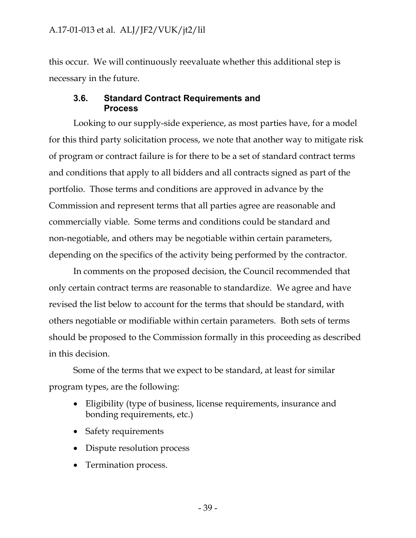this occur. We will continuously reevaluate whether this additional step is necessary in the future.

## **3.6. Standard Contract Requirements and Process**

Looking to our supply-side experience, as most parties have, for a model for this third party solicitation process, we note that another way to mitigate risk of program or contract failure is for there to be a set of standard contract terms and conditions that apply to all bidders and all contracts signed as part of the portfolio. Those terms and conditions are approved in advance by the Commission and represent terms that all parties agree are reasonable and commercially viable. Some terms and conditions could be standard and non-negotiable, and others may be negotiable within certain parameters, depending on the specifics of the activity being performed by the contractor.

In comments on the proposed decision, the Council recommended that only certain contract terms are reasonable to standardize. We agree and have revised the list below to account for the terms that should be standard, with others negotiable or modifiable within certain parameters. Both sets of terms should be proposed to the Commission formally in this proceeding as described in this decision.

Some of the terms that we expect to be standard, at least for similar program types, are the following:

- Eligibility (type of business, license requirements, insurance and bonding requirements, etc.)
- Safety requirements
- Dispute resolution process
- Termination process.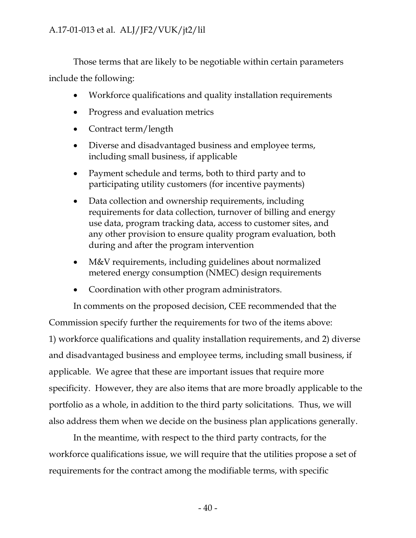Those terms that are likely to be negotiable within certain parameters include the following:

- Workforce qualifications and quality installation requirements
- Progress and evaluation metrics
- Contract term/length
- Diverse and disadvantaged business and employee terms, including small business, if applicable
- Payment schedule and terms, both to third party and to participating utility customers (for incentive payments)
- Data collection and ownership requirements, including requirements for data collection, turnover of billing and energy use data, program tracking data, access to customer sites, and any other provision to ensure quality program evaluation, both during and after the program intervention
- M&V requirements, including guidelines about normalized metered energy consumption (NMEC) design requirements
- Coordination with other program administrators.

In comments on the proposed decision, CEE recommended that the Commission specify further the requirements for two of the items above: 1) workforce qualifications and quality installation requirements, and 2) diverse and disadvantaged business and employee terms, including small business, if applicable. We agree that these are important issues that require more specificity. However, they are also items that are more broadly applicable to the portfolio as a whole, in addition to the third party solicitations. Thus, we will also address them when we decide on the business plan applications generally.

In the meantime, with respect to the third party contracts, for the workforce qualifications issue, we will require that the utilities propose a set of requirements for the contract among the modifiable terms, with specific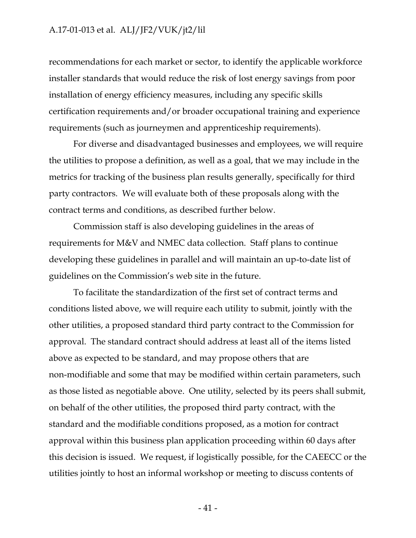recommendations for each market or sector, to identify the applicable workforce installer standards that would reduce the risk of lost energy savings from poor installation of energy efficiency measures, including any specific skills certification requirements and/or broader occupational training and experience requirements (such as journeymen and apprenticeship requirements).

For diverse and disadvantaged businesses and employees, we will require the utilities to propose a definition, as well as a goal, that we may include in the metrics for tracking of the business plan results generally, specifically for third party contractors. We will evaluate both of these proposals along with the contract terms and conditions, as described further below.

Commission staff is also developing guidelines in the areas of requirements for M&V and NMEC data collection. Staff plans to continue developing these guidelines in parallel and will maintain an up-to-date list of guidelines on the Commission's web site in the future.

To facilitate the standardization of the first set of contract terms and conditions listed above, we will require each utility to submit, jointly with the other utilities, a proposed standard third party contract to the Commission for approval. The standard contract should address at least all of the items listed above as expected to be standard, and may propose others that are non-modifiable and some that may be modified within certain parameters, such as those listed as negotiable above. One utility, selected by its peers shall submit, on behalf of the other utilities, the proposed third party contract, with the standard and the modifiable conditions proposed, as a motion for contract approval within this business plan application proceeding within 60 days after this decision is issued. We request, if logistically possible, for the CAEECC or the utilities jointly to host an informal workshop or meeting to discuss contents of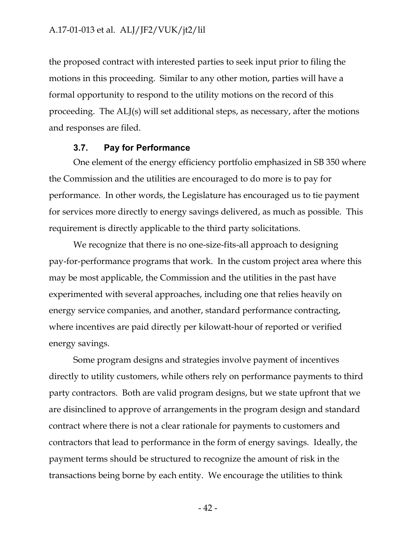the proposed contract with interested parties to seek input prior to filing the motions in this proceeding. Similar to any other motion, parties will have a formal opportunity to respond to the utility motions on the record of this proceeding. The ALJ(s) will set additional steps, as necessary, after the motions and responses are filed.

#### **3.7. Pay for Performance**

One element of the energy efficiency portfolio emphasized in SB 350 where the Commission and the utilities are encouraged to do more is to pay for performance. In other words, the Legislature has encouraged us to tie payment for services more directly to energy savings delivered, as much as possible. This requirement is directly applicable to the third party solicitations.

We recognize that there is no one-size-fits-all approach to designing pay-for-performance programs that work. In the custom project area where this may be most applicable, the Commission and the utilities in the past have experimented with several approaches, including one that relies heavily on energy service companies, and another, standard performance contracting, where incentives are paid directly per kilowatt-hour of reported or verified energy savings.

Some program designs and strategies involve payment of incentives directly to utility customers, while others rely on performance payments to third party contractors. Both are valid program designs, but we state upfront that we are disinclined to approve of arrangements in the program design and standard contract where there is not a clear rationale for payments to customers and contractors that lead to performance in the form of energy savings. Ideally, the payment terms should be structured to recognize the amount of risk in the transactions being borne by each entity. We encourage the utilities to think

- 42 -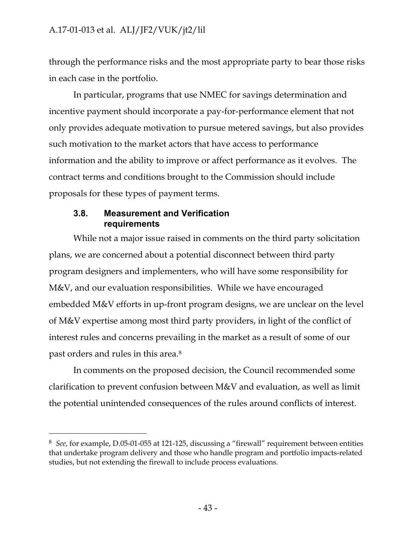through the performance risks and the most appropriate party to bear those risks in each case in the portfolio.

In particular, programs that use NMEC for savings determination and incentive payment should incorporate a pay-for-performance element that not only provides adequate motivation to pursue metered savings, but also provides such motivation to the market actors that have access to performance information and the ability to improve or affect performance as it evolves. The contract terms and conditions brought to the Commission should include proposals for these types of payment terms.

## **3.8. Measurement and Verification requirements**

 $\overline{a}$ 

While not a major issue raised in comments on the third party solicitation plans, we are concerned about a potential disconnect between third party program designers and implementers, who will have some responsibility for M&V, and our evaluation responsibilities. While we have encouraged embedded M&V efforts in up-front program designs, we are unclear on the level of M&V expertise among most third party providers, in light of the conflict of interest rules and concerns prevailing in the market as a result of some of our past orders and rules in this area.<sup>8</sup>

In comments on the proposed decision, the Council recommended some clarification to prevent confusion between M&V and evaluation, as well as limit the potential unintended consequences of the rules around conflicts of interest.

<sup>8</sup> *See*, for example, D.05-01-055 at 121-125, discussing a "firewall" requirement between entities that undertake program delivery and those who handle program and portfolio impacts-related studies, but not extending the firewall to include process evaluations.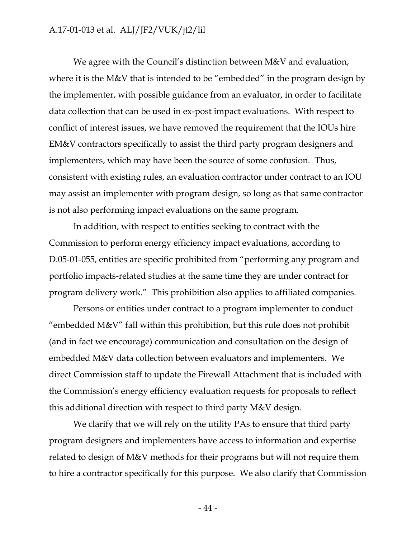We agree with the Council's distinction between M&V and evaluation, where it is the M&V that is intended to be "embedded" in the program design by the implementer, with possible guidance from an evaluator, in order to facilitate data collection that can be used in ex-post impact evaluations. With respect to conflict of interest issues, we have removed the requirement that the IOUs hire EM&V contractors specifically to assist the third party program designers and implementers, which may have been the source of some confusion. Thus, consistent with existing rules, an evaluation contractor under contract to an IOU may assist an implementer with program design, so long as that same contractor is not also performing impact evaluations on the same program.

In addition, with respect to entities seeking to contract with the Commission to perform energy efficiency impact evaluations, according to D.05-01-055, entities are specific prohibited from "performing any program and portfolio impacts-related studies at the same time they are under contract for program delivery work." This prohibition also applies to affiliated companies.

Persons or entities under contract to a program implementer to conduct "embedded M&V" fall within this prohibition, but this rule does not prohibit (and in fact we encourage) communication and consultation on the design of embedded M&V data collection between evaluators and implementers. We direct Commission staff to update the Firewall Attachment that is included with the Commission's energy efficiency evaluation requests for proposals to reflect this additional direction with respect to third party M&V design.

We clarify that we will rely on the utility PAs to ensure that third party program designers and implementers have access to information and expertise related to design of M&V methods for their programs but will not require them to hire a contractor specifically for this purpose. We also clarify that Commission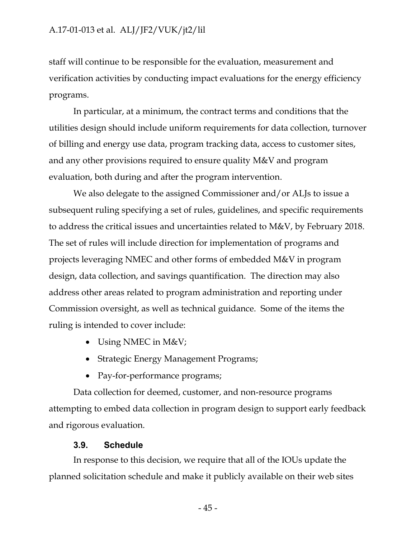staff will continue to be responsible for the evaluation, measurement and verification activities by conducting impact evaluations for the energy efficiency programs.

In particular, at a minimum, the contract terms and conditions that the utilities design should include uniform requirements for data collection, turnover of billing and energy use data, program tracking data, access to customer sites, and any other provisions required to ensure quality M&V and program evaluation, both during and after the program intervention.

We also delegate to the assigned Commissioner and/or ALJs to issue a subsequent ruling specifying a set of rules, guidelines, and specific requirements to address the critical issues and uncertainties related to M&V, by February 2018. The set of rules will include direction for implementation of programs and projects leveraging NMEC and other forms of embedded M&V in program design, data collection, and savings quantification. The direction may also address other areas related to program administration and reporting under Commission oversight, as well as technical guidance. Some of the items the ruling is intended to cover include:

- Using NMEC in M&V;
- Strategic Energy Management Programs;
- Pay-for-performance programs;

Data collection for deemed, customer, and non-resource programs attempting to embed data collection in program design to support early feedback and rigorous evaluation.

## **3.9. Schedule**

In response to this decision, we require that all of the IOUs update the planned solicitation schedule and make it publicly available on their web sites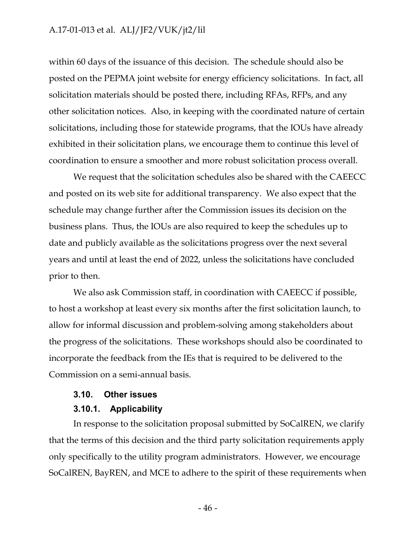within 60 days of the issuance of this decision. The schedule should also be posted on the PEPMA joint website for energy efficiency solicitations. In fact, all solicitation materials should be posted there, including RFAs, RFPs, and any other solicitation notices. Also, in keeping with the coordinated nature of certain solicitations, including those for statewide programs, that the IOUs have already exhibited in their solicitation plans, we encourage them to continue this level of coordination to ensure a smoother and more robust solicitation process overall.

We request that the solicitation schedules also be shared with the CAEECC and posted on its web site for additional transparency. We also expect that the schedule may change further after the Commission issues its decision on the business plans. Thus, the IOUs are also required to keep the schedules up to date and publicly available as the solicitations progress over the next several years and until at least the end of 2022, unless the solicitations have concluded prior to then.

We also ask Commission staff, in coordination with CAEECC if possible, to host a workshop at least every six months after the first solicitation launch, to allow for informal discussion and problem-solving among stakeholders about the progress of the solicitations. These workshops should also be coordinated to incorporate the feedback from the IEs that is required to be delivered to the Commission on a semi-annual basis.

#### **3.10. Other issues**

#### **3.10.1. Applicability**

In response to the solicitation proposal submitted by SoCalREN, we clarify that the terms of this decision and the third party solicitation requirements apply only specifically to the utility program administrators. However, we encourage SoCalREN, BayREN, and MCE to adhere to the spirit of these requirements when

- 46 -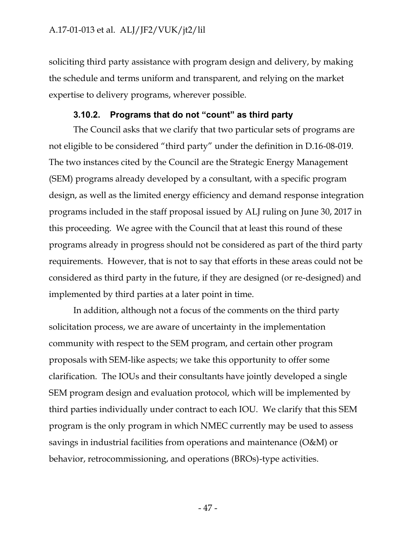soliciting third party assistance with program design and delivery, by making the schedule and terms uniform and transparent, and relying on the market expertise to delivery programs, wherever possible.

## **3.10.2. Programs that do not "count" as third party**

The Council asks that we clarify that two particular sets of programs are not eligible to be considered "third party" under the definition in D.16-08-019. The two instances cited by the Council are the Strategic Energy Management (SEM) programs already developed by a consultant, with a specific program design, as well as the limited energy efficiency and demand response integration programs included in the staff proposal issued by ALJ ruling on June 30, 2017 in this proceeding. We agree with the Council that at least this round of these programs already in progress should not be considered as part of the third party requirements. However, that is not to say that efforts in these areas could not be considered as third party in the future, if they are designed (or re-designed) and implemented by third parties at a later point in time.

In addition, although not a focus of the comments on the third party solicitation process, we are aware of uncertainty in the implementation community with respect to the SEM program, and certain other program proposals with SEM-like aspects; we take this opportunity to offer some clarification. The IOUs and their consultants have jointly developed a single SEM program design and evaluation protocol, which will be implemented by third parties individually under contract to each IOU. We clarify that this SEM program is the only program in which NMEC currently may be used to assess savings in industrial facilities from operations and maintenance (O&M) or behavior, retrocommissioning, and operations (BROs)-type activities.

- 47 -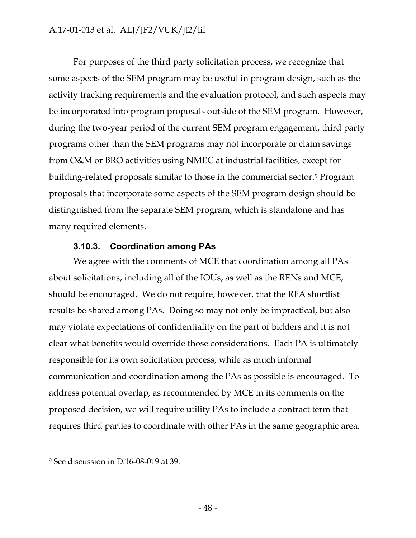For purposes of the third party solicitation process, we recognize that some aspects of the SEM program may be useful in program design, such as the activity tracking requirements and the evaluation protocol, and such aspects may be incorporated into program proposals outside of the SEM program. However, during the two-year period of the current SEM program engagement, third party programs other than the SEM programs may not incorporate or claim savings from O&M or BRO activities using NMEC at industrial facilities, except for building-related proposals similar to those in the commercial sector.<sup>9</sup> Program proposals that incorporate some aspects of the SEM program design should be distinguished from the separate SEM program, which is standalone and has many required elements.

## **3.10.3. Coordination among PAs**

We agree with the comments of MCE that coordination among all PAs about solicitations, including all of the IOUs, as well as the RENs and MCE, should be encouraged. We do not require, however, that the RFA shortlist results be shared among PAs. Doing so may not only be impractical, but also may violate expectations of confidentiality on the part of bidders and it is not clear what benefits would override those considerations. Each PA is ultimately responsible for its own solicitation process, while as much informal communication and coordination among the PAs as possible is encouraged. To address potential overlap, as recommended by MCE in its comments on the proposed decision, we will require utility PAs to include a contract term that requires third parties to coordinate with other PAs in the same geographic area.

 $\overline{a}$ 

<sup>9</sup> See discussion in D.16-08-019 at 39.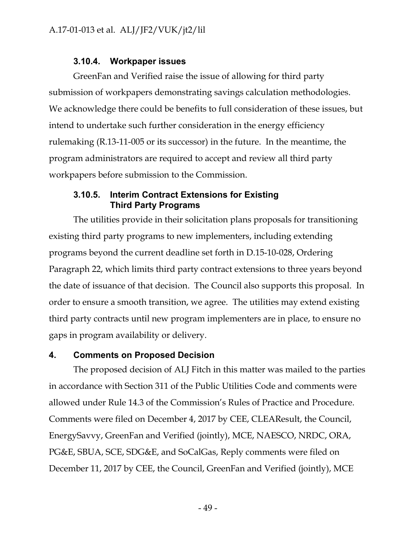## **3.10.4. Workpaper issues**

GreenFan and Verified raise the issue of allowing for third party submission of workpapers demonstrating savings calculation methodologies. We acknowledge there could be benefits to full consideration of these issues, but intend to undertake such further consideration in the energy efficiency rulemaking (R.13-11-005 or its successor) in the future. In the meantime, the program administrators are required to accept and review all third party workpapers before submission to the Commission.

## **3.10.5. Interim Contract Extensions for Existing Third Party Programs**

The utilities provide in their solicitation plans proposals for transitioning existing third party programs to new implementers, including extending programs beyond the current deadline set forth in D.15-10-028, Ordering Paragraph 22, which limits third party contract extensions to three years beyond the date of issuance of that decision. The Council also supports this proposal. In order to ensure a smooth transition, we agree. The utilities may extend existing third party contracts until new program implementers are in place, to ensure no gaps in program availability or delivery.

## **4. Comments on Proposed Decision**

The proposed decision of ALJ Fitch in this matter was mailed to the parties in accordance with Section 311 of the Public Utilities Code and comments were allowed under Rule 14.3 of the Commission's Rules of Practice and Procedure. Comments were filed on December 4, 2017 by CEE, CLEAResult, the Council, EnergySavvy, GreenFan and Verified (jointly), MCE, NAESCO, NRDC, ORA, PG&E, SBUA, SCE, SDG&E, and SoCalGas, Reply comments were filed on December 11, 2017 by CEE, the Council, GreenFan and Verified (jointly), MCE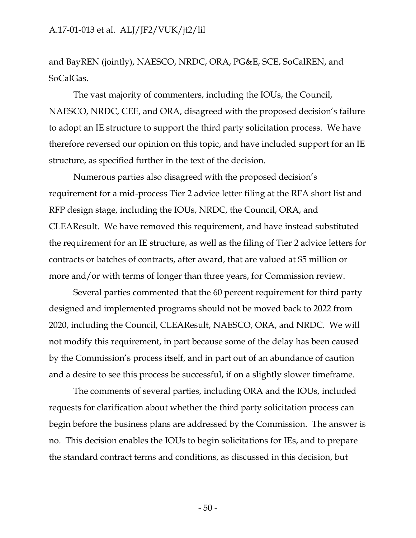and BayREN (jointly), NAESCO, NRDC, ORA, PG&E, SCE, SoCalREN, and SoCalGas.

The vast majority of commenters, including the IOUs, the Council, NAESCO, NRDC, CEE, and ORA, disagreed with the proposed decision's failure to adopt an IE structure to support the third party solicitation process. We have therefore reversed our opinion on this topic, and have included support for an IE structure, as specified further in the text of the decision.

Numerous parties also disagreed with the proposed decision's requirement for a mid-process Tier 2 advice letter filing at the RFA short list and RFP design stage, including the IOUs, NRDC, the Council, ORA, and CLEAResult. We have removed this requirement, and have instead substituted the requirement for an IE structure, as well as the filing of Tier 2 advice letters for contracts or batches of contracts, after award, that are valued at \$5 million or more and/or with terms of longer than three years, for Commission review.

Several parties commented that the 60 percent requirement for third party designed and implemented programs should not be moved back to 2022 from 2020, including the Council, CLEAResult, NAESCO, ORA, and NRDC. We will not modify this requirement, in part because some of the delay has been caused by the Commission's process itself, and in part out of an abundance of caution and a desire to see this process be successful, if on a slightly slower timeframe.

The comments of several parties, including ORA and the IOUs, included requests for clarification about whether the third party solicitation process can begin before the business plans are addressed by the Commission. The answer is no. This decision enables the IOUs to begin solicitations for IEs, and to prepare the standard contract terms and conditions, as discussed in this decision, but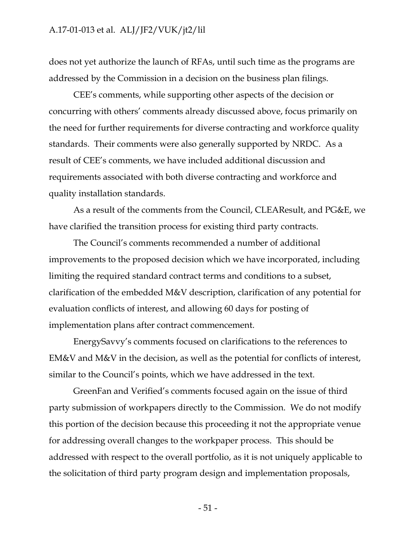does not yet authorize the launch of RFAs, until such time as the programs are addressed by the Commission in a decision on the business plan filings.

CEE's comments, while supporting other aspects of the decision or concurring with others' comments already discussed above, focus primarily on the need for further requirements for diverse contracting and workforce quality standards. Their comments were also generally supported by NRDC. As a result of CEE's comments, we have included additional discussion and requirements associated with both diverse contracting and workforce and quality installation standards.

As a result of the comments from the Council, CLEAResult, and PG&E, we have clarified the transition process for existing third party contracts.

The Council's comments recommended a number of additional improvements to the proposed decision which we have incorporated, including limiting the required standard contract terms and conditions to a subset, clarification of the embedded M&V description, clarification of any potential for evaluation conflicts of interest, and allowing 60 days for posting of implementation plans after contract commencement.

EnergySavvy's comments focused on clarifications to the references to EM&V and M&V in the decision, as well as the potential for conflicts of interest, similar to the Council's points, which we have addressed in the text.

GreenFan and Verified's comments focused again on the issue of third party submission of workpapers directly to the Commission. We do not modify this portion of the decision because this proceeding it not the appropriate venue for addressing overall changes to the workpaper process. This should be addressed with respect to the overall portfolio, as it is not uniquely applicable to the solicitation of third party program design and implementation proposals,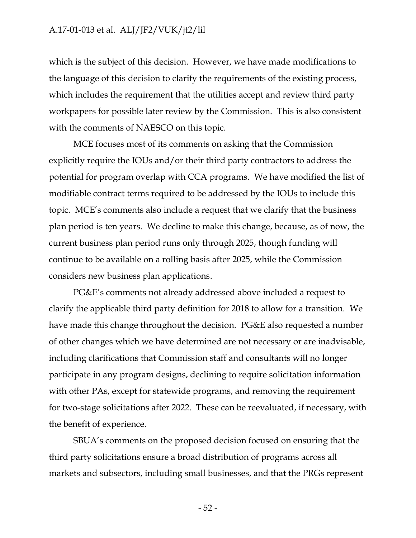which is the subject of this decision. However, we have made modifications to the language of this decision to clarify the requirements of the existing process, which includes the requirement that the utilities accept and review third party workpapers for possible later review by the Commission. This is also consistent with the comments of NAESCO on this topic.

MCE focuses most of its comments on asking that the Commission explicitly require the IOUs and/or their third party contractors to address the potential for program overlap with CCA programs. We have modified the list of modifiable contract terms required to be addressed by the IOUs to include this topic. MCE's comments also include a request that we clarify that the business plan period is ten years. We decline to make this change, because, as of now, the current business plan period runs only through 2025, though funding will continue to be available on a rolling basis after 2025, while the Commission considers new business plan applications.

PG&E's comments not already addressed above included a request to clarify the applicable third party definition for 2018 to allow for a transition. We have made this change throughout the decision. PG&E also requested a number of other changes which we have determined are not necessary or are inadvisable, including clarifications that Commission staff and consultants will no longer participate in any program designs, declining to require solicitation information with other PAs, except for statewide programs, and removing the requirement for two-stage solicitations after 2022. These can be reevaluated, if necessary, with the benefit of experience.

SBUA's comments on the proposed decision focused on ensuring that the third party solicitations ensure a broad distribution of programs across all markets and subsectors, including small businesses, and that the PRGs represent

- 52 -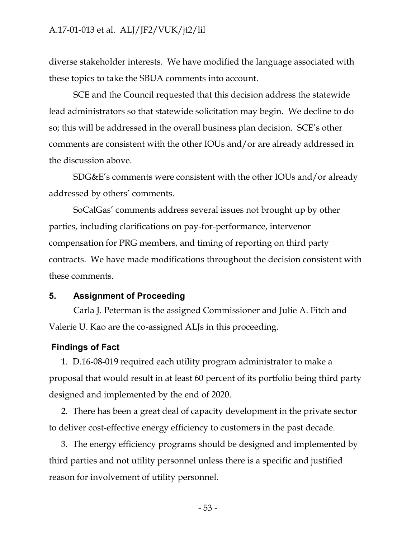diverse stakeholder interests. We have modified the language associated with these topics to take the SBUA comments into account.

SCE and the Council requested that this decision address the statewide lead administrators so that statewide solicitation may begin. We decline to do so; this will be addressed in the overall business plan decision. SCE's other comments are consistent with the other IOUs and/or are already addressed in the discussion above.

SDG&E's comments were consistent with the other IOUs and/or already addressed by others' comments.

SoCalGas' comments address several issues not brought up by other parties, including clarifications on pay-for-performance, intervenor compensation for PRG members, and timing of reporting on third party contracts. We have made modifications throughout the decision consistent with these comments.

#### **5. Assignment of Proceeding**

Carla J. Peterman is the assigned Commissioner and Julie A. Fitch and Valerie U. Kao are the co-assigned ALJs in this proceeding.

#### **Findings of Fact**

1. D.16-08-019 required each utility program administrator to make a proposal that would result in at least 60 percent of its portfolio being third party designed and implemented by the end of 2020.

2. There has been a great deal of capacity development in the private sector to deliver cost-effective energy efficiency to customers in the past decade.

3. The energy efficiency programs should be designed and implemented by third parties and not utility personnel unless there is a specific and justified reason for involvement of utility personnel.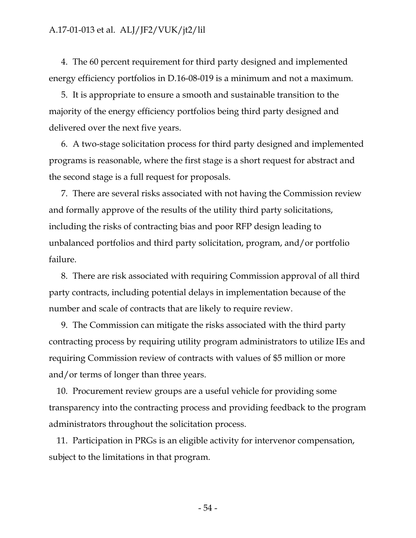4. The 60 percent requirement for third party designed and implemented energy efficiency portfolios in D.16-08-019 is a minimum and not a maximum.

5. It is appropriate to ensure a smooth and sustainable transition to the majority of the energy efficiency portfolios being third party designed and delivered over the next five years.

6. A two-stage solicitation process for third party designed and implemented programs is reasonable, where the first stage is a short request for abstract and the second stage is a full request for proposals.

7. There are several risks associated with not having the Commission review and formally approve of the results of the utility third party solicitations, including the risks of contracting bias and poor RFP design leading to unbalanced portfolios and third party solicitation, program, and/or portfolio failure.

8. There are risk associated with requiring Commission approval of all third party contracts, including potential delays in implementation because of the number and scale of contracts that are likely to require review.

9. The Commission can mitigate the risks associated with the third party contracting process by requiring utility program administrators to utilize IEs and requiring Commission review of contracts with values of \$5 million or more and/or terms of longer than three years.

10. Procurement review groups are a useful vehicle for providing some transparency into the contracting process and providing feedback to the program administrators throughout the solicitation process.

11. Participation in PRGs is an eligible activity for intervenor compensation, subject to the limitations in that program.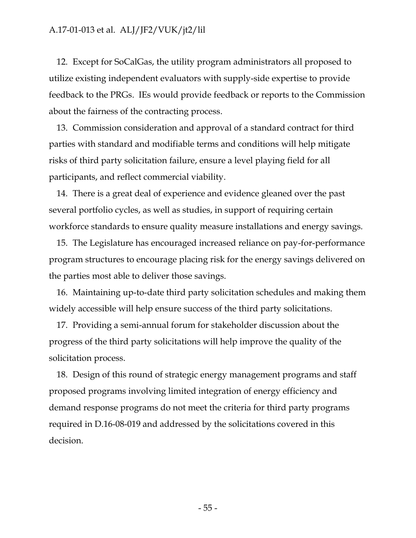12. Except for SoCalGas, the utility program administrators all proposed to utilize existing independent evaluators with supply-side expertise to provide feedback to the PRGs. IEs would provide feedback or reports to the Commission about the fairness of the contracting process.

13. Commission consideration and approval of a standard contract for third parties with standard and modifiable terms and conditions will help mitigate risks of third party solicitation failure, ensure a level playing field for all participants, and reflect commercial viability.

14. There is a great deal of experience and evidence gleaned over the past several portfolio cycles, as well as studies, in support of requiring certain workforce standards to ensure quality measure installations and energy savings.

15. The Legislature has encouraged increased reliance on pay-for-performance program structures to encourage placing risk for the energy savings delivered on the parties most able to deliver those savings.

16. Maintaining up-to-date third party solicitation schedules and making them widely accessible will help ensure success of the third party solicitations.

17. Providing a semi-annual forum for stakeholder discussion about the progress of the third party solicitations will help improve the quality of the solicitation process.

18. Design of this round of strategic energy management programs and staff proposed programs involving limited integration of energy efficiency and demand response programs do not meet the criteria for third party programs required in D.16-08-019 and addressed by the solicitations covered in this decision.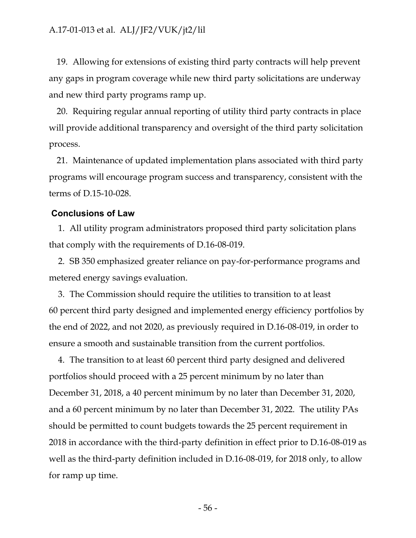19. Allowing for extensions of existing third party contracts will help prevent any gaps in program coverage while new third party solicitations are underway and new third party programs ramp up.

20. Requiring regular annual reporting of utility third party contracts in place will provide additional transparency and oversight of the third party solicitation process.

21. Maintenance of updated implementation plans associated with third party programs will encourage program success and transparency, consistent with the terms of D.15-10-028.

#### **Conclusions of Law**

1. All utility program administrators proposed third party solicitation plans that comply with the requirements of D.16-08-019.

2. SB 350 emphasized greater reliance on pay-for-performance programs and metered energy savings evaluation.

3. The Commission should require the utilities to transition to at least 60 percent third party designed and implemented energy efficiency portfolios by the end of 2022, and not 2020, as previously required in D.16-08-019, in order to ensure a smooth and sustainable transition from the current portfolios.

4. The transition to at least 60 percent third party designed and delivered portfolios should proceed with a 25 percent minimum by no later than December 31, 2018, a 40 percent minimum by no later than December 31, 2020, and a 60 percent minimum by no later than December 31, 2022. The utility PAs should be permitted to count budgets towards the 25 percent requirement in 2018 in accordance with the third-party definition in effect prior to D.16-08-019 as well as the third-party definition included in D.16-08-019, for 2018 only, to allow for ramp up time.

- 56 -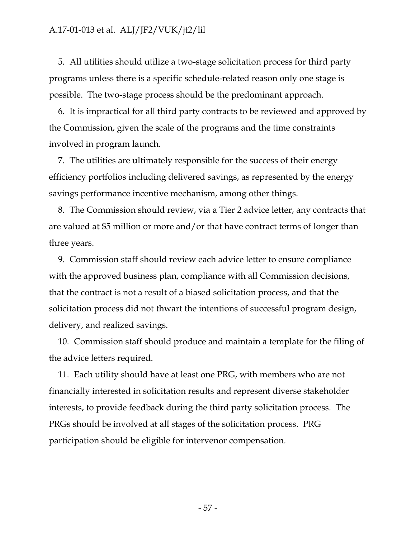5. All utilities should utilize a two-stage solicitation process for third party programs unless there is a specific schedule-related reason only one stage is possible. The two-stage process should be the predominant approach.

6. It is impractical for all third party contracts to be reviewed and approved by the Commission, given the scale of the programs and the time constraints involved in program launch.

7. The utilities are ultimately responsible for the success of their energy efficiency portfolios including delivered savings, as represented by the energy savings performance incentive mechanism, among other things.

8. The Commission should review, via a Tier 2 advice letter, any contracts that are valued at \$5 million or more and/or that have contract terms of longer than three years.

9. Commission staff should review each advice letter to ensure compliance with the approved business plan, compliance with all Commission decisions, that the contract is not a result of a biased solicitation process, and that the solicitation process did not thwart the intentions of successful program design, delivery, and realized savings.

10. Commission staff should produce and maintain a template for the filing of the advice letters required.

11. Each utility should have at least one PRG, with members who are not financially interested in solicitation results and represent diverse stakeholder interests, to provide feedback during the third party solicitation process. The PRGs should be involved at all stages of the solicitation process. PRG participation should be eligible for intervenor compensation.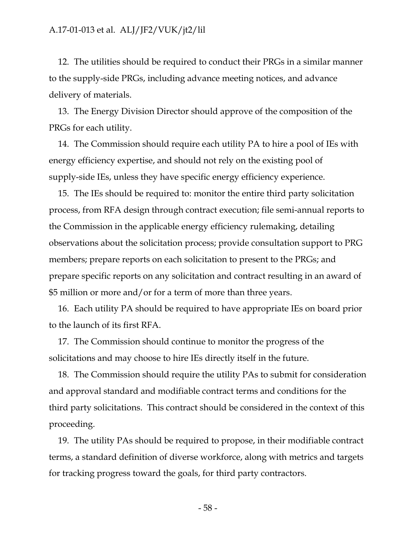12. The utilities should be required to conduct their PRGs in a similar manner to the supply-side PRGs, including advance meeting notices, and advance delivery of materials.

13. The Energy Division Director should approve of the composition of the PRGs for each utility.

14. The Commission should require each utility PA to hire a pool of IEs with energy efficiency expertise, and should not rely on the existing pool of supply-side IEs, unless they have specific energy efficiency experience.

15. The IEs should be required to: monitor the entire third party solicitation process, from RFA design through contract execution; file semi-annual reports to the Commission in the applicable energy efficiency rulemaking, detailing observations about the solicitation process; provide consultation support to PRG members; prepare reports on each solicitation to present to the PRGs; and prepare specific reports on any solicitation and contract resulting in an award of \$5 million or more and/or for a term of more than three years.

16. Each utility PA should be required to have appropriate IEs on board prior to the launch of its first RFA.

17. The Commission should continue to monitor the progress of the solicitations and may choose to hire IEs directly itself in the future.

18. The Commission should require the utility PAs to submit for consideration and approval standard and modifiable contract terms and conditions for the third party solicitations. This contract should be considered in the context of this proceeding.

19. The utility PAs should be required to propose, in their modifiable contract terms, a standard definition of diverse workforce, along with metrics and targets for tracking progress toward the goals, for third party contractors.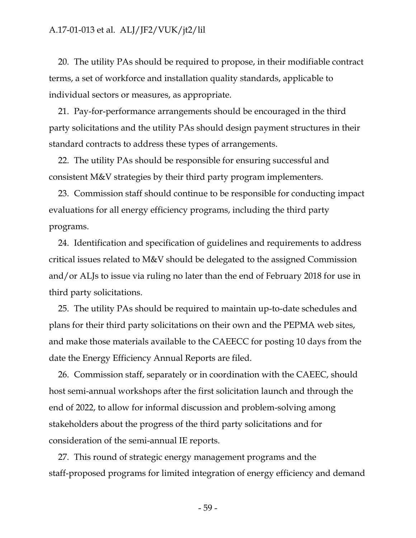20. The utility PAs should be required to propose, in their modifiable contract terms, a set of workforce and installation quality standards, applicable to individual sectors or measures, as appropriate.

21. Pay-for-performance arrangements should be encouraged in the third party solicitations and the utility PAs should design payment structures in their standard contracts to address these types of arrangements.

22. The utility PAs should be responsible for ensuring successful and consistent M&V strategies by their third party program implementers.

23. Commission staff should continue to be responsible for conducting impact evaluations for all energy efficiency programs, including the third party programs.

24. Identification and specification of guidelines and requirements to address critical issues related to M&V should be delegated to the assigned Commission and/or ALJs to issue via ruling no later than the end of February 2018 for use in third party solicitations.

25. The utility PAs should be required to maintain up-to-date schedules and plans for their third party solicitations on their own and the PEPMA web sites, and make those materials available to the CAEECC for posting 10 days from the date the Energy Efficiency Annual Reports are filed.

26. Commission staff, separately or in coordination with the CAEEC, should host semi-annual workshops after the first solicitation launch and through the end of 2022, to allow for informal discussion and problem-solving among stakeholders about the progress of the third party solicitations and for consideration of the semi-annual IE reports.

27. This round of strategic energy management programs and the staff-proposed programs for limited integration of energy efficiency and demand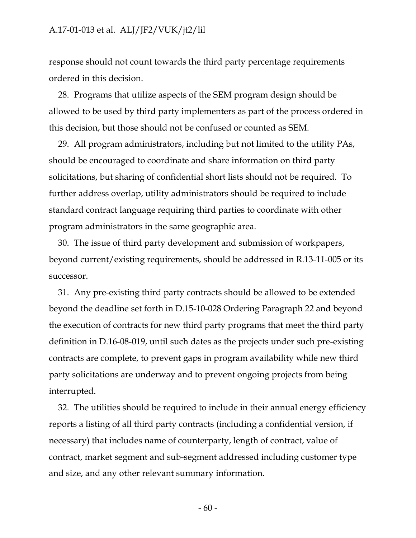response should not count towards the third party percentage requirements ordered in this decision.

28. Programs that utilize aspects of the SEM program design should be allowed to be used by third party implementers as part of the process ordered in this decision, but those should not be confused or counted as SEM.

29. All program administrators, including but not limited to the utility PAs, should be encouraged to coordinate and share information on third party solicitations, but sharing of confidential short lists should not be required. To further address overlap, utility administrators should be required to include standard contract language requiring third parties to coordinate with other program administrators in the same geographic area.

30. The issue of third party development and submission of workpapers, beyond current/existing requirements, should be addressed in R.13-11-005 or its successor.

31. Any pre-existing third party contracts should be allowed to be extended beyond the deadline set forth in D.15-10-028 Ordering Paragraph 22 and beyond the execution of contracts for new third party programs that meet the third party definition in D.16-08-019, until such dates as the projects under such pre-existing contracts are complete, to prevent gaps in program availability while new third party solicitations are underway and to prevent ongoing projects from being interrupted.

32. The utilities should be required to include in their annual energy efficiency reports a listing of all third party contracts (including a confidential version, if necessary) that includes name of counterparty, length of contract, value of contract, market segment and sub-segment addressed including customer type and size, and any other relevant summary information.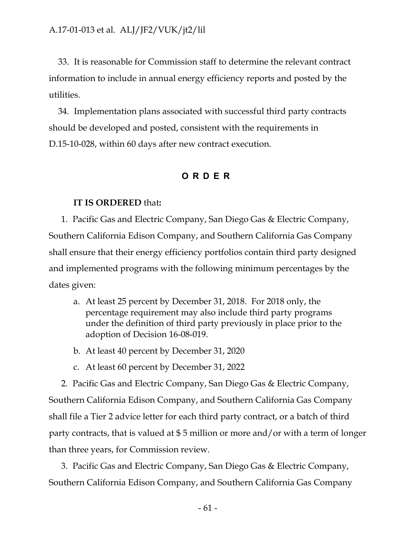33. It is reasonable for Commission staff to determine the relevant contract information to include in annual energy efficiency reports and posted by the utilities.

34. Implementation plans associated with successful third party contracts should be developed and posted, consistent with the requirements in D.15-10-028, within 60 days after new contract execution.

## **ORDER**

#### **IT IS ORDERED** that**:**

1. Pacific Gas and Electric Company, San Diego Gas & Electric Company, Southern California Edison Company, and Southern California Gas Company shall ensure that their energy efficiency portfolios contain third party designed and implemented programs with the following minimum percentages by the dates given:

- a. At least 25 percent by December 31, 2018. For 2018 only, the percentage requirement may also include third party programs under the definition of third party previously in place prior to the adoption of Decision 16-08-019.
- b. At least 40 percent by December 31, 2020
- c. At least 60 percent by December 31, 2022

2. Pacific Gas and Electric Company, San Diego Gas & Electric Company, Southern California Edison Company, and Southern California Gas Company shall file a Tier 2 advice letter for each third party contract, or a batch of third party contracts, that is valued at \$ 5 million or more and/or with a term of longer than three years, for Commission review.

3. Pacific Gas and Electric Company, San Diego Gas & Electric Company, Southern California Edison Company, and Southern California Gas Company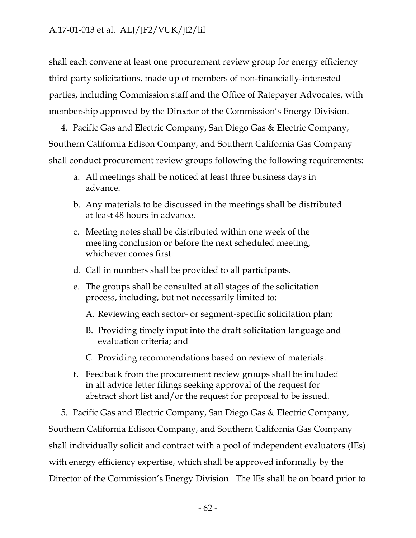shall each convene at least one procurement review group for energy efficiency third party solicitations, made up of members of non-financially-interested parties, including Commission staff and the Office of Ratepayer Advocates, with membership approved by the Director of the Commission's Energy Division.

4. Pacific Gas and Electric Company, San Diego Gas & Electric Company, Southern California Edison Company, and Southern California Gas Company shall conduct procurement review groups following the following requirements:

- a. All meetings shall be noticed at least three business days in advance.
- b. Any materials to be discussed in the meetings shall be distributed at least 48 hours in advance.
- c. Meeting notes shall be distributed within one week of the meeting conclusion or before the next scheduled meeting, whichever comes first.
- d. Call in numbers shall be provided to all participants.
- e. The groups shall be consulted at all stages of the solicitation process, including, but not necessarily limited to:
	- A. Reviewing each sector- or segment-specific solicitation plan;
	- B. Providing timely input into the draft solicitation language and evaluation criteria; and
	- C. Providing recommendations based on review of materials.
- f. Feedback from the procurement review groups shall be included in all advice letter filings seeking approval of the request for abstract short list and/or the request for proposal to be issued.

5. Pacific Gas and Electric Company, San Diego Gas & Electric Company, Southern California Edison Company, and Southern California Gas Company shall individually solicit and contract with a pool of independent evaluators (IEs) with energy efficiency expertise, which shall be approved informally by the Director of the Commission's Energy Division. The IEs shall be on board prior to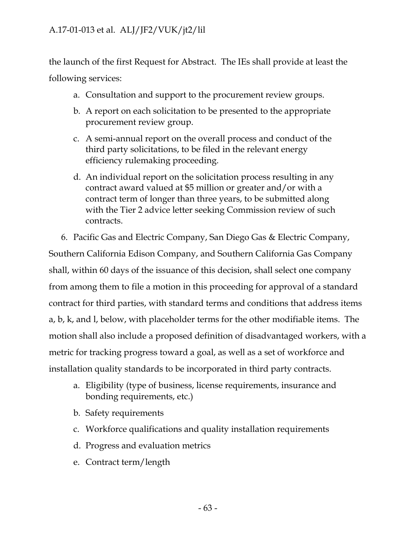the launch of the first Request for Abstract. The IEs shall provide at least the following services:

- a. Consultation and support to the procurement review groups.
- b. A report on each solicitation to be presented to the appropriate procurement review group.
- c. A semi-annual report on the overall process and conduct of the third party solicitations, to be filed in the relevant energy efficiency rulemaking proceeding.
- d. An individual report on the solicitation process resulting in any contract award valued at \$5 million or greater and/or with a contract term of longer than three years, to be submitted along with the Tier 2 advice letter seeking Commission review of such contracts.
- 6. Pacific Gas and Electric Company, San Diego Gas & Electric Company,

Southern California Edison Company, and Southern California Gas Company shall, within 60 days of the issuance of this decision, shall select one company from among them to file a motion in this proceeding for approval of a standard contract for third parties, with standard terms and conditions that address items a, b, k, and l, below, with placeholder terms for the other modifiable items. The motion shall also include a proposed definition of disadvantaged workers, with a metric for tracking progress toward a goal, as well as a set of workforce and installation quality standards to be incorporated in third party contracts.

- a. Eligibility (type of business, license requirements, insurance and bonding requirements, etc.)
- b. Safety requirements
- c. Workforce qualifications and quality installation requirements
- d. Progress and evaluation metrics
- e. Contract term/length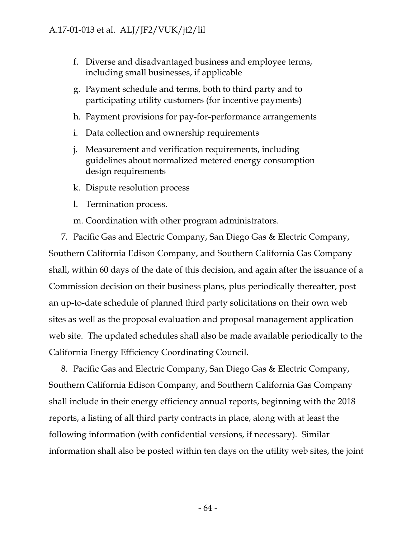- f. Diverse and disadvantaged business and employee terms, including small businesses, if applicable
- g. Payment schedule and terms, both to third party and to participating utility customers (for incentive payments)
- h. Payment provisions for pay-for-performance arrangements
- i. Data collection and ownership requirements
- j. Measurement and verification requirements, including guidelines about normalized metered energy consumption design requirements
- k. Dispute resolution process
- l. Termination process.
- m. Coordination with other program administrators.

7. Pacific Gas and Electric Company, San Diego Gas & Electric Company, Southern California Edison Company, and Southern California Gas Company shall, within 60 days of the date of this decision, and again after the issuance of a Commission decision on their business plans, plus periodically thereafter, post an up-to-date schedule of planned third party solicitations on their own web sites as well as the proposal evaluation and proposal management application web site. The updated schedules shall also be made available periodically to the California Energy Efficiency Coordinating Council.

8. Pacific Gas and Electric Company, San Diego Gas & Electric Company, Southern California Edison Company, and Southern California Gas Company shall include in their energy efficiency annual reports, beginning with the 2018 reports, a listing of all third party contracts in place, along with at least the following information (with confidential versions, if necessary). Similar information shall also be posted within ten days on the utility web sites, the joint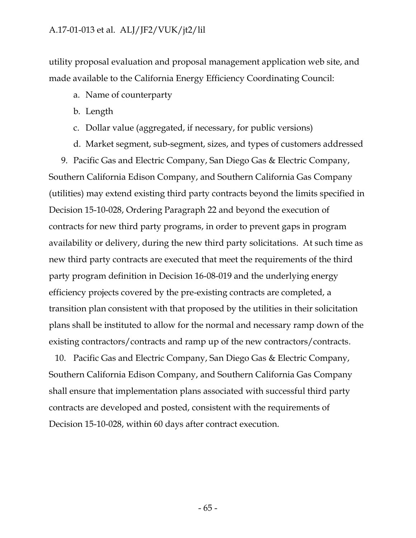utility proposal evaluation and proposal management application web site, and made available to the California Energy Efficiency Coordinating Council:

- a. Name of counterparty
- b. Length
- c. Dollar value (aggregated, if necessary, for public versions)
- d. Market segment, sub-segment, sizes, and types of customers addressed

9. Pacific Gas and Electric Company, San Diego Gas & Electric Company, Southern California Edison Company, and Southern California Gas Company (utilities) may extend existing third party contracts beyond the limits specified in Decision 15-10-028, Ordering Paragraph 22 and beyond the execution of contracts for new third party programs, in order to prevent gaps in program availability or delivery, during the new third party solicitations. At such time as new third party contracts are executed that meet the requirements of the third party program definition in Decision 16-08-019 and the underlying energy efficiency projects covered by the pre-existing contracts are completed, a transition plan consistent with that proposed by the utilities in their solicitation plans shall be instituted to allow for the normal and necessary ramp down of the existing contractors/contracts and ramp up of the new contractors/contracts.

10. Pacific Gas and Electric Company, San Diego Gas & Electric Company, Southern California Edison Company, and Southern California Gas Company shall ensure that implementation plans associated with successful third party contracts are developed and posted, consistent with the requirements of Decision 15-10-028, within 60 days after contract execution.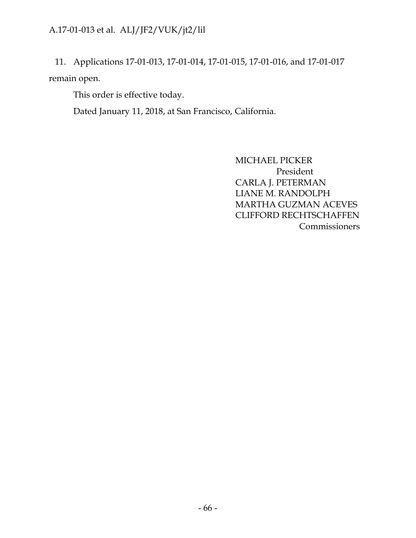11. Applications 17-01-013, 17-01-014, 17-01-015, 17-01-016, and 17-01-017 remain open.

This order is effective today.

Dated January 11, 2018, at San Francisco, California.

MICHAEL PICKER President CARLA J. PETERMAN LIANE M. RANDOLPH MARTHA GUZMAN ACEVES CLIFFORD RECHTSCHAFFEN Commissioners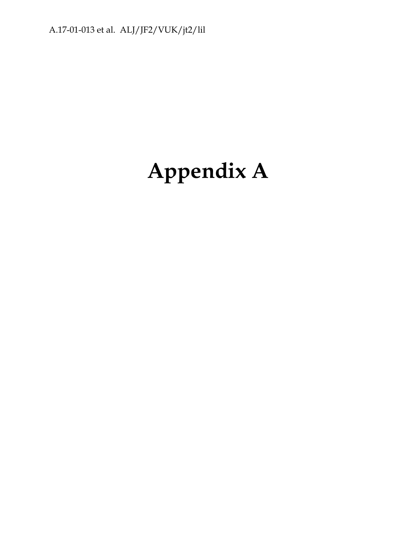# **Appendix A**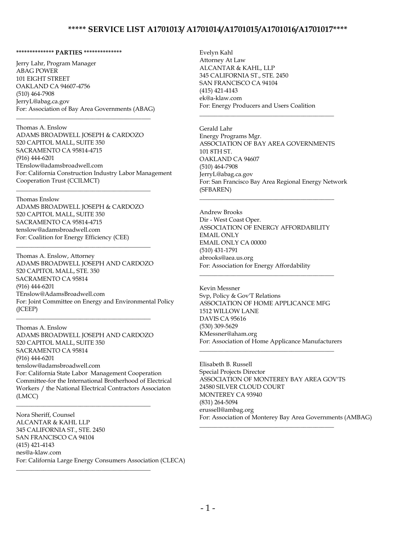#### **\*\*\*\*\*\*\*\*\*\*\*\*\*\* PARTIES \*\*\*\*\*\*\*\*\*\*\*\*\*\***

Jerry Lahr, Program Manager ABAG POWER 101 EIGHT STREET OAKLAND CA 94607-4756 (510) 464-7908 JerryL@abag.ca.gov For: Association of Bay Area Governments (ABAG)

\_\_\_\_\_\_\_\_\_\_\_\_\_\_\_\_\_\_\_\_\_\_\_\_\_\_\_\_\_\_\_\_\_\_\_\_\_\_\_\_\_\_\_\_

Thomas A. Enslow ADAMS BROADWELL JOSEPH & CARDOZO 520 CAPITOL MALL, SUITE 350 SACRAMENTO CA 95814-4715 (916) 444-6201 TEnslow@adamsbroadwell.com For: California Construction Industry Labor Management Cooperation Trust (CCILMCT)

#### Thomas Enslow

ADAMS BROADWELL JOSEPH & CARDOZO 520 CAPITOL MALL, SUITE 350 SACRAMENTO CA 95814-4715 tenslow@adamsbroadwell.com For: Coalition for Energy Efficiency (CEE)

\_\_\_\_\_\_\_\_\_\_\_\_\_\_\_\_\_\_\_\_\_\_\_\_\_\_\_\_\_\_\_\_\_\_\_\_\_\_\_\_\_\_\_\_

\_\_\_\_\_\_\_\_\_\_\_\_\_\_\_\_\_\_\_\_\_\_\_\_\_\_\_\_\_\_\_\_\_\_\_\_\_\_\_\_\_\_\_\_

\_\_\_\_\_\_\_\_\_\_\_\_\_\_\_\_\_\_\_\_\_\_\_\_\_\_\_\_\_\_\_\_\_\_\_\_\_\_\_\_\_\_\_\_

\_\_\_\_\_\_\_\_\_\_\_\_\_\_\_\_\_\_\_\_\_\_\_\_\_\_\_\_\_\_\_\_\_\_\_\_\_\_\_\_\_\_\_\_

\_\_\_\_\_\_\_\_\_\_\_\_\_\_\_\_\_\_\_\_\_\_\_\_\_\_\_\_\_\_\_\_\_\_\_\_\_\_\_\_\_\_\_\_

Thomas A. Enslow, Attorney ADAMS BROADWELL JOSEPH AND CARDOZO 520 CAPITOL MALL, STE. 350 SACRAMENTO CA 95814 (916) 444-6201 TEnslow@AdamsBroadwell.com For: Joint Committee on Energy and Environmental Policy (JCEEP)

Thomas A. Enslow ADAMS BROADWELL JOSEPH AND CARDOZO 520 CAPITOL MALL, SUITE 350 SACRAMENTO CA 95814 (916) 444-6201 tenslow@adamsbroadwell.com For: California State Labor Management Cooperation Committee-for the International Brotherhood of Electrical Workers / the National Electrical Contractors Associaton (LMCC)

Nora Sheriff, Counsel ALCANTAR & KAHL LLP 345 CALIFORNIA ST., STE. 2450 SAN FRANCISCO CA 94104 (415) 421-4143 nes@a-klaw.com For: California Large Energy Consumers Association (CLECA)

Evelyn Kahl Attorney At Law ALCANTAR & KAHL, LLP 345 CALIFORNIA ST., STE. 2450 SAN FRANCISCO CA 94104 (415) 421-4143 ek@a-klaw.com For: Energy Producers and Users Coalition

\_\_\_\_\_\_\_\_\_\_\_\_\_\_\_\_\_\_\_\_\_\_\_\_\_\_\_\_\_\_\_\_\_\_\_\_\_\_\_\_\_\_\_\_

Gerald Lahr Energy Programs Mgr. ASSOCIATION OF BAY AREA GOVERNMENTS 101 8TH ST. OAKLAND CA 94607 (510) 464-7908 JerryL@abag.ca.gov For: San Francisco Bay Area Regional Energy Network (SFBAREN)

Andrew Brooks Dir - West Coast Oper. ASSOCIATION OF ENERGY AFFORDABILITY EMAIL ONLY EMAIL ONLY CA 00000 (510) 431-1791 abrooks@aea.us.org For: Association for Energy Affordability

\_\_\_\_\_\_\_\_\_\_\_\_\_\_\_\_\_\_\_\_\_\_\_\_\_\_\_\_\_\_\_\_\_\_\_\_\_\_\_\_\_\_\_\_

\_\_\_\_\_\_\_\_\_\_\_\_\_\_\_\_\_\_\_\_\_\_\_\_\_\_\_\_\_\_\_\_\_\_\_\_\_\_\_\_\_\_\_\_

Kevin Messner Svp, Policy & Gov'T Relations ASSOCIATION OF HOME APPLICANCE MFG 1512 WILLOW LANE DAVIS CA 95616 (530) 309-5629 KMessner@aham.org For: Association of Home Applicance Manufacturers

\_\_\_\_\_\_\_\_\_\_\_\_\_\_\_\_\_\_\_\_\_\_\_\_\_\_\_\_\_\_\_\_\_\_\_\_\_\_\_\_\_\_\_\_

\_\_\_\_\_\_\_\_\_\_\_\_\_\_\_\_\_\_\_\_\_\_\_\_\_\_\_\_\_\_\_\_\_\_\_\_\_\_\_\_\_\_\_\_

Elisabeth B. Russell Special Projects Director ASSOCIATION OF MONTEREY BAY AREA GOV'TS 24580 SILVER CLOUD COURT MONTEREY CA 93940 (831) 264-5094 erussell@ambag.org For: Association of Monterey Bay Area Governments (AMBAG)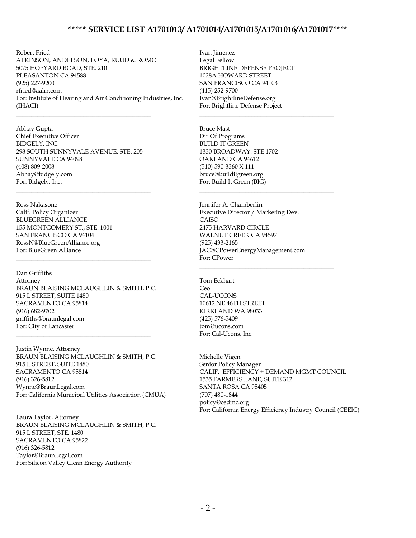Robert Fried ATKINSON, ANDELSON, LOYA, RUUD & ROMO 5075 HOPYARD ROAD, STE. 210 PLEASANTON CA 94588 (925) 227-9200 rfried@aalrr.com For: Institute of Hearing and Air Conditioning Industries, Inc. (IHACI)

Abhay Gupta Chief Executive Officer BIDGELY, INC. 298 SOUTH SUNNYVALE AVENUE, STE. 205 SUNNYVALE CA 94098 (408) 809-2008 Abhay@bidgely.com For: Bidgely, Inc.

\_\_\_\_\_\_\_\_\_\_\_\_\_\_\_\_\_\_\_\_\_\_\_\_\_\_\_\_\_\_\_\_\_\_\_\_\_\_\_\_\_\_\_\_

\_\_\_\_\_\_\_\_\_\_\_\_\_\_\_\_\_\_\_\_\_\_\_\_\_\_\_\_\_\_\_\_\_\_\_\_\_\_\_\_\_\_\_\_

Ross Nakasone Calif. Policy Organizer BLUEGREEN ALLIANCE 155 MONTGOMERY ST., STE. 1001 SAN FRANCISCO CA 94104 RossN@BlueGreenAlliance.org For: BlueGreen Alliance

Dan Griffiths Attorney BRAUN BLAISING MCLAUGHLIN & SMITH, P.C. 915 L STREET, SUITE 1480 SACRAMENTO CA 95814 (916) 682-9702 griffiths@braunlegal.com For: City of Lancaster

\_\_\_\_\_\_\_\_\_\_\_\_\_\_\_\_\_\_\_\_\_\_\_\_\_\_\_\_\_\_\_\_\_\_\_\_\_\_\_\_\_\_\_\_

\_\_\_\_\_\_\_\_\_\_\_\_\_\_\_\_\_\_\_\_\_\_\_\_\_\_\_\_\_\_\_\_\_\_\_\_\_\_\_\_\_\_\_\_

Justin Wynne, Attorney BRAUN BLAISING MCLAUGHLIN & SMITH, P.C. 915 L STREET, SUITE 1480 SACRAMENTO CA 95814 (916) 326-5812 Wynne@BraunLegal.com For: California Municipal Utilities Association (CMUA)

Laura Taylor, Attorney BRAUN BLAISING MCLAUGHLIN & SMITH, P.C. 915 L STREET, STE. 1480 SACRAMENTO CA 95822 (916) 326-5812 Taylor@BraunLegal.com For: Silicon Valley Clean Energy Authority

\_\_\_\_\_\_\_\_\_\_\_\_\_\_\_\_\_\_\_\_\_\_\_\_\_\_\_\_\_\_\_\_\_\_\_\_\_\_\_\_\_\_\_\_

\_\_\_\_\_\_\_\_\_\_\_\_\_\_\_\_\_\_\_\_\_\_\_\_\_\_\_\_\_\_\_\_\_\_\_\_\_\_\_\_\_\_\_\_

Ivan Jimenez Legal Fellow BRIGHTLINE DEFENSE PROJECT 1028A HOWARD STREET SAN FRANCISCO CA 94103 (415) 252-9700 Ivan@BrightlineDefense.org For: Brightline Defense Project

\_\_\_\_\_\_\_\_\_\_\_\_\_\_\_\_\_\_\_\_\_\_\_\_\_\_\_\_\_\_\_\_\_\_\_\_\_\_\_\_\_\_\_\_

\_\_\_\_\_\_\_\_\_\_\_\_\_\_\_\_\_\_\_\_\_\_\_\_\_\_\_\_\_\_\_\_\_\_\_\_\_\_\_\_\_\_\_\_

\_\_\_\_\_\_\_\_\_\_\_\_\_\_\_\_\_\_\_\_\_\_\_\_\_\_\_\_\_\_\_\_\_\_\_\_\_\_\_\_\_\_\_\_

\_\_\_\_\_\_\_\_\_\_\_\_\_\_\_\_\_\_\_\_\_\_\_\_\_\_\_\_\_\_\_\_\_\_\_\_\_\_\_\_\_\_\_\_

\_\_\_\_\_\_\_\_\_\_\_\_\_\_\_\_\_\_\_\_\_\_\_\_\_\_\_\_\_\_\_\_\_\_\_\_\_\_\_\_\_\_\_\_

Bruce Mast Dir Of Programs BUILD IT GREEN 1330 BROADWAY. STE 1702 OAKLAND CA 94612 (510) 590-3360 X 111 bruce@builditgreen.org For: Build It Green (BIG)

Jennifer A. Chamberlin Executive Director / Marketing Dev. CAISO 2475 HARVARD CIRCLE WALNUT CREEK CA 94597 (925) 433-2165 JAC@CPowerEnergyManagement.com For: CPower

Tom Eckhart Ceo CAL-UCONS 10612 NE 46TH STREET KIRKLAND WA 98033 (425) 576-5409 tom@ucons.com For: Cal-Ucons, Inc.

Michelle Vigen Senior Policy Manager CALIF. EFFICIENCY + DEMAND MGMT COUNCIL 1535 FARMERS LANE, SUITE 312 SANTA ROSA CA 95405 (707) 480-1844 policy@cedmc.org For: California Energy Efficiency Industry Council (CEEIC)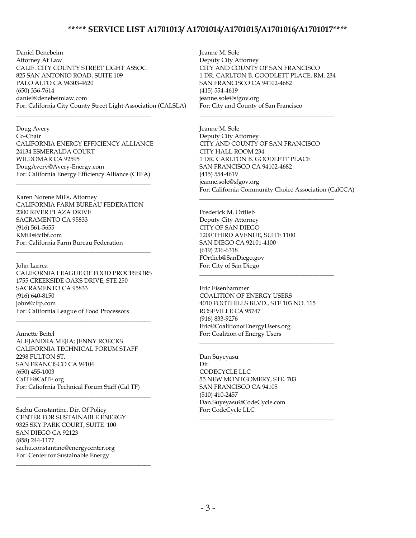Daniel Denebeim Attorney At Law CALIF. CITY COUNTY STREET LIGHT ASSOC. 825 SAN ANTONIO ROAD, SUITE 109 PALO ALTO CA 94303-4620 (650) 336-7614 daniel@denebeimlaw.com For: California City County Street Light Association (CALSLA)

Doug Avery Co-Chair CALIFORNIA ENERGY EFFICIENCY ALLIANCE 24134 ESMERALDA COURT WILDOMAR CA 92595 DougAvery@Avery-Energy.com For: California Energy Efficiency Alliance (CEFA)

\_\_\_\_\_\_\_\_\_\_\_\_\_\_\_\_\_\_\_\_\_\_\_\_\_\_\_\_\_\_\_\_\_\_\_\_\_\_\_\_\_\_\_\_

\_\_\_\_\_\_\_\_\_\_\_\_\_\_\_\_\_\_\_\_\_\_\_\_\_\_\_\_\_\_\_\_\_\_\_\_\_\_\_\_\_\_\_\_

Karen Norene Mills, Attorney CALIFORNIA FARM BUREAU FEDERATION 2300 RIVER PLAZA DRIVE SACRAMENTO CA 95833 (916) 561-5655 KMills@cfbf.com For: California Farm Bureau Federation

John Larrea CALIFORNIA LEAGUE OF FOOD PROCESSORS 1755 CREEKSIDE OAKS DRIVE, STE 250 SACRAMENTO CA 95833 (916) 640-8150 john@clfp.com For: California League of Food Processors \_\_\_\_\_\_\_\_\_\_\_\_\_\_\_\_\_\_\_\_\_\_\_\_\_\_\_\_\_\_\_\_\_\_\_\_\_\_\_\_\_\_\_\_

\_\_\_\_\_\_\_\_\_\_\_\_\_\_\_\_\_\_\_\_\_\_\_\_\_\_\_\_\_\_\_\_\_\_\_\_\_\_\_\_\_\_\_\_

Annette Beitel ALEJANDRA MEJIA; JENNY ROECKS CALIFORNIA TECHNICAL FORUM STAFF 2298 FULTON ST. SAN FRANCISCO CA 94104 (650) 455-1003 CalTF@CalTF.org For: Caliofrnia Technical Forum Staff (Cal TF) \_\_\_\_\_\_\_\_\_\_\_\_\_\_\_\_\_\_\_\_\_\_\_\_\_\_\_\_\_\_\_\_\_\_\_\_\_\_\_\_\_\_\_\_

Sachu Constantine, Dir. Of Policy CENTER FOR SUSTAINABLE ENERGY 9325 SKY PARK COURT, SUITE 100 SAN DIEGO CA 92123 (858) 244-1177 sachu.constantine@energycenter.org For: Center for Sustainable Energy

\_\_\_\_\_\_\_\_\_\_\_\_\_\_\_\_\_\_\_\_\_\_\_\_\_\_\_\_\_\_\_\_\_\_\_\_\_\_\_\_\_\_\_\_

Jeanne M. Sole Deputy City Attorney CITY AND COUNTY OF SAN FRANCISCO 1 DR. CARLTON B. GOODLETT PLACE, RM. 234 SAN FRANCISCO CA 94102-4682 (415) 554-4619 jeanne.sole@sfgov.org For: City and County of San Francisco

\_\_\_\_\_\_\_\_\_\_\_\_\_\_\_\_\_\_\_\_\_\_\_\_\_\_\_\_\_\_\_\_\_\_\_\_\_\_\_\_\_\_\_\_

\_\_\_\_\_\_\_\_\_\_\_\_\_\_\_\_\_\_\_\_\_\_\_\_\_\_\_\_\_\_\_\_\_\_\_\_\_\_\_\_\_\_\_\_

\_\_\_\_\_\_\_\_\_\_\_\_\_\_\_\_\_\_\_\_\_\_\_\_\_\_\_\_\_\_\_\_\_\_\_\_\_\_\_\_\_\_\_\_

\_\_\_\_\_\_\_\_\_\_\_\_\_\_\_\_\_\_\_\_\_\_\_\_\_\_\_\_\_\_\_\_\_\_\_\_\_\_\_\_\_\_\_\_

\_\_\_\_\_\_\_\_\_\_\_\_\_\_\_\_\_\_\_\_\_\_\_\_\_\_\_\_\_\_\_\_\_\_\_\_\_\_\_\_\_\_\_\_

Jeanne M. Sole Deputy City Attorney CITY AND COUNTY OF SAN FRANCISCO CITY HALL ROOM 234 1 DR. CARLTON B. GOODLETT PLACE SAN FRANCISCO CA 94102-4682 (415) 554-4619 jeanne.sole@sfgov.org For: California Community Choice Association (CalCCA)

Frederick M. Ortlieb Deputy City Attorney CITY OF SAN DIEGO 1200 THIRD AVENUE, SUITE 1100 SAN DIEGO CA 92101-4100 (619) 236-6318 FOrtlieb@SanDiego.gov For: City of San Diego

Eric Eisenhammer COALITION OF ENERGY USERS 4010 FOOTHILLS BLVD., STE 103 NO. 115 ROSEVILLE CA 95747 (916) 833-9276 Eric@CoalitionofEnergyUsers.org For: Coalition of Energy Users

Dan Suyeyasu Dir CODECYCLE LLC 55 NEW MONTGOMERY, STE. 703 SAN FRANCISCO CA 94105 (510) 410-2457 Dan.Suyeyasu@CodeCycle.com For: CodeCycle LLC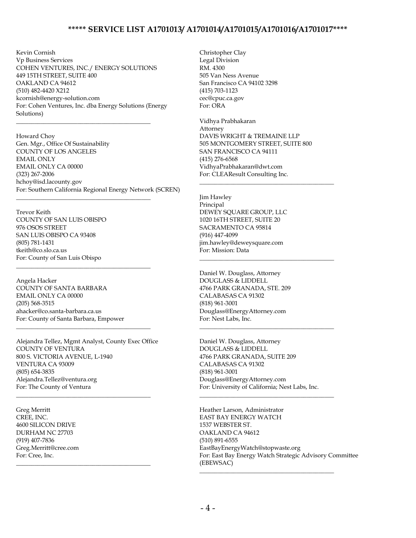Kevin Cornish Vp Business Services COHEN VENTURES, INC./ ENERGY SOLUTIONS 449 15TH STREET, SUITE 400 OAKLAND CA 94612 (510) 482-4420 X212 kcornish@energy-solution.com For: Cohen Ventures, Inc. dba Energy Solutions (Energy Solutions)

\_\_\_\_\_\_\_\_\_\_\_\_\_\_\_\_\_\_\_\_\_\_\_\_\_\_\_\_\_\_\_\_\_\_\_\_\_\_\_\_\_\_\_\_

\_\_\_\_\_\_\_\_\_\_\_\_\_\_\_\_\_\_\_\_\_\_\_\_\_\_\_\_\_\_\_\_\_\_\_\_\_\_\_\_\_\_\_\_

\_\_\_\_\_\_\_\_\_\_\_\_\_\_\_\_\_\_\_\_\_\_\_\_\_\_\_\_\_\_\_\_\_\_\_\_\_\_\_\_\_\_\_\_

Howard Choy Gen. Mgr., Office Of Sustainability COUNTY OF LOS ANGELES EMAIL ONLY EMAIL ONLY CA 00000 (323) 267-2006 hchoy@isd.lacounty.gov For: Southern California Regional Energy Network (SCREN)

Trevor Keith COUNTY OF SAN LUIS OBISPO 976 OSOS STREET SAN LUIS OBISPO CA 93408 (805) 781-1431 tkeith@co.slo.ca.us For: County of San Luis Obispo

Angela Hacker COUNTY OF SANTA BARBARA EMAIL ONLY CA 00000 (205) 568-3515 ahacker@co.santa-barbara.ca.us For: County of Santa Barbara, Empower

Alejandra Tellez, Mgmt Analyst, County Exec Office COUNTY OF VENTURA 800 S. VICTORIA AVENUE, L-1940 VENTURA CA 93009 (805) 654-3835 Alejandra.Tellez@ventura.org For: The County of Ventura

\_\_\_\_\_\_\_\_\_\_\_\_\_\_\_\_\_\_\_\_\_\_\_\_\_\_\_\_\_\_\_\_\_\_\_\_\_\_\_\_\_\_\_\_

\_\_\_\_\_\_\_\_\_\_\_\_\_\_\_\_\_\_\_\_\_\_\_\_\_\_\_\_\_\_\_\_\_\_\_\_\_\_\_\_\_\_\_\_

\_\_\_\_\_\_\_\_\_\_\_\_\_\_\_\_\_\_\_\_\_\_\_\_\_\_\_\_\_\_\_\_\_\_\_\_\_\_\_\_\_\_\_\_

Greg Merritt CREE, INC. 4600 SILICON DRIVE DURHAM NC 27703 (919) 407-7836 Greg.Merritt@cree.com For: Cree, Inc.

Christopher Clay Legal Division RM. 4300 505 Van Ness Avenue San Francisco CA 94102 3298 (415) 703-1123 cec@cpuc.ca.gov For: ORA

Vidhya Prabhakaran Attorney DAVIS WRIGHT & TREMAINE LLP 505 MONTGOMERY STREET, SUITE 800 SAN FRANCISCO CA 94111 (415) 276-6568 VidhyaPrabhakaran@dwt.com For: CLEAResult Consulting Inc.

\_\_\_\_\_\_\_\_\_\_\_\_\_\_\_\_\_\_\_\_\_\_\_\_\_\_\_\_\_\_\_\_\_\_\_\_\_\_\_\_\_\_\_\_

\_\_\_\_\_\_\_\_\_\_\_\_\_\_\_\_\_\_\_\_\_\_\_\_\_\_\_\_\_\_\_\_\_\_\_\_\_\_\_\_\_\_\_\_

\_\_\_\_\_\_\_\_\_\_\_\_\_\_\_\_\_\_\_\_\_\_\_\_\_\_\_\_\_\_\_\_\_\_\_\_\_\_\_\_\_\_\_\_

\_\_\_\_\_\_\_\_\_\_\_\_\_\_\_\_\_\_\_\_\_\_\_\_\_\_\_\_\_\_\_\_\_\_\_\_\_\_\_\_\_\_\_\_

\_\_\_\_\_\_\_\_\_\_\_\_\_\_\_\_\_\_\_\_\_\_\_\_\_\_\_\_\_\_\_\_\_\_\_\_\_\_\_\_\_\_\_\_

Jim Hawley Principal DEWEY SQUARE GROUP, LLC 1020 16TH STREET, SUITE 20 SACRAMENTO CA 95814 (916) 447-4099 jim.hawley@deweysquare.com For: Mission: Data

Daniel W. Douglass, Attorney DOUGLASS & LIDDELL 4766 PARK GRANADA, STE. 209 CALABASAS CA 91302 (818) 961-3001 Douglass@EnergyAttorney.com For: Nest Labs, Inc.

Daniel W. Douglass, Attorney DOUGLASS & LIDDELL 4766 PARK GRANADA, SUITE 209 CALABASAS CA 91302 (818) 961-3001 Douglass@EnergyAttorney.com For: University of California; Nest Labs, Inc.

Heather Larson, Administrator EAST BAY ENERGY WATCH 1537 WEBSTER ST. OAKLAND CA 94612 (510) 891-6555 EastBayEnergyWatch@stopwaste.org For: East Bay Energy Watch Strategic Advisory Committee (EBEWSAC)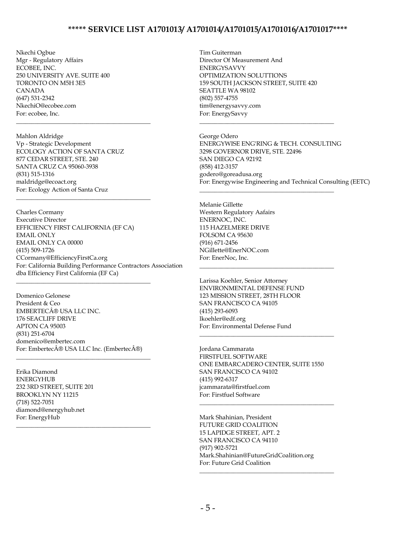Nkechi Ogbue Mgr - Regulatory Affairs ECOBEE, INC. 250 UNIVERSITY AVE. SUITE 400 TORONTO ON M5H 3E5 CANADA (647) 531-2342 NkechiO@ecobee.com For: ecobee, Inc.

Mahlon Aldridge Vp - Strategic Development ECOLOGY ACTION OF SANTA CRUZ 877 CEDAR STREET, STE. 240 SANTA CRUZ CA 95060-3938 (831) 515-1316 maldridge@ecoact.org For: Ecology Action of Santa Cruz

\_\_\_\_\_\_\_\_\_\_\_\_\_\_\_\_\_\_\_\_\_\_\_\_\_\_\_\_\_\_\_\_\_\_\_\_\_\_\_\_\_\_\_\_

\_\_\_\_\_\_\_\_\_\_\_\_\_\_\_\_\_\_\_\_\_\_\_\_\_\_\_\_\_\_\_\_\_\_\_\_\_\_\_\_\_\_\_\_

Charles Cormany Executive Director EFFICIENCY FIRST CALIFORNIA (EF CA) EMAIL ONLY EMAIL ONLY CA 00000 (415) 509-1726 CCormany@EfficiencyFirstCa.org For: California Building Performance Contractors Association dba Efficiency First California (EF Ca)

Domenico Gelonese President & Ceo EMBERTEC® USA LLC INC. 176 SEACLIFF DRIVE APTON CA 95003 (831) 251-6704 domenico@embertec.com For: Embertec® USA LLC Inc. (Embertec®)

\_\_\_\_\_\_\_\_\_\_\_\_\_\_\_\_\_\_\_\_\_\_\_\_\_\_\_\_\_\_\_\_\_\_\_\_\_\_\_\_\_\_\_\_

\_\_\_\_\_\_\_\_\_\_\_\_\_\_\_\_\_\_\_\_\_\_\_\_\_\_\_\_\_\_\_\_\_\_\_\_\_\_\_\_\_\_\_\_

\_\_\_\_\_\_\_\_\_\_\_\_\_\_\_\_\_\_\_\_\_\_\_\_\_\_\_\_\_\_\_\_\_\_\_\_\_\_\_\_\_\_\_\_

Erika Diamond **ENERGYHUB** 232 3RD STREET, SUITE 201 BROOKLYN NY 11215 (718) 522-7051 diamond@energyhub.net For: EnergyHub

Tim Guiterman Director Of Measurement And ENERGYSAVVY OPTIMIZATION SOLUTTIONS 159 SOUTH JACKSON STREET, SUITE 420 SEATTLE WA 98102 (802) 557-4755 tim@energysavvy.com For: EnergySavvy

\_\_\_\_\_\_\_\_\_\_\_\_\_\_\_\_\_\_\_\_\_\_\_\_\_\_\_\_\_\_\_\_\_\_\_\_\_\_\_\_\_\_\_\_

\_\_\_\_\_\_\_\_\_\_\_\_\_\_\_\_\_\_\_\_\_\_\_\_\_\_\_\_\_\_\_\_\_\_\_\_\_\_\_\_\_\_\_\_

\_\_\_\_\_\_\_\_\_\_\_\_\_\_\_\_\_\_\_\_\_\_\_\_\_\_\_\_\_\_\_\_\_\_\_\_\_\_\_\_\_\_\_\_

George Odero ENERGYWISE ENG'RING & TECH. CONSULTING 3298 GOVERNOR DRIVE, STE. 22496 SAN DIEGO CA 92192 (858) 412-3157 godero@goreadusa.org For: Energywise Engineering and Technical Consulting (EETC)

Melanie Gillette Western Regulatory Aafairs ENERNOC, INC. 115 HAZELMERE DRIVE FOLSOM CA 95630 (916) 671-2456 NGillette@EnerNOC.com For: EnerNoc, Inc.

Larissa Koehler, Senior Attorney ENVIRONMENTAL DEFENSE FUND 123 MISSION STREET, 28TH FLOOR SAN FRANCISCO CA 94105 (415) 293-6093 lkoehler@edf.org For: Environmental Defense Fund

Jordana Cammarata FIRSTFUEL SOFTWARE ONE EMBARCADERO CENTER, SUITE 1550 SAN FRANCISCO CA 94102 (415) 992-6317 jcammarata@firstfuel.com For: Firstfuel Software

\_\_\_\_\_\_\_\_\_\_\_\_\_\_\_\_\_\_\_\_\_\_\_\_\_\_\_\_\_\_\_\_\_\_\_\_\_\_\_\_\_\_\_\_

\_\_\_\_\_\_\_\_\_\_\_\_\_\_\_\_\_\_\_\_\_\_\_\_\_\_\_\_\_\_\_\_\_\_\_\_\_\_\_\_\_\_\_\_

\_\_\_\_\_\_\_\_\_\_\_\_\_\_\_\_\_\_\_\_\_\_\_\_\_\_\_\_\_\_\_\_\_\_\_\_\_\_\_\_\_\_\_\_

Mark Shahinian, President FUTURE GRID COALITION 15 LAPIDGE STREET, APT. 2 SAN FRANCISCO CA 94110 (917) 902-5721 Mark.Shahinian@FutureGridCoalition.org For: Future Grid Coalition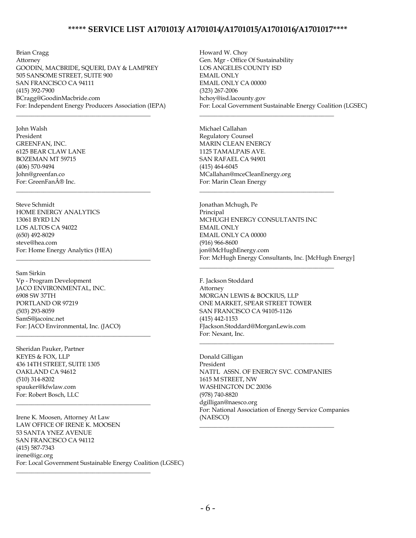Brian Cragg Attorney GOODIN, MACBRIDE, SQUERI, DAY & LAMPREY 505 SANSOME STREET, SUITE 900 SAN FRANCISCO CA 94111 (415) 392-7900 BCragg@GoodinMacbride.com For: Independent Energy Producers Association (IEPA)

\_\_\_\_\_\_\_\_\_\_\_\_\_\_\_\_\_\_\_\_\_\_\_\_\_\_\_\_\_\_\_\_\_\_\_\_\_\_\_\_\_\_\_\_

\_\_\_\_\_\_\_\_\_\_\_\_\_\_\_\_\_\_\_\_\_\_\_\_\_\_\_\_\_\_\_\_\_\_\_\_\_\_\_\_\_\_\_\_

\_\_\_\_\_\_\_\_\_\_\_\_\_\_\_\_\_\_\_\_\_\_\_\_\_\_\_\_\_\_\_\_\_\_\_\_\_\_\_\_\_\_\_\_

\_\_\_\_\_\_\_\_\_\_\_\_\_\_\_\_\_\_\_\_\_\_\_\_\_\_\_\_\_\_\_\_\_\_\_\_\_\_\_\_\_\_\_\_

\_\_\_\_\_\_\_\_\_\_\_\_\_\_\_\_\_\_\_\_\_\_\_\_\_\_\_\_\_\_\_\_\_\_\_\_\_\_\_\_\_\_\_\_

\_\_\_\_\_\_\_\_\_\_\_\_\_\_\_\_\_\_\_\_\_\_\_\_\_\_\_\_\_\_\_\_\_\_\_\_\_\_\_\_\_\_\_\_

John Walsh President GREENFAN, INC. 6125 BEAR CLAW LANE BOZEMAN MT 59715 (406) 570-9494 John@greenfan.co For: GreenFan® Inc.

Steve Schmidt HOME ENERGY ANALYTICS 13061 BYRD LN LOS ALTOS CA 94022 (650) 492-8029 steve@hea.com For: Home Energy Analytics (HEA)

Sam Sirkin Vp - Program Development JACO ENVIRONMENTAL, INC. 6908 SW 37TH PORTLAND OR 97219 (503) 293-8059 SamS@jacoinc.net For: JACO Environmental, Inc. (JACO)

Sheridan Pauker, Partner KEYES & FOX, LLP 436 14TH STREET, SUITE 1305 OAKLAND CA 94612 (510) 314-8202 spauker@kfwlaw.com For: Robert Bosch, LLC

Irene K. Moosen, Attorney At Law LAW OFFICE OF IRENE K. MOOSEN 53 SANTA YNEZ AVENUE SAN FRANCISCO CA 94112 (415) 587-7343 irene@igc.org For: Local Government Sustainable Energy Coalition (LGSEC)

Howard W. Choy Gen. Mgr - Office Of Sustainability LOS ANGELES COUNTY ISD EMAIL ONLY EMAIL ONLY CA 00000 (323) 267-2006 hchoy@isd.lacounty.gov For: Local Government Sustainable Energy Coalition (LGSEC)

\_\_\_\_\_\_\_\_\_\_\_\_\_\_\_\_\_\_\_\_\_\_\_\_\_\_\_\_\_\_\_\_\_\_\_\_\_\_\_\_\_\_\_\_

\_\_\_\_\_\_\_\_\_\_\_\_\_\_\_\_\_\_\_\_\_\_\_\_\_\_\_\_\_\_\_\_\_\_\_\_\_\_\_\_\_\_\_\_

\_\_\_\_\_\_\_\_\_\_\_\_\_\_\_\_\_\_\_\_\_\_\_\_\_\_\_\_\_\_\_\_\_\_\_\_\_\_\_\_\_\_\_\_

Michael Callahan Regulatory Counsel MARIN CLEAN ENERGY 1125 TAMALPAIS AVE. SAN RAFAEL CA 94901 (415) 464-6045 MCallahan@mceCleanEnergy.org For: Marin Clean Energy

Jonathan Mchugh, Pe Principal MCHUGH ENERGY CONSULTANTS INC EMAIL ONLY EMAIL ONLY CA 00000 (916) 966-8600 jon@McHughEnergy.com For: McHugh Energy Consultants, Inc. [McHugh Energy]

F. Jackson Stoddard Attorney MORGAN LEWIS & BOCKIUS, LLP ONE MARKET, SPEAR STREET TOWER SAN FRANCISCO CA 94105-1126 (415) 442-1153 FJackson.Stoddard@MorganLewis.com For: Nexant, Inc.

\_\_\_\_\_\_\_\_\_\_\_\_\_\_\_\_\_\_\_\_\_\_\_\_\_\_\_\_\_\_\_\_\_\_\_\_\_\_\_\_\_\_\_\_

Donald Gilligan President NATI'L ASSN. OF ENERGY SVC. COMPANIES 1615 M STREET, NW WASHINGTON DC 20036 (978) 740-8820 dgilligan@naesco.org For: National Association of Energy Service Companies (NAESCO)

\_\_\_\_\_\_\_\_\_\_\_\_\_\_\_\_\_\_\_\_\_\_\_\_\_\_\_\_\_\_\_\_\_\_\_\_\_\_\_\_\_\_\_\_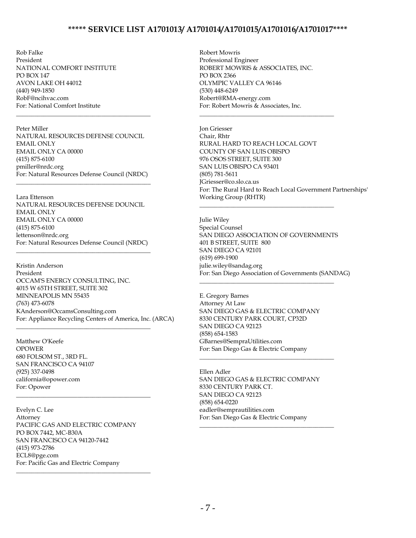Rob Falke President NATIONAL COMFORT INSTITUTE PO BOX 147 AVON LAKE OH 44012 (440) 949-1850 RobF@ncihvac.com For: National Comfort Institute \_\_\_\_\_\_\_\_\_\_\_\_\_\_\_\_\_\_\_\_\_\_\_\_\_\_\_\_\_\_\_\_\_\_\_\_\_\_\_\_\_\_\_\_

Peter Miller NATURAL RESOURCES DEFENSE COUNCIL EMAIL ONLY EMAIL ONLY CA 00000 (415) 875-6100 pmiller@nrdc.org For: Natural Resources Defense Council (NRDC)

\_\_\_\_\_\_\_\_\_\_\_\_\_\_\_\_\_\_\_\_\_\_\_\_\_\_\_\_\_\_\_\_\_\_\_\_\_\_\_\_\_\_\_\_

Lara Ettenson NATURAL RESOURCES DEFENSE DOUNCIL EMAIL ONLY EMAIL ONLY CA 00000 (415) 875-6100 lettenson@nrdc.org For: Natural Resources Defense Council (NRDC)

\_\_\_\_\_\_\_\_\_\_\_\_\_\_\_\_\_\_\_\_\_\_\_\_\_\_\_\_\_\_\_\_\_\_\_\_\_\_\_\_\_\_\_\_

\_\_\_\_\_\_\_\_\_\_\_\_\_\_\_\_\_\_\_\_\_\_\_\_\_\_\_\_\_\_\_\_\_\_\_\_\_\_\_\_\_\_\_\_

\_\_\_\_\_\_\_\_\_\_\_\_\_\_\_\_\_\_\_\_\_\_\_\_\_\_\_\_\_\_\_\_\_\_\_\_\_\_\_\_\_\_\_\_

Kristin Anderson President OCCAM'S ENERGY CONSULTING, INC. 4015 W 65TH STREET, SUITE 302 MINNEAPOLIS MN 55435 (763) 473-6078 KAnderson@OccamsConsulting.com For: Appliance Recycling Centers of America, Inc. (ARCA)

Matthew O'Keefe OPOWER 680 FOLSOM ST., 3RD FL. SAN FRANCISCO CA 94107 (925) 337-0498 california@opower.com For: Opower

Evelyn C. Lee Attorney PACIFIC GAS AND ELECTRIC COMPANY PO BOX 7442, MC-B30A SAN FRANCISCO CA 94120-7442 (415) 973-2786 ECL8@pge.com For: Pacific Gas and Electric Company

\_\_\_\_\_\_\_\_\_\_\_\_\_\_\_\_\_\_\_\_\_\_\_\_\_\_\_\_\_\_\_\_\_\_\_\_\_\_\_\_\_\_\_\_

Robert Mowris Professional Engineer ROBERT MOWRIS & ASSOCIATES, INC. PO BOX 2366 OLYMPIC VALLEY CA 96146 (530) 448-6249 Robert@RMA-energy.com For: Robert Mowris & Associates, Inc.

\_\_\_\_\_\_\_\_\_\_\_\_\_\_\_\_\_\_\_\_\_\_\_\_\_\_\_\_\_\_\_\_\_\_\_\_\_\_\_\_\_\_\_\_

Jon Griesser Chair, Rhtr RURAL HARD TO REACH LOCAL GOVT COUNTY OF SAN LUIS OBISPO 976 OSOS STREET, SUITE 300 SAN LUIS OBISPO CA 93401 (805) 781-5611 JGriesser@co.slo.ca.us For: The Rural Hard to Reach Local Government Partnerships' Working Group (RHTR)

Julie Wiley Special Counsel SAN DIEGO ASSOCIATION OF GOVERNMENTS 401 B STREET, SUITE 800 SAN DIEGO CA 92101 (619) 699-1900 julie.wiley@sandag.org For: San Diego Association of Governments (SANDAG)

\_\_\_\_\_\_\_\_\_\_\_\_\_\_\_\_\_\_\_\_\_\_\_\_\_\_\_\_\_\_\_\_\_\_\_\_\_\_\_\_\_\_\_\_

E. Gregory Barnes Attorney At Law SAN DIEGO GAS & ELECTRIC COMPANY 8330 CENTURY PARK COURT, CP32D SAN DIEGO CA 92123 (858) 654-1583 GBarnes@SempraUtilities.com For: San Diego Gas & Electric Company

\_\_\_\_\_\_\_\_\_\_\_\_\_\_\_\_\_\_\_\_\_\_\_\_\_\_\_\_\_\_\_\_\_\_\_\_\_\_\_\_\_\_\_\_

\_\_\_\_\_\_\_\_\_\_\_\_\_\_\_\_\_\_\_\_\_\_\_\_\_\_\_\_\_\_\_\_\_\_\_\_\_\_\_\_\_\_\_\_

Ellen Adler SAN DIEGO GAS & ELECTRIC COMPANY 8330 CENTURY PARK CT. SAN DIEGO CA 92123 (858) 654-0220 eadler@semprautilities.com For: San Diego Gas & Electric Company

\_\_\_\_\_\_\_\_\_\_\_\_\_\_\_\_\_\_\_\_\_\_\_\_\_\_\_\_\_\_\_\_\_\_\_\_\_\_\_\_\_\_\_\_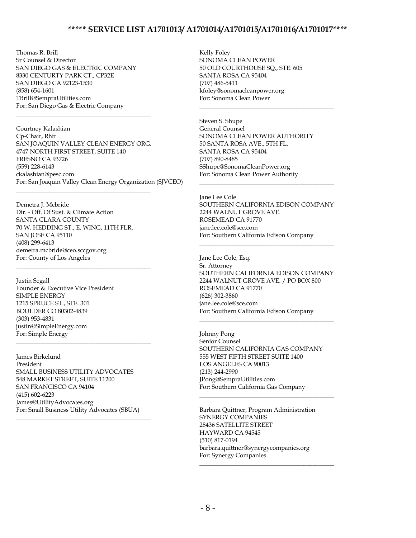Thomas R. Brill Sr Counsel & Director SAN DIEGO GAS & ELECTRIC COMPANY 8330 CENTURTY PARK CT., CP32E SAN DIEGO CA 92123-1530 (858) 654-1601 TBrill@SempraUtilities.com For: San Diego Gas & Electric Company

\_\_\_\_\_\_\_\_\_\_\_\_\_\_\_\_\_\_\_\_\_\_\_\_\_\_\_\_\_\_\_\_\_\_\_\_\_\_\_\_\_\_\_\_

\_\_\_\_\_\_\_\_\_\_\_\_\_\_\_\_\_\_\_\_\_\_\_\_\_\_\_\_\_\_\_\_\_\_\_\_\_\_\_\_\_\_\_\_

Courtney Kalashian Cp-Chair, Rhtr SAN JOAQUIN VALLEY CLEAN ENERGY ORG. 4747 NORTH FIRST STREET, SUITE 140 FRESNO CA 93726 (559) 228-6143 ckalashian@pesc.com For: San Joaquin Valley Clean Energy Organization (SJVCEO)

Demetra J. Mcbride Dir. - Off. Of Sust. & Climate Action SANTA CLARA COUNTY 70 W. HEDDING ST., E. WING, 11TH FLR. SAN JOSE CA 95110 (408) 299-6413 demetra.mcbride@ceo.sccgov.org For: County of Los Angeles

\_\_\_\_\_\_\_\_\_\_\_\_\_\_\_\_\_\_\_\_\_\_\_\_\_\_\_\_\_\_\_\_\_\_\_\_\_\_\_\_\_\_\_\_

Justin Segall Founder & Executive Vice President SIMPLE ENERGY 1215 SPRUCE ST., STE. 301 BOULDER CO 80302-4839 (303) 953-4831 justin@SimpleEnergy.com For: Simple Energy

James Birkelund President SMALL BUSINESS UTILITY ADVOCATES 548 MARKET STREET, SUITE 11200 SAN FRANCISCO CA 94104 (415) 602-6223 James@UtilityAdvocates.org For: Small Business Utility Advocates (SBUA)

\_\_\_\_\_\_\_\_\_\_\_\_\_\_\_\_\_\_\_\_\_\_\_\_\_\_\_\_\_\_\_\_\_\_\_\_\_\_\_\_\_\_\_\_

\_\_\_\_\_\_\_\_\_\_\_\_\_\_\_\_\_\_\_\_\_\_\_\_\_\_\_\_\_\_\_\_\_\_\_\_\_\_\_\_\_\_\_\_

Kelly Foley SONOMA CLEAN POWER 50 OLD COURTHOUSE SQ., STE. 605 SANTA ROSA CA 95404 (707) 486-5411 kfoley@sonomacleanpower.org For: Sonoma Clean Power

Steven S. Shupe General Counsel SONOMA CLEAN POWER AUTHORITY 50 SANTA ROSA AVE., 5TH FL. SANTA ROSA CA 95404 (707) 890-8485 SShupe@SonomaCleanPower.org For: Sonoma Clean Power Authority

\_\_\_\_\_\_\_\_\_\_\_\_\_\_\_\_\_\_\_\_\_\_\_\_\_\_\_\_\_\_\_\_\_\_\_\_\_\_\_\_\_\_\_\_

Jane Lee Cole SOUTHERN CALIFORNIA EDISON COMPANY 2244 WALNUT GROVE AVE. ROSEMEAD CA 91770 jane.lee.cole@sce.com For: Southern California Edison Company

\_\_\_\_\_\_\_\_\_\_\_\_\_\_\_\_\_\_\_\_\_\_\_\_\_\_\_\_\_\_\_\_\_\_\_\_\_\_\_\_\_\_\_\_

\_\_\_\_\_\_\_\_\_\_\_\_\_\_\_\_\_\_\_\_\_\_\_\_\_\_\_\_\_\_\_\_\_\_\_\_\_\_\_\_\_\_\_\_

Jane Lee Cole, Esq. Sr. Attorney SOUTHERN CALIFORNIA EDISON COMPANY 2244 WALNUT GROVE AVE. / PO BOX 800 ROSEMEAD CA 91770 (626) 302-3860 jane.lee.cole@sce.com For: Southern California Edison Company

\_\_\_\_\_\_\_\_\_\_\_\_\_\_\_\_\_\_\_\_\_\_\_\_\_\_\_\_\_\_\_\_\_\_\_\_\_\_\_\_\_\_\_\_

Johnny Pong Senior Counsel SOUTHERN CALIFORNIA GAS COMPANY 555 WEST FIFTH STREET SUITE 1400 LOS ANGELES CA 90013 (213) 244-2990 JPong@SempraUtilities.com For: Southern California Gas Company

\_\_\_\_\_\_\_\_\_\_\_\_\_\_\_\_\_\_\_\_\_\_\_\_\_\_\_\_\_\_\_\_\_\_\_\_\_\_\_\_\_\_\_\_

\_\_\_\_\_\_\_\_\_\_\_\_\_\_\_\_\_\_\_\_\_\_\_\_\_\_\_\_\_\_\_\_\_\_\_\_\_\_\_\_\_\_\_\_

Barbara Quittner, Program Administration SYNERGY COMPANIES 28436 SATELLITE STREET HAYWARD CA 94545 (510) 817-0194 barbara.quittner@synergycompanies.org For: Synergy Companies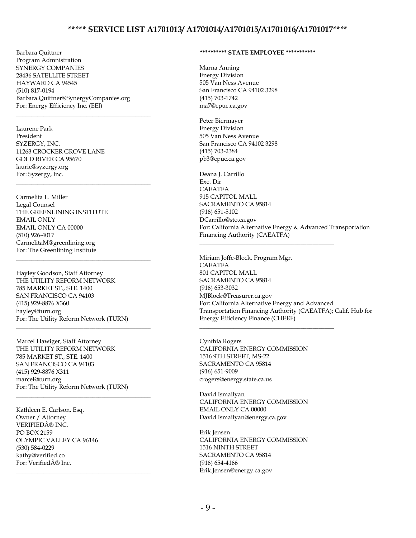Barbara Quittner Program Admnistration SYNERGY COMPANIES 28436 SATELLITE STREET HAYWARD CA 94545 (510) 817-0194 Barbara.Quittner@SynergyCompanies.org For: Energy Efficiency Inc. (EEI)

\_\_\_\_\_\_\_\_\_\_\_\_\_\_\_\_\_\_\_\_\_\_\_\_\_\_\_\_\_\_\_\_\_\_\_\_\_\_\_\_\_\_\_\_

\_\_\_\_\_\_\_\_\_\_\_\_\_\_\_\_\_\_\_\_\_\_\_\_\_\_\_\_\_\_\_\_\_\_\_\_\_\_\_\_\_\_\_\_

\_\_\_\_\_\_\_\_\_\_\_\_\_\_\_\_\_\_\_\_\_\_\_\_\_\_\_\_\_\_\_\_\_\_\_\_\_\_\_\_\_\_\_\_

\_\_\_\_\_\_\_\_\_\_\_\_\_\_\_\_\_\_\_\_\_\_\_\_\_\_\_\_\_\_\_\_\_\_\_\_\_\_\_\_\_\_\_\_

\_\_\_\_\_\_\_\_\_\_\_\_\_\_\_\_\_\_\_\_\_\_\_\_\_\_\_\_\_\_\_\_\_\_\_\_\_\_\_\_\_\_\_\_

Laurene Park President SYZERGY, INC. 11263 CROCKER GROVE LANE GOLD RIVER CA 95670 laurie@syzergy.org For: Syzergy, Inc.

Carmelita L. Miller Legal Counsel THE GREENLINING INSTITUTE EMAIL ONLY EMAIL ONLY CA 00000 (510) 926-4017 CarmelitaM@greenlining.org For: The Greenlining Institute

Hayley Goodson, Staff Attorney THE UTILITY REFORM NETWORK 785 MARKET ST., STE. 1400 SAN FRANCISCO CA 94103 (415) 929-8876 X360 hayley@turn.org For: The Utility Reform Network (TURN)

Marcel Hawiger, Staff Attorney THE UTILITY REFORM NETWORK 785 MARKET ST., STE. 1400 SAN FRANCISCO CA 94103 (415) 929-8876 X311 marcel@turn.org For: The Utility Reform Network (TURN) \_\_\_\_\_\_\_\_\_\_\_\_\_\_\_\_\_\_\_\_\_\_\_\_\_\_\_\_\_\_\_\_\_\_\_\_\_\_\_\_\_\_\_\_

Kathleen E. Carlson, Esq. Owner / Attorney VERIFIED® INC. PO BOX 2159 OLYMPIC VALLEY CA 96146 (530) 584-0229 kathy@verified.co For: Verified® Inc.

#### **\*\*\*\*\*\*\*\*\*\* STATE EMPLOYEE \*\*\*\*\*\*\*\*\*\*\***

Marna Anning Energy Division 505 Van Ness Avenue San Francisco CA 94102 3298 (415) 703-1742 ma7@cpuc.ca.gov

Peter Biermayer Energy Division 505 Van Ness Avenue San Francisco CA 94102 3298 (415) 703-2384 pb3@cpuc.ca.gov

Deana J. Carrillo Exe. Dir CAEATFA 915 CAPITOL MALL SACRAMENTO CA 95814 (916) 651-5102 DCarrillo@sto.ca.gov For: California Alternative Energy & Advanced Transportation Financing Authority (CAEATFA)

\_\_\_\_\_\_\_\_\_\_\_\_\_\_\_\_\_\_\_\_\_\_\_\_\_\_\_\_\_\_\_\_\_\_\_\_\_\_\_\_\_\_\_\_

\_\_\_\_\_\_\_\_\_\_\_\_\_\_\_\_\_\_\_\_\_\_\_\_\_\_\_\_\_\_\_\_\_\_\_\_\_\_\_\_\_\_\_\_

Miriam Joffe-Block, Program Mgr. CAEATFA 801 CAPITOL MALL SACRAMENTO CA 95814 (916) 653-3032 MJBlock@Treasurer.ca.gov For: California Alternative Energy and Advanced Transportation Financing Authority (CAEATFA); Calif. Hub for Energy Efficiency Finance (CHEEF)

Cynthia Rogers CALIFORNIA ENERGY COMMISSION 1516 9TH STREET, MS-22 SACRAMENTO CA 95814 (916) 651-9009 crogers@energy.state.ca.us

David Ismailyan CALIFORNIA ENERGY COMMISSION EMAIL ONLY CA 00000 David.Ismailyan@energy.ca.gov

Erik Jensen CALIFORNIA ENERGY COMMISSION 1516 NINTH STREET SACRAMENTO CA 95814 (916) 654-4166 Erik.Jensen@energy.ca.gov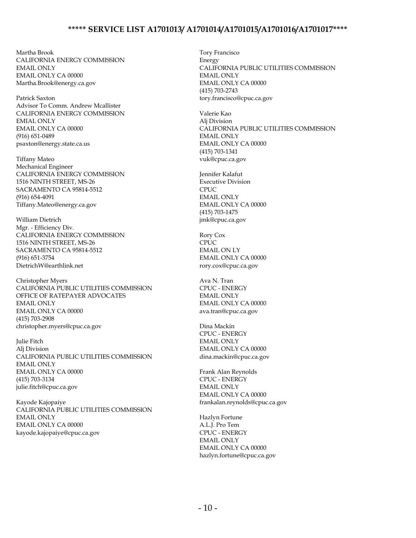Martha Brook CALIFORNIA ENERGY COMMISSION EMAIL ONLY EMAIL ONLY CA 00000 Martha.Brook@energy.ca.gov

Patrick Saxton Advisor To Comm. Andrew Mcallister CALIFORNIA ENERGY COMMISSION EMIAL ONLY EMAIL ONLY CA 00000 (916) 651-0489 psaxton@energy.state.ca.us

Tiffany Mateo Mechanical Engineer CALIFORNIA ENERGY COMMISSION 1516 NINTH STREET, MS-26 SACRAMENTO CA 95814-5512 (916) 654-4091 Tiffany.Mateo@energy.ca.gov

William Dietrich Mgr. - Efficiency Div. CALIFORNIA ENERGY COMMISSION 1516 NINTH STREET, MS-26 SACRAMENTO CA 95814-5512 (916) 651-3754 DietrichW@earthlink.net

Christopher Myers CALIFORNIA PUBLIC UTILITIES COMMISSION OFFICE OF RATEPAYER ADVOCATES EMAIL ONLY EMAIL ONLY CA 00000 (415) 703-2908 christopher.myers@cpuc.ca.gov

Julie Fitch Alj Division CALIFORNIA PUBLIC UTILITIES COMMISSION EMAIL ONLY EMAIL ONLY CA 00000 (415) 703-3134 julie.fitch@cpuc.ca.gov

Kayode Kajopaiye CALIFORNIA PUBLIC UTILITIES COMMISSION EMAIL ONLY EMAIL ONLY CA 00000 kayode.kajopaiye@cpuc.ca.gov

Tory Francisco Energy CALIFORNIA PUBLIC UTILITIES COMMISSION EMAIL ONLY EMAIL ONLY CA 00000 (415) 703-2743 tory.francisco@cpuc.ca.gov

Valerie Kao Alj Division CALIFORNIA PUBLIC UTILITIES COMMISSION EMAIL ONLY EMAIL ONLY CA 00000 (415) 703-1341 vuk@cpuc.ca.gov

Jennifer Kalafut Executive Division **CPUC** EMAIL ONLY EMAIL ONLY CA 00000 (415) 703-1475 jmk@cpuc.ca.gov

Rory Cox  $CPIC$ EMAIL ON LY EMAIL ONLY CA 00000 rory.cox@cpuc.ca.gov

Ava N. Tran CPUC - ENERGY EMAIL ONLY EMAIL ONLY CA 00000 ava.tran@cpuc.ca.gov

Dina Mackin CPUC - ENERGY EMAIL ONLY EMAIL ONLY CA 00000 dina.mackin@cpuc.ca.gov

Frank Alan Reynolds CPUC - ENERGY EMAIL ONLY EMAIL ONLY CA 00000 frankalan.reynolds@cpuc.ca.gov

Hazlyn Fortune A.L.J. Pro Tem CPUC - ENERGY EMAIL ONLY EMAIL ONLY CA 00000 hazlyn.fortune@cpuc.ca.gov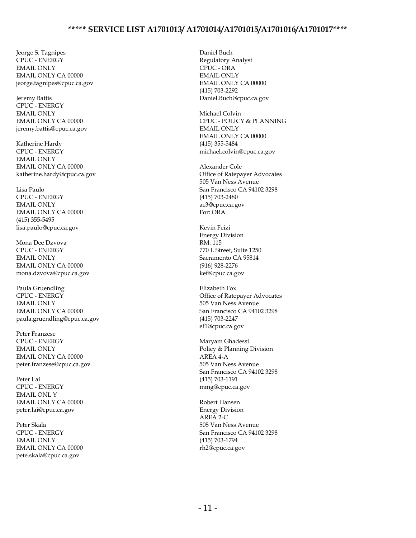Jeorge S. Tagnipes CPUC - ENERGY EMAIL ONLY EMAIL ONLY CA 00000 jeorge.tagnipes@cpuc.ca.gov

Jeremy Battis CPUC - ENERGY EMAIL ONLY EMAIL ONLY CA 00000 jeremy.battis@cpuc.ca.gov

Katherine Hardy CPUC - ENERGY EMAIL ONLY EMAIL ONLY CA 00000 katherine.hardy@cpuc.ca.gov

Lisa Paulo CPUC - ENERGY EMAIL ONLY EMAIL ONLY CA 00000 (415) 355-5495 lisa.paulo@cpuc.ca.gov

Mona Dee Dzvova CPUC - ENERGY EMAIL ONLY EMAIL ONLY CA 00000 mona.dzvova@cpuc.ca.gov

Paula Gruendling CPUC - ENERGY EMAIL ONLY EMAIL ONLY CA 00000 paula.gruendling@cpuc.ca.gov

Peter Franzese CPUC - ENERGY EMAIL ONLY EMAIL ONLY CA 00000 peter.franzese@cpuc.ca.gov

Peter Lai CPUC - ENERGY EMAIL ONL Y EMAIL ONLY CA 00000 peter.lai@cpuc.ca.gov

Peter Skala CPUC - ENERGY EMAIL ONLY EMAIL ONLY CA 00000 pete.skala@cpuc.ca.gov

Daniel Buch Regulatory Analyst CPUC - ORA EMAIL ONLY EMAIL ONLY CA 00000 (415) 703-2292 Daniel.Buch@cpuc.ca.gov

Michael Colvin CPUC - POLICY & PLANNING EMAIL ONLY EMAIL ONLY CA 00000 (415) 355-5484 michael.colvin@cpuc.ca.gov

Alexander Cole Office of Ratepayer Advocates 505 Van Ness Avenue San Francisco CA 94102 3298 (415) 703-2480 ac3@cpuc.ca.gov For: ORA

Kevin Feizi Energy Division RM. 115 770 L Street, Suite 1250 Sacramento CA 95814 (916) 928-2276 kef@cpuc.ca.gov

Elizabeth Fox Office of Ratepayer Advocates 505 Van Ness Avenue San Francisco CA 94102 3298 (415) 703-2247 ef1@cpuc.ca.gov

Maryam Ghadessi Policy & Planning Division AREA 4-A 505 Van Ness Avenue San Francisco CA 94102 3298 (415) 703-1191 mmg@cpuc.ca.gov

Robert Hansen Energy Division  $AREA$  2- $C$ 505 Van Ness Avenue San Francisco CA 94102 3298 (415) 703-1794 rh2@cpuc.ca.gov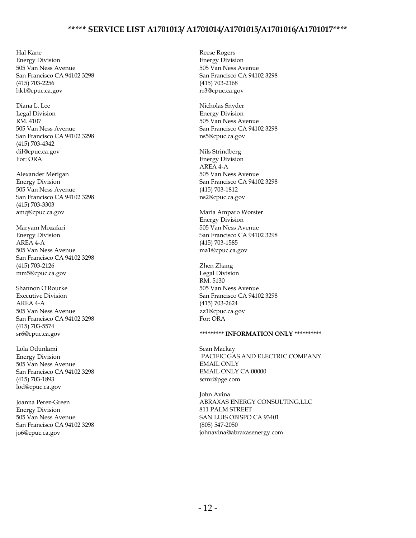Hal Kane Energy Division 505 Van Ness Avenue San Francisco CA 94102 3298 (415) 703-2256 hk1@cpuc.ca.gov

Diana L. Lee Legal Division RM. 4107 505 Van Ness Avenue San Francisco CA 94102 3298 (415) 703-4342 dil@cpuc.ca.gov For: ORA

Alexander Merigan Energy Division 505 Van Ness Avenue San Francisco CA 94102 3298 (415) 703-3303 amq@cpuc.ca.gov

Maryam Mozafari Energy Division AREA 4-A 505 Van Ness Avenue San Francisco CA 94102 3298 (415) 703-2126 mm5@cpuc.ca.gov

Shannon O'Rourke Executive Division AREA 4-A 505 Van Ness Avenue San Francisco CA 94102 3298 (415) 703-5574 sr6@cpuc.ca.gov

Lola Odunlami Energy Division 505 Van Ness Avenue San Francisco CA 94102 3298 (415) 703-1893 lod@cpuc.ca.gov

Joanna Perez-Green Energy Division 505 Van Ness Avenue San Francisco CA 94102 3298 jo6@cpuc.ca.gov

Reese Rogers Energy Division 505 Van Ness Avenue San Francisco CA 94102 3298 (415) 703-2168 rr3@cpuc.ca.gov

Nicholas Snyder Energy Division 505 Van Ness Avenue San Francisco CA 94102 3298 ns5@cpuc.ca.gov

Nils Strindberg Energy Division AREA 4-A 505 Van Ness Avenue San Francisco CA 94102 3298 (415) 703-1812 ns2@cpuc.ca.gov

Maria Amparo Worster Energy Division 505 Van Ness Avenue San Francisco CA 94102 3298 (415) 703-1585 ma1@cpuc.ca.gov

Zhen Zhang Legal Division RM. 5130 505 Van Ness Avenue San Francisco CA 94102 3298 (415) 703-2624 zz1@cpuc.ca.gov For: ORA

#### **\*\*\*\*\*\*\*\*\* INFORMATION ONLY \*\*\*\*\*\*\*\*\*\***

Sean Mackay PACIFIC GAS AND ELECTRIC COMPANY EMAIL ONLY EMAIL ONLY CA 00000 scmr@pge.com

John Avina ABRAXAS ENERGY CONSULTING,LLC 811 PALM STREET SAN LUIS OBISPO CA 93401 (805) 547-2050 johnavina@abraxasenergy.com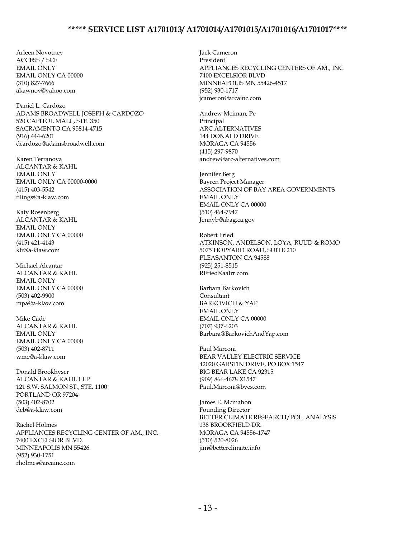Arleen Novotney ACCESS / SCF EMAIL ONLY EMAIL ONLY CA 00000 (310) 827-7666 akawnov@yahoo.com

Daniel L. Cardozo ADAMS BROADWELL JOSEPH & CARDOZO 520 CAPITOL MALL, STE. 350 SACRAMENTO CA 95814-4715 (916) 444-6201 dcardozo@adamsbroadwell.com

Karen Terranova ALCANTAR & KAHL EMAIL ONLY EMAIL ONLY CA 00000-0000 (415) 403-5542 filings@a-klaw.com

Katy Rosenberg ALCANTAR & KAHL EMAIL ONLY EMAIL ONLY CA 00000 (415) 421-4143 klr@a-klaw.com

Michael Alcantar ALCANTAR & KAHL EMAIL ONLY EMAIL ONLY CA 00000 (503) 402-9900 mpa@a-klaw.com

Mike Cade ALCANTAR & KAHL EMAIL ONLY EMAIL ONLY CA 00000 (503) 402-8711 wmc@a-klaw.com

Donald Brookhyser ALCANTAR & KAHL LLP 121 S.W. SALMON ST., STE. 1100 PORTLAND OR 97204 (503) 402-8702 deb@a-klaw.com

Rachel Holmes APPLIANCES RECYCLING CENTER OF AM., INC. 7400 EXCELSIOR BLVD. MINNEAPOLIS MN 55426 (952) 930-1751 rholmes@arcainc.com

Jack Cameron President APPLIANCES RECYCLING CENTERS OF AM., INC 7400 EXCELSIOR BLVD MINNEAPOLIS MN 55426-4517 (952) 930-1717 jcameron@arcainc.com

Andrew Meiman, Pe Principal ARC ALTERNATIVES 144 DONALD DRIVE MORAGA CA 94556 (415) 297-9870 andrew@arc-alternatives.com

Jennifer Berg Bayren Project Manager ASSOCIATION OF BAY AREA GOVERNMENTS EMAIL ONLY EMAIL ONLY CA 00000 (510) 464-7947 Jennyb@abag.ca.gov

Robert Fried ATKINSON, ANDELSON, LOYA, RUUD & ROMO 5075 HOPYARD ROAD, SUITE 210 PLEASANTON CA 94588 (925) 251-8515 RFried@aalrr.com

Barbara Barkovich Consultant BARKOVICH & YAP EMAIL ONLY EMAIL ONLY CA 00000 (707) 937-6203 Barbara@BarkovichAndYap.com

Paul Marconi BEAR VALLEY ELECTRIC SERVICE 42020 GARSTIN DRIVE, PO BOX 1547 BIG BEAR LAKE CA 92315 (909) 866-4678 X1547 Paul.Marconi@bves.com

James E. Mcmahon Founding Director BETTER CLIMATE RESEARCH/POL. ANALYSIS 138 BROOKFIELD DR. MORAGA CA 94556-1747 (510) 520-8026 jim@betterclimate.info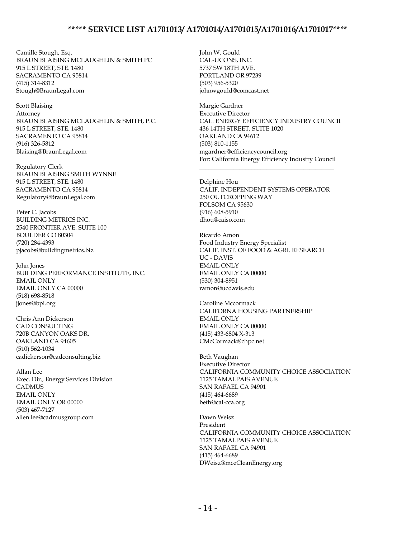Camille Stough, Esq. BRAUN BLAISING MCLAUGHLIN & SMITH PC 915 L STREET, STE. 1480 SACRAMENTO CA 95814 (415) 314-8312 Stough@BraunLegal.com

Scott Blaising Attorney BRAUN BLAISING MCLAUGHLIN & SMITH, P.C. 915 L STREET, STE. 1480 SACRAMENTO CA 95814 (916) 326-5812 Blaising@BraunLegal.com

Regulatory Clerk BRAUN BLAISING SMITH WYNNE 915 L STREET, STE. 1480 SACRAMENTO CA 95814 Regulatory@BraunLegal.com

Peter C. Jacobs BUILDING METRICS INC. 2540 FRONTIER AVE. SUITE 100 BOULDER CO 80304 (720) 284-4393 pjacobs@buildingmetrics.biz

John Jones BUILDING PERFORMANCE INSTITUTE, INC. EMAIL ONLY EMAIL ONLY CA 00000 (518) 698-8518 jjones@bpi.org

Chris Ann Dickerson CAD CONSULTING 720B CANYON OAKS DR. OAKLAND CA 94605 (510) 562-1034 cadickerson@cadconsulting.biz

Allan Lee Exec. Dir., Energy Services Division CADMUS EMAIL ONLY EMAIL ONLY OR 00000 (503) 467-7127 allen.lee@cadmusgroup.com

John W. Gould CAL-UCONS, INC. 5737 SW 18TH AVE. PORTLAND OR 97239 (503) 956-5320 johnwgould@comcast.net

Margie Gardner Executive Director CAL. ENERGY EFFICIENCY INDUSTRY COUNCIL 436 14TH STREET, SUITE 1020 OAKLAND CA 94612 (503) 810-1155 mgardner@efficiencycouncil.org For: California Energy Efficiency Industry Council

Delphine Hou CALIF. INDEPENDENT SYSTEMS OPERATOR 250 OUTCROPPING WAY FOLSOM CA 95630 (916) 608-5910 dhou@caiso.com

\_\_\_\_\_\_\_\_\_\_\_\_\_\_\_\_\_\_\_\_\_\_\_\_\_\_\_\_\_\_\_\_\_\_\_\_\_\_\_\_\_\_\_\_

Ricardo Amon Food Industry Energy Specialist CALIF. INST. OF FOOD & AGRI. RESEARCH UC - DAVIS EMAIL ONLY EMAIL ONLY CA 00000 (530) 304-8951 ramon@ucdavis.edu

Caroline Mccormack CALIFORNA HOUSING PARTNERSHIP EMAIL ONLY EMAIL ONLY CA 00000 (415) 433-6804 X-313 CMcCormack@chpc.net

Beth Vaughan Executive Director CALIFORNIA COMMUNITY CHOICE ASSOCIATION 1125 TAMALPAIS AVENUE SAN RAFAEL CA 94901 (415) 464-6689 beth@cal-cca.org

Dawn Weisz President CALIFORNIA COMMUNITY CHOICE ASSOCIATION 1125 TAMALPAIS AVENUE SAN RAFAEL CA 94901 (415) 464-6689 DWeisz@mceCleanEnergy.org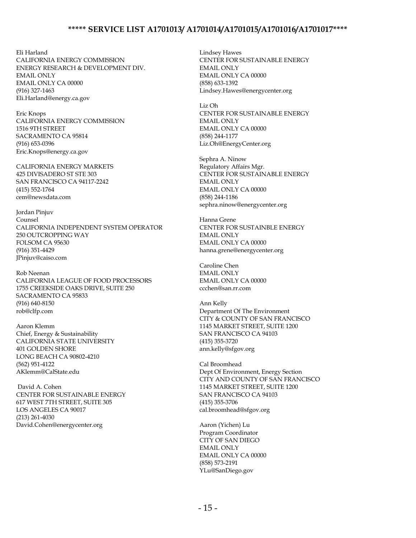Eli Harland CALIFORNIA ENERGY COMMISSION ENERGY RESEARCH & DEVELOPMENT DIV. EMAIL ONLY EMAIL ONLY CA 00000 (916) 327-1463 Eli.Harland@energy.ca.gov

Eric Knops CALIFORNIA ENERGY COMMISSION 1516 9TH STREET SACRAMENTO CA 95814 (916) 653-0396 Eric.Knops@energy.ca.gov

CALIFORNIA ENERGY MARKETS 425 DIVISADERO ST STE 303 SAN FRANCISCO CA 94117-2242 (415) 552-1764 cem@newsdata.com

Jordan Pinjuv Counsel CALIFORNIA INDEPENDENT SYSTEM OPERATOR 250 OUTCROPPING WAY FOLSOM CA 95630 (916) 351-4429 JPinjuv@caiso.com

Rob Neenan CALIFORNIA LEAGUE OF FOOD PROCESSORS 1755 CREEKSIDE OAKS DRIVE, SUITE 250 SACRAMENTO CA 95833 (916) 640-8150 rob@clfp.com

Aaron Klemm Chief, Energy & Sustainability CALIFORNIA STATE UNIVERSITY 401 GOLDEN SHORE LONG BEACH CA 90802-4210 (562) 951-4122 AKlemm@CalState.edu

David A. Cohen CENTER FOR SUSTAINABLE ENERGY 617 WEST 7TH STREET, SUITE 305 LOS ANGELES CA 90017 (213) 261-4030 David.Cohen@energycenter.org

Lindsey Hawes CENTER FOR SUSTAINABLE ENERGY EMAIL ONLY EMAIL ONLY CA 00000 (858) 633-1392 Lindsey.Hawes@energycenter.org

Liz Oh CENTER FOR SUSTAINABLE ENERGY EMAIL ONLY EMAIL ONLY CA 00000 (858) 244-1177 Liz.Oh@EnergyCenter.org

Sephra A. Ninow Regulatory Affairs Mgr. CENTER FOR SUSTAINABLE ENERGY EMAIL ONLY EMAIL ONLY CA 00000 (858) 244-1186 sephra.ninow@energycenter.org

Hanna Grene CENTER FOR SUSTAINBLE ENERGY EMAIL ONLY EMAIL ONLY CA 00000 hanna.grene@energycenter.org

Caroline Chen EMAIL ONLY EMAIL ONLY CA 00000 ccchen@san.rr.com

Ann Kelly Department Of The Environment CITY & COUNTY OF SAN FRANCISCO 1145 MARKET STREET, SUITE 1200 SAN FRANCISCO CA 94103 (415) 355-3720 ann.kelly@sfgov.org

Cal Broomhead Dept Of Environment, Energy Section CITY AND COUNTY OF SAN FRANCISCO 1145 MARKET STREET, SUITE 1200 SAN FRANCISCO CA 94103 (415) 355-3706 cal.broomhead@sfgov.org

Aaron (Yichen) Lu Program Coordinator CITY OF SAN DIEGO EMAIL ONLY EMAIL ONLY CA 00000 (858) 573-2191 YLu@SanDiego.gov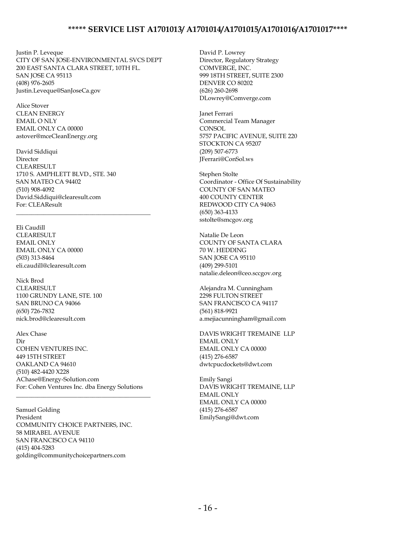Justin P. Leveque CITY OF SAN JOSE-ENVIRONMENTAL SVCS DEPT 200 EAST SANTA CLARA STREET, 10TH FL. SAN JOSE CA 95113 (408) 976-2605 Justin.Leveque@SanJoseCa.gov

Alice Stover CLEAN ENERGY EMAIL O NLY EMAIL ONLY CA 00000 astover@mceCleanEnergy.org

David Siddiqui Director CLEARESULT 1710 S. AMPHLETT BLVD., STE. 340 SAN MATEO CA 94402 (510) 908-4092 David.Siddiqui@clearesult.com For: CLEAResult

\_\_\_\_\_\_\_\_\_\_\_\_\_\_\_\_\_\_\_\_\_\_\_\_\_\_\_\_\_\_\_\_\_\_\_\_\_\_\_\_\_\_\_\_

Eli Caudill CLEARESULT EMAIL ONLY EMAIL ONLY CA 00000 (503) 313-8464 eli.caudill@clearesult.com

Nick Brod CLEARESULT 1100 GRUNDY LANE, STE. 100 SAN BRUNO CA 94066 (650) 726-7832 nick.brod@clearesult.com

Alex Chase Dir COHEN VENTURES INC. 449 15TH STREET OAKLAND CA 94610 (510) 482-4420 X228 AChase@Energy-Solution.com For: Cohen Ventures Inc. dba Energy Solutions

\_\_\_\_\_\_\_\_\_\_\_\_\_\_\_\_\_\_\_\_\_\_\_\_\_\_\_\_\_\_\_\_\_\_\_\_\_\_\_\_\_\_\_\_

Samuel Golding President COMMUNITY CHOICE PARTNERS, INC. 58 MIRABEL AVENUE SAN FRANCISCO CA 94110 (415) 404-5283 golding@communitychoicepartners.com

David P. Lowrey Director, Regulatory Strategy COMVERGE, INC. 999 18TH STREET, SUITE 2300 DENVER CO 80202 (626) 260-2698 DLowrey@Comverge.com

Janet Ferrari Commercial Team Manager **CONSOL** 5757 PACIFIC AVENUE, SUITE 220 STOCKTON CA 95207 (209) 507-6773 JFerrari@ConSol.ws

Stephen Stolte Coordinator - Office Of Sustainability COUNTY OF SAN MATEO 400 COUNTY CENTER REDWOOD CITY CA 94063 (650) 363-4133 sstolte@smcgov.org

Natalie De Leon COUNTY OF SANTA CLARA 70 W. HEDDING SAN JOSE CA 95110 (409) 299-5101 natalie.deleon@ceo.sccgov.org

Alejandra M. Cunningham 2298 FULTON STREET SAN FRANCISCO CA 94117 (561) 818-9921 a.mejiacunningham@gmail.com

DAVIS WRIGHT TREMAINE LLP EMAIL ONLY EMAIL ONLY CA 00000 (415) 276-6587 dwtcpucdockets@dwt.com

Emily Sangi DAVIS WRIGHT TREMAINE, LLP EMAIL ONLY EMAIL ONLY CA 00000 (415) 276-6587 EmilySangi@dwt.com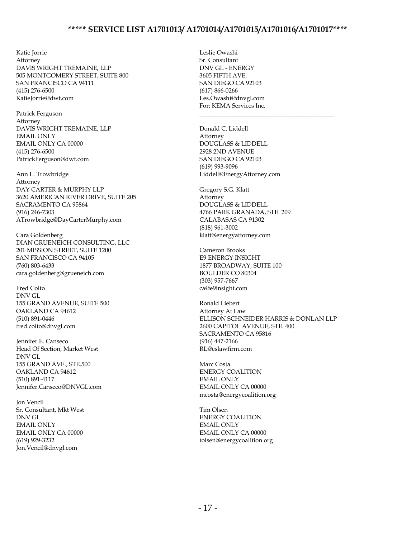Katie Jorrie Attorney DAVIS WRIGHT TREMAINE, LLP 505 MONTGOMERY STREET, SUITE 800 SAN FRANCISCO CA 94111 (415) 276-6500 KatieJorrie@dwt.com

Patrick Ferguson Attorney DAVIS WRIGHT TREMAINE, LLP EMAIL ONLY EMAIL ONLY CA 00000 (415) 276-6500 PatrickFerguson@dwt.com

Ann L. Trowbridge Attorney DAY CARTER & MURPHY LLP 3620 AMERICAN RIVER DRIVE, SUITE 205 SACRAMENTO CA 95864 (916) 246-7303 ATrowbridge@DayCarterMurphy.com

Cara Goldenberg DIAN GRUENEICH CONSULTING, LLC 201 MISSION STREET, SUITE 1200 SAN FRANCISCO CA 94105 (760) 803-6433 cara.goldenberg@grueneich.com

Fred Coito DNV GL 155 GRAND AVENUE, SUITE 500 OAKLAND CA 94612 (510) 891-0446 fred.coito@dnvgl.com

Jennifer E. Canseco Head Of Section, Market West DNV GL 155 GRAND AVE., STE.500 OAKLAND CA 94612 (510) 891-4117 Jennifer.Canseco@DNVGL.com

Jon Vencil Sr. Consultant, Mkt West DNV GL EMAIL ONLY EMAIL ONLY CA 00000 (619) 929-3232 Jon.Vencil@dnvgl.com

Leslie Owashi Sr. Consultant DNV GL - ENERGY 3605 FIFTH AVE. SAN DIEGO CA 92103 (617) 866-0266 Les.Owashi@dnvgl.com For: KEMA Services Inc.

Donald C. Liddell Attorney DOUGLASS & LIDDELL 2928 2ND AVENUE SAN DIEGO CA 92103 (619) 993-9096 Liddell@EnergyAttorney.com

\_\_\_\_\_\_\_\_\_\_\_\_\_\_\_\_\_\_\_\_\_\_\_\_\_\_\_\_\_\_\_\_\_\_\_\_\_\_\_\_\_\_\_\_

Gregory S.G. Klatt Attorney DOUGLASS & LIDDELL 4766 PARK GRANADA, STE. 209 CALABASAS CA 91302 (818) 961-3002 klatt@energyattorney.com

Cameron Brooks E9 ENERGY INSIGHT 1877 BROADWAY, SUITE 100 BOULDER CO 80304 (303) 957-7667 ca@e9insight.com

Ronald Liebert Attorney At Law ELLISON SCHNEIDER HARRIS & DONLAN LLP 2600 CAPITOL AVENUE, STE. 400 SACRAMENTO CA 95816 (916) 447-2166 RL@eslawfirm.com

Marc Costa ENERGY COALITION EMAIL ONLY EMAIL ONLY CA 00000 mcosta@energycoalition.org

Tim Olsen ENERGY COALITION EMAIL ONLY EMAIL ONLY CA 00000 tolsen@energycoalition.org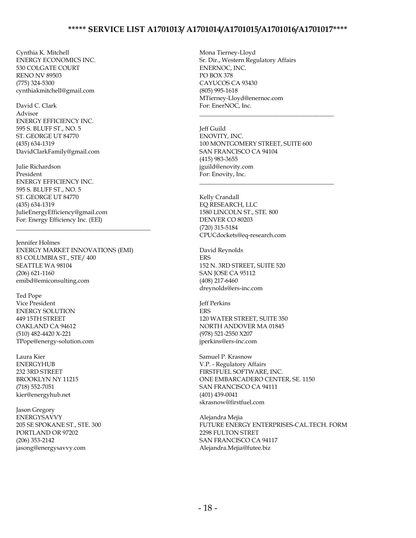Cynthia K. Mitchell ENERGY ECONOMICS INC. 530 COLGATE COURT RENO NV 89503 (775) 324-5300 cynthiakmitchell@gmail.com

David C. Clark Advisor ENERGY EFFICIENCY INC. 595 S. BLUFF ST., NO. 5 ST. GEORGE UT 84770 (435) 634-1319 DavidClarkFamily@gmail.com

Julie Richardson President ENERGY EFFICIENCY INC. 595 S. BLUFF ST., NO. 5 ST. GEORGE UT 84770 (435) 634-1319 JulieEnergyEfficiency@gmail.com For: Energy Efficiency Inc. (EEI)

Jennifer Holmes ENERGY MARKET INNOVATIONS (EMI) 83 COLUMBIA ST., STE/ 400 SEATTLE WA 98104 (206) 621-1160 emibd@emiconsulting.com

\_\_\_\_\_\_\_\_\_\_\_\_\_\_\_\_\_\_\_\_\_\_\_\_\_\_\_\_\_\_\_\_\_\_\_\_\_\_\_\_\_\_\_\_

Ted Pope Vice President ENERGY SOLUTION 449 15TH STREET OAKLAND CA 94612 (510) 482-4420 X-221 TPope@energy-solution.com

Laura Kier **ENERGYHUB** 232 3RD STREET BROOKLYN NY 11215 (718) 552-7051 kier@energyhub.net

Jason Gregory ENERGYSAVVY 205 SE SPOKANE ST., STE. 300 PORTLAND OR 97202 (206) 353-2142 jasong@energysavvy.com

Mona Tierney-Lloyd Sr. Dir., Western Regulatory Affairs ENERNOC, INC. PO BOX 378 CAYUCOS CA 93430 (805) 995-1618 MTierney-Lloyd@enernoc.com For: EnerNOC, Inc.

Jeff Guild ENOVITY, INC. 100 MONTGOMERY STREET, SUITE 600 SAN FRANCISCO CA 94104 (415) 983-3655 jguild@enovity.com For: Enovity, Inc.

\_\_\_\_\_\_\_\_\_\_\_\_\_\_\_\_\_\_\_\_\_\_\_\_\_\_\_\_\_\_\_\_\_\_\_\_\_\_\_\_\_\_\_\_

\_\_\_\_\_\_\_\_\_\_\_\_\_\_\_\_\_\_\_\_\_\_\_\_\_\_\_\_\_\_\_\_\_\_\_\_\_\_\_\_\_\_\_\_

Kelly Crandall EQ RESEARCH, LLC 1580 LINCOLN ST., STE. 800 DENVER CO 80203 (720) 315-5184 CPUCdockets@eq-research.com

David Reynolds **FRS** 152 N. 3RD STREET, SUITE 520 SAN JOSE CA 95112 (408) 217-6460 dreynolds@ers-inc.com

Jeff Perkins **ERS** 120 WATER STREET, SUITE 350 NORTH ANDOVER MA 01845 (978) 521-2550 X207 jperkins@ers-inc.com

Samuel P. Krasnow V.P. - Regulatory Affairs FIRSTFUEL SOFTWARE, INC. ONE EMBARCADERO CENTER, SE. 1150 SAN FRANCISCO CA 94111 (401) 439-0041 skrasnow@firstfuel.com

Alejandra Mejia FUTURE ENERGY ENTERPRISES-CAL.TECH. FORM 2298 FULTON STRET SAN FRANCISCO CA 94117 Alejandra.Mejia@futee.biz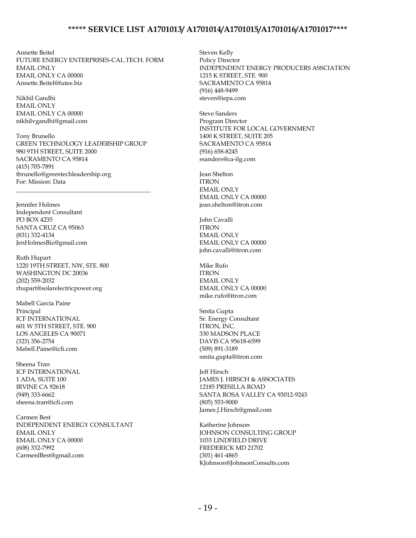Annette Beitel FUTURE ENERGY ENTERPRISES-CAL.TECH. FORM EMAIL ONLY EMAIL ONLY CA 00000 Annette.Beitel@futee.biz

Nikhil Gandhi EMAIL ONLY EMAIL ONLY CA 00000 nikhilvgandhi@gmail.com

Tony Brunello GREEN TECHNOLOGY LEADERSHIP GROUP 980 9TH STREET, SUITE 2000 SACRAMENTO CA 95814 (415) 705-7891 tbrunello@greentechleadership.org For: Mission: Data

\_\_\_\_\_\_\_\_\_\_\_\_\_\_\_\_\_\_\_\_\_\_\_\_\_\_\_\_\_\_\_\_\_\_\_\_\_\_\_\_\_\_\_\_

Jennifer Holmes Independent Consultant PO BOX 4235 SANTA CRUZ CA 95063 (831) 332-4134 JenHolmesBiz@gmail.com

Ruth Hupart 1220 19TH STREET, NW, STE. 800 WASHINGTON DC 20036 (202) 559-2032 rhupart@solarelectricpower.org

Mabell Garcia Paine Principal ICF INTERNATIONAL 601 W 5TH STREET, STE. 900 LOS ANGELES CA 90071 (323) 356-2754 Mabell.Paine@icfi.com

Sheena Tran ICF INTERNATIONAL 1 ADA, SUITE 100 IRVINE CA 92618 (949) 333-6662 sheena.tran@icfi.com

Carmen Best INDEPENDENT ENERGY CONSULTANT EMAIL ONLY EMAIL ONLY CA 00000 (608) 332-7992 CarmenlBest@gmail.com

Steven Kelly Policy Director INDEPENDENT ENERGY PRODUCERS ASSCIATION 1215 K STREET, STE. 900 SACRAMENTO CA 95814 (916) 448-9499 steven@iepa.com

Steve Sanders Program Director INSTITUTE FOR LOCAL GOVERNMENT 1400 K STREET, SUITE 205 SACRAMENTO CA 95814 (916) 658-8245 ssanders@ca-ilg.com

Jean Shelton ITRON EMAIL ONLY EMAIL ONLY CA 00000 jean.shelton@itron.com

John Cavalli ITRON EMAIL ONLY EMAIL ONLY CA 00000 john.cavalli@itron.com

Mike Rufo ITRON EMAIL ONLY EMAIL ONLY CA 00000 mike.rufo@itron.com

Smita Gupta Sr. Energy Consultant ITRON, INC. 330 MADSON PLACE DAVIS CA 95618-6599 (509) 891-3189 smita.gupta@itron.com

Jeff Hirsch JAMES J. HIRSCH & ASSOCIATES 12185 PRESILLA ROAD SANTA ROSA VALLEY CA 93012-9243 (805) 553-9000 James.J.Hirsch@gmail.com

Katherine Johnson JOHNSON CONSULTING GROUP 1033 LINDFIELD DRIVE FREDERICK MD 21702 (301) 461-4865 KJohnson@JohnsonConsults.com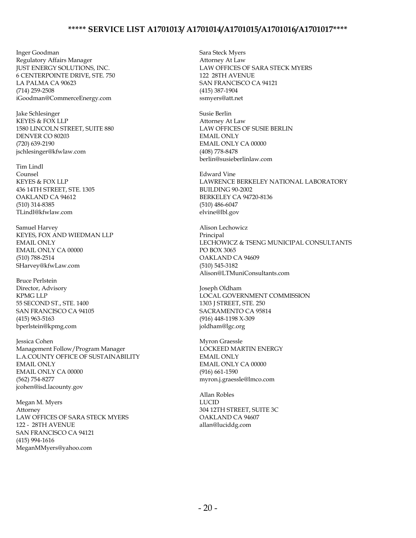Inger Goodman Regulatory Affairs Manager JUST ENERGY SOLUTIONS, INC. 6 CENTERPOINTE DRIVE, STE. 750 LA PALMA CA 90623 (714) 259-2508 iGoodman@CommerceEnergy.com

Jake Schlesinger KEYES & FOX LLP 1580 LINCOLN STREET, SUITE 880 DENVER CO 80203 (720) 639-2190 jschlesinger@kfwlaw.com

Tim Lindl Counsel KEYES & FOX LLP 436 14TH STREET, STE. 1305 OAKLAND CA 94612 (510) 314-8385 TLindl@kfwlaw.com

Samuel Harvey KEYES, FOX AND WIEDMAN LLP EMAIL ONLY EMAIL ONLY CA 00000 (510) 788-2514 SHarvey@kfwLaw.com

Bruce Perlstein Director, Advisory KPMG LLP 55 SECOND ST., STE. 1400 SAN FRANCISCO CA 94105 (415) 963-5163 bperlstein@kpmg.com

Jessica Cohen Management Follow/Program Manager L.A.COUNTY OFFICE OF SUSTAINABILITY EMAIL ONLY EMAIL ONLY CA 00000 (562) 754-8277 jcohen@isd.lacounty.gov

Megan M. Myers Attorney LAW OFFICES OF SARA STECK MYERS 122 - 28TH AVENUE SAN FRANCISCO CA 94121 (415) 994-1616 MeganMMyers@yahoo.com

Sara Steck Myers Attorney At Law LAW OFFICES OF SARA STECK MYERS 122 28TH AVENUE SAN FRANCISCO CA 94121 (415) 387-1904 ssmyers@att.net

Susie Berlin Attorney At Law LAW OFFICES OF SUSIE BERLIN EMAIL ONLY EMAIL ONLY CA 00000 (408) 778-8478 berlin@susieberlinlaw.com

Edward Vine LAWRENCE BERKELEY NATIONAL LABORATORY BUILDING 90-2002 BERKELEY CA 94720-8136 (510) 486-6047 elvine@lbl.gov

Alison Lechowicz Principal LECHOWICZ & TSENG MUNICIPAL CONSULTANTS PO BOX 3065 OAKLAND CA 94609 (510) 545-3182 Alison@LTMuniConsultants.com

Joseph Oldham LOCAL GOVERNMENT COMMISSION 1303 J STREET, STE. 250 SACRAMENTO CA 95814 (916) 448-1198 X-309 joldham@lgc.org

Myron Graessle LOCKEED MARTIN ENERGY EMAIL ONLY EMAIL ONLY CA 00000 (916) 661-1590 myron.j.graessle@lmco.com

Allan Robles LUCID 304 12TH STREET, SUITE 3C OAKLAND CA 94607 allan@luciddg.com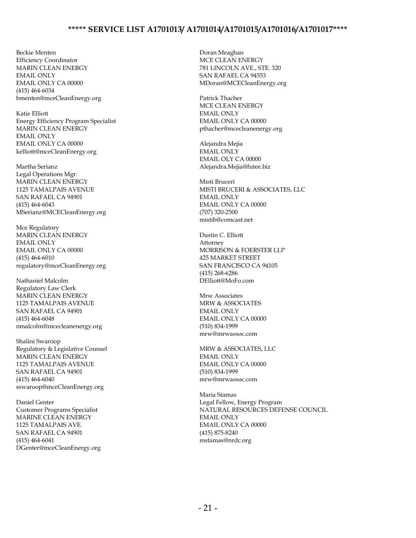Beckie Menten Efficiency Coordinator MARIN CLEAN ENERGY EMAIL ONLY EMAIL ONLY CA 00000 (415) 464-6034 bmenten@mceCleanEnergy.org

Katie Elliott Energy Efficiency Program Specialist MARIN CLEAN ENERGY EMAIL ONLY EMAIL ONLY CA 00000 kelliott@mceCleanEnergy.org

Martha Serianz Legal Operations Mgr. MARIN CLEAN ENERGY 1125 TAMALPAIS AVENUE SAN RAFAEL CA 94901 (415) 464-6043 MSerianz@MCECleanEnergy.org

Mce Regulatory MARIN CLEAN ENERGY EMAIL ONLY EMAIL ONLY CA 00000 (415) 464-6010 regulatory@mceCleanEnergy.org

Nathaniel Malcolm Regulatory Law Clerk MARIN CLEAN ENERGY 1125 TAMALPAIS AVENUE SAN RAFAEL CA 94901 (415) 464-6048 nmalcolm@mcecleanenergy.org

Shalini Swaroop Regulatory & Legislative Counsel MARIN CLEAN ENERGY 1125 TAMALPAIS AVENUE SAN RAFAEL CA 94901 (415) 464-6040 sswaroop@mceCleanEnergy.org

Daniel Genter Customer Programs Specialist MARINE CLEAN ENERGY 1125 TAMALPAIS AVE. SAN RAFAEL CA 94901 (415) 464-6041 DGenter@mceCleanEnergy.org Doran Meaghan MCE CLEAN ENERGY 781 LINCOLN AVE., STE. 320 SAN RAFAEL CA 94553 MDoran@MCECleanEnergy.org

Patrick Thacher MCE CLEAN ENERGY EMAIL ONLY EMAIL ONLY CA 00000 pthacher@mcecleanenergy.org

Alejandra Mejia EMAIL ONLY EMAIL OLY CA 00000 Alejandra.Mejia@futee.biz

Misti Bruceri MISTI BRUCERI & ASSOCIATES, LLC EMAIL ONLY EMAIL ONLY CA 00000 (707) 320-2500 mistib@comcast.net

Dustin C. Elliott Attorney MORRISON & FOERSTER LLP 425 MARKET STREET SAN FRANCISCO CA 94105 (415) 268-6286 DElliott@MoFo.com

Mrw Associates MRW & ASSOCIATES EMAIL ONLY EMAIL ONLY CA 00000 (510) 834-1999 mrw@mrwassoc.com

MRW & ASSOCIATES, LLC EMAIL ONLY EMAIL ONLY CA 00000 (510) 834-1999 mrw@mrwassoc.com

Maria Stamas Legal Fellow, Energy Program NATURAL RESOURCES DEFENSE COUNCIL EMAIL ONLY EMAIL ONLY CA 00000 (415) 875-8240 mstamas@nrdc.org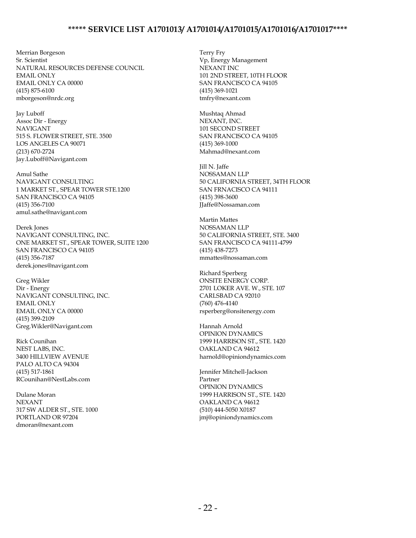Merrian Borgeson Sr. Scientist NATURAL RESOURCES DEFENSE COUNCIL EMAIL ONLY EMAIL ONLY CA 00000 (415) 875-6100 mborgeson@nrdc.org

Jay Luboff Assoc Dir - Energy NAVIGANT 515 S. FLOWER STREET, STE. 3500 LOS ANGELES CA 90071 (213) 670-2724 Jay.Luboff@Navigant.com

Amul Sathe NAVIGANT CONSULTING 1 MARKET ST., SPEAR TOWER STE.1200 SAN FRANCISCO CA 94105 (415) 356-7100 amul.sathe@navigant.com

Derek Jones NAVIGANT CONSULTING, INC. ONE MARKET ST., SPEAR TOWER, SUITE 1200 SAN FRANCISCO CA 94105 (415) 356-7187 derek.jones@navigant.com

Greg Wikler Dir - Energy NAVIGANT CONSULTING, INC. EMAIL ONLY EMAIL ONLY CA 00000 (415) 399-2109 Greg.Wikler@Navigant.com

Rick Counihan NEST LABS, INC. 3400 HILLVIEW AVENUE PALO ALTO CA 94304 (415) 517-1861 RCounihan@NestLabs.com

Dulane Moran NEXANT 317 SW ALDER ST., STE. 1000 PORTLAND OR 97204 dmoran@nexant.com

Terry Fry Vp, Energy Management NEXANT INC 101 2ND STREET, 10TH FLOOR SAN FRANCISCO CA 94105 (415) 369-1021 tmfry@nexant.com

Mushtaq Ahmad NEXANT, INC. 101 SECOND STREET SAN FRANCISCO CA 94105 (415) 369-1000 Mahmad@nexant.com

Jill N. Jaffe NOSSAMAN LLP 50 CALIFORNIA STREET, 34TH FLOOR SAN FRNACISCO CA 94111 (415) 398-3600 JJaffe@Nossaman.com

Martin Mattes NOSSAMAN LLP 50 CALIFORNIA STREET, STE. 3400 SAN FRANCISCO CA 94111-4799 (415) 438-7273 mmattes@nossaman.com

Richard Sperberg ONSITE ENERGY CORP. 2701 LOKER AVE. W., STE. 107 CARLSBAD CA 92010 (760) 476-4140 rsperberg@onsitenergy.com

Hannah Arnold OPINION DYNAMICS 1999 HARRISON ST., STE. 1420 OAKLAND CA 94612 harnold@opiniondynamics.com

Jennifer Mitchell-Jackson Partner OPINION DYNAMICS 1999 HARRISON ST., STE. 1420 OAKLAND CA 94612 (510) 444-5050 X0187 jmj@opiniondynamics.com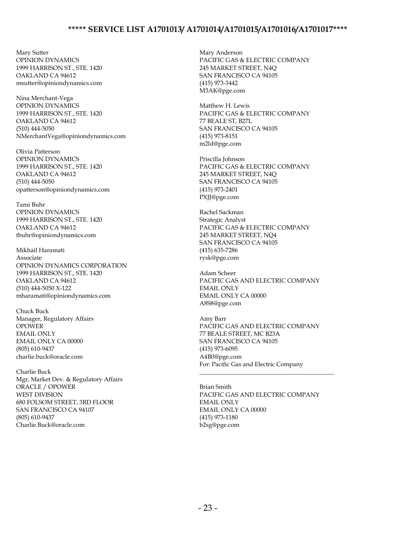Mary Sutter OPINION DYNAMICS 1999 HARRISON ST., STE. 1420 OAKLAND CA 94612 msutter@opiniondynamics.com

Nina Merchant-Vega OPINION DYNAMICS 1999 HARRISON ST., STE. 1420 OAKLAND CA 94612 (510) 444-5050 NMerchantVega@opiniondynamics.com

Olivia Patterson OPINION DYNAMICS 1999 HARRISON ST., STE. 1420 OAKLAND CA 94612 (510) 444-5050 opatterson@opiniondynamics.com

Tami Buhr OPINION DYNAMICS 1999 HARRISON ST., STE. 1420 OAKLAND CA 94612 tbuhr@opiniondynamics.com

Mikhail Haramati Associate OPINION DYNAMICS CORPORATION 1999 HARRISON ST., STE. 1420 OAKLAND CA 94612 (510) 444-5050 X-122 mharamati@opiniondynamics.com

Chuck Buck Manager, Regulatory Affairs OPOWER EMAIL ONLY EMAIL ONLY CA 00000 (805) 610-9437 charlie.buck@oracle.com

Charlie Buck Mgr, Market Dev. & Regulatory Affairs ORACLE / OPOWER WEST DIVISION 680 FOLSOM STREET, 3RD FLOOR SAN FRANCISCO CA 94107 (805) 610-9437 Charlie.Buck@oracle.com

Mary Anderson PACIFIC GAS & ELECTRIC COMPANY 245 MARKET STREET, N4Q SAN FRANCISCO CA 94105 (415) 973-3442 M3AK@pge.com

Matthew H. Lewis PACIFIC GAS & ELECTRIC COMPANY 77 BEALE ST, B27L SAN FRANCISCO CA 94105 (415) 973-8151 m2ld@pge.com

Priscilla Johnson PACIFIC GAS & ELECTRIC COMPANY 245 MARKET STREET, N4Q SAN FRANCISCO CA 94105 (415) 973-2401 PXJJ@pge.com

Rachel Sackman Strategic Analyst PACIFIC GAS & ELECTRIC COMPANY 245 MARKET STREET, NQ4 SAN FRANCISCO CA 94105 (415) 635-7286 rysk@pge.com

Adam Scheer PACIFIC GAS AND ELECTRIC COMPANY EMAIL ONLY EMAIL ONLY CA 00000 A8S8@pge.com

Amy Barr PACIFIC GAS AND ELECTRIC COMPANY 77 BEALE STREET, MC B23A SAN FRANCISCO CA 94105 (415) 973-6095 A4B0@pge.com For: Pacific Gas and Electric Company

\_\_\_\_\_\_\_\_\_\_\_\_\_\_\_\_\_\_\_\_\_\_\_\_\_\_\_\_\_\_\_\_\_\_\_\_\_\_\_\_\_\_\_\_

Brian Smith PACIFIC GAS AND ELECTRIC COMPANY EMAIL ONLY EMAIL ONLY CA 00000 (415) 973-1180 b2sg@pge.com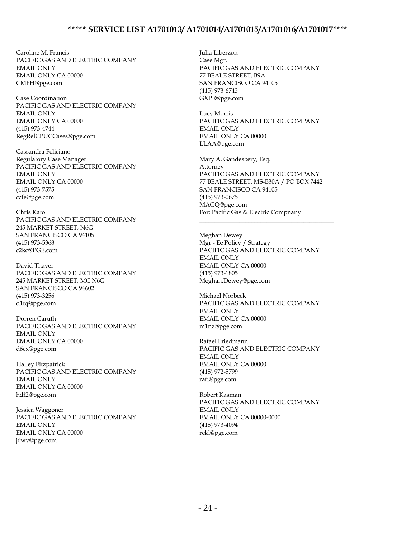Caroline M. Francis PACIFIC GAS AND ELECTRIC COMPANY EMAIL ONLY EMAIL ONLY CA 00000 CMFH@pge.com

Case Coordination PACIFIC GAS AND ELECTRIC COMPANY EMAIL ONLY EMAIL ONLY CA 00000 (415) 973-4744 RegRelCPUCCases@pge.com

Cassandra Feliciano Regulatory Case Manager PACIFIC GAS AND ELECTRIC COMPANY EMAIL ONLY EMAIL ONLY CA 00000 (415) 973-7575 ccfe@pge.com

Chris Kato PACIFIC GAS AND ELECTRIC COMPANY 245 MARKET STREET, N6G SAN FRANCISCO CA 94105 (415) 973-5368 c2kc@PGE.com

David Thayer PACIFIC GAS AND ELECTRIC COMPANY 245 MARKET STREET, MC N6G SAN FRANCISCO CA 94602 (415) 973-3256 d1tq@pge.com

Dorren Caruth PACIFIC GAS AND ELECTRIC COMPANY EMAIL ONLY EMAIL ONLY CA 00000 d6cx@pge.com

Halley Fitzpatrick PACIFIC GAS AND ELECTRIC COMPANY EMAIL ONLY EMAIL ONLY CA 00000 hdf2@pge.com

Jessica Waggoner PACIFIC GAS AND ELECTRIC COMPANY EMAIL ONLY EMAIL ONLY CA 00000 j6wv@pge.com

Julia Liberzon Case Mgr. PACIFIC GAS AND ELECTRIC COMPANY 77 BEALE STREET, B9A SAN FRANCISCO CA 94105 (415) 973-6743 GXPR@pge.com

Lucy Morris PACIFIC GAS AND ELECTRIC COMPANY EMAIL ONLY EMAIL ONLY CA 00000 LLAA@pge.com

Mary A. Gandesbery, Esq. Attorney PACIFIC GAS AND ELECTRIC COMPANY 77 BEALE STREET, MS-B30A / PO BOX 7442 SAN FRANCISCO CA 94105 (415) 973-0675 MAGQ@pge.com For: Pacific Gas & Electric Compnany

\_\_\_\_\_\_\_\_\_\_\_\_\_\_\_\_\_\_\_\_\_\_\_\_\_\_\_\_\_\_\_\_\_\_\_\_\_\_\_\_\_\_\_\_

Meghan Dewey Mgr - Ee Policy / Strategy PACIFIC GAS AND ELECTRIC COMPANY EMAIL ONLY EMAIL ONLY CA 00000 (415) 973-1805 Meghan.Dewey@pge.com

Michael Norbeck PACIFIC GAS AND ELECTRIC COMPANY EMAIL ONLY EMAIL ONLY CA 00000 m1nz@pge.com

Rafael Friedmann PACIFIC GAS AND ELECTRIC COMPANY EMAIL ONLY EMAIL ONLY CA 00000 (415) 972-5799 rafi@pge.com

Robert Kasman PACIFIC GAS AND ELECTRIC COMPANY EMAIL ONLY EMAIL ONLY CA 00000-0000 (415) 973-4094 rekl@pge.com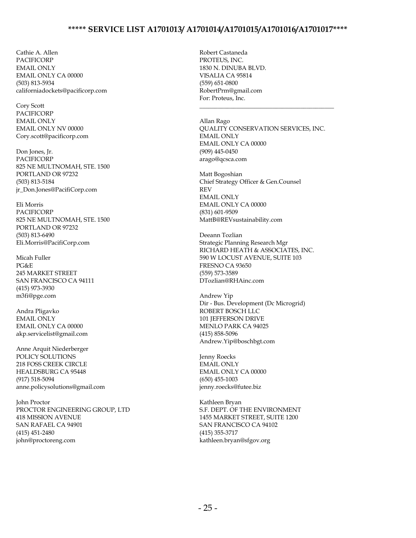Cathie A. Allen PACIFICORP EMAIL ONLY EMAIL ONLY CA 00000 (503) 813-5934 californiadockets@pacificorp.com

Cory Scott PACIFICORP EMAIL ONLY EMAIL ONLY NV 00000 Cory.scott@pacificorp.com

Don Jones, Jr. PACIFICORP 825 NE MULTNOMAH, STE. 1500 PORTLAND OR 97232 (503) 813-5184 jr\_Don.Jones@PacifiCorp.com

Eli Morris PACIFICORP 825 NE MULTNOMAH, STE. 1500 PORTLAND OR 97232 (503) 813-6490 Eli.Morris@PacifiCorp.com

Micah Fuller PG&E 245 MARKET STREET SAN FRANCISCO CA 94111 (415) 973-3930 m3fi@pge.com

Andra Pligavko EMAIL ONLY EMAIL ONLY CA 00000 akp.servicelist@gmail.com

Anne Arquit Niederberger POLICY SOLUTIONS 218 FOSS CREEK CIRCLE HEALDSBURG CA 95448 (917) 518-5094 anne.policysolutions@gmail.com

John Proctor PROCTOR ENGINEERING GROUP, LTD 418 MISSION AVENUE SAN RAFAEL CA 94901 (415) 451-2480 john@proctoreng.com

Robert Castaneda PROTEUS, INC. 1830 N. DINUBA BLVD. VISALIA CA 95814 (559) 651-0800 RobertPrm@gmail.com For: Proteus, Inc.

Allan Rago QUALITY CONSERVATION SERVICES, INC. EMAIL ONLY EMAIL ONLY CA 00000 (909) 445-0450 arago@qcsca.com

\_\_\_\_\_\_\_\_\_\_\_\_\_\_\_\_\_\_\_\_\_\_\_\_\_\_\_\_\_\_\_\_\_\_\_\_\_\_\_\_\_\_\_\_

Matt Bogoshian Chief Strategy Officer & Gen.Counsel REV EMAIL ONLY EMAIL ONLY CA 00000 (831) 601-9509 MattB@REVsustainability.com

Deeann Tozlian Strategic Planning Research Mgr RICHARD HEATH & ASSOCIATES, INC. 590 W LOCUST AVENUE, SUITE 103 FRESNO CA 93650 (559) 573-3589 DTozlian@RHAinc.com

Andrew Yip Dir - Bus. Development (Dc Microgrid) ROBERT BOSCH LLC 101 JEFFERSON DRIVE MENLO PARK CA 94025 (415) 858-5096 Andrew.Yip@boschbgt.com

Jenny Roecks EMAIL ONLY EMAIL ONLY CA 00000 (650) 455-1003 jenny.roecks@futee.biz

Kathleen Bryan S.F. DEPT. OF THE ENVIRONMENT 1455 MARKET STREET, SUITE 1200 SAN FRANCISCO CA 94102 (415) 355-3717 kathleen.bryan@sfgov.org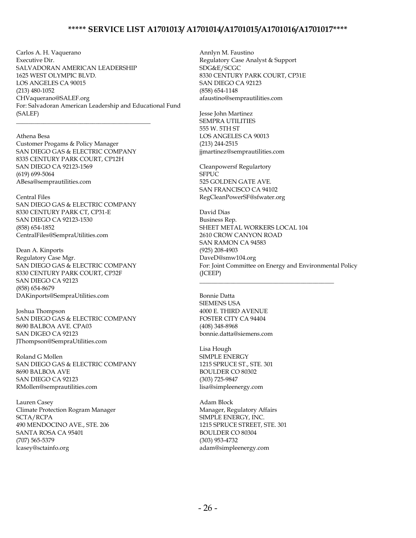Carlos A. H. Vaquerano Executive Dir. SALVADORAN AMERICAN LEADERSHIP 1625 WEST OLYMPIC BLVD. LOS ANGELES CA 90015 (213) 480-1052 CHVaquerano@SALEF.org For: Salvadoran American Leadership and Educational Fund (SALEF)

Athena Besa Customer Progams & Policy Manager SAN DIEGO GAS & ELECTRIC COMPANY 8335 CENTURY PARK COURT, CP12H SAN DIEGO CA 92123-1569 (619) 699-5064 ABesa@semprautilities.com

\_\_\_\_\_\_\_\_\_\_\_\_\_\_\_\_\_\_\_\_\_\_\_\_\_\_\_\_\_\_\_\_\_\_\_\_\_\_\_\_\_\_\_\_

Central Files SAN DIEGO GAS & ELECTRIC COMPANY 8330 CENTURY PARK CT, CP31-E SAN DIEGO CA 92123-1530 (858) 654-1852 CentralFiles@SempraUtilities.com

Dean A. Kinports Regulatory Case Mgr. SAN DIEGO GAS & ELECTRIC COMPANY 8330 CENTURY PARK COURT, CP32F SAN DIEGO CA 92123 (858) 654-8679 DAKinports@SempraUtilities.com

Joshua Thompson SAN DIEGO GAS & ELECTRIC COMPANY 8690 BALBOA AVE. CPA03 SAN DIGEO CA 92123 JThompson@SempraUtilities.com

Roland G Mollen SAN DIEGO GAS & ELECTRIC COMPANY 8690 BALBOA AVE SAN DIEGO CA 92123 RMollen@semprautilities.com

Lauren Casey Climate Protection Rogram Manager SCTA/RCPA 490 MENDOCINO AVE., STE. 206 SANTA ROSA CA 95401 (707) 565-5379 lcasey@sctainfo.org

Annlyn M. Faustino Regulatory Case Analyst & Support SDG&E/SCGC 8330 CENTURY PARK COURT, CP31E SAN DIEGO CA 92123 (858) 654-1148 afaustino@semprautilities.com

Jesse John Martinez SEMPRA UTILITIES 555 W. 5TH ST LOS ANGELES CA 90013 (213) 244-2515 jjmartinez@semprautilities.com

Cleanpowersf Regulartory SFPUC 525 GOLDEN GATE AVE. SAN FRANCISCO CA 94102 RegCleanPowerSF@sfwater.org

David Dias Business Rep. SHEET METAL WORKERS LOCAL 104 2610 CROW CANYON ROAD SAN RAMON CA 94583 (925) 208-4903 DaveD@smw104.org For: Joint Committee on Energy and Environmental Policy (JCEEP)

\_\_\_\_\_\_\_\_\_\_\_\_\_\_\_\_\_\_\_\_\_\_\_\_\_\_\_\_\_\_\_\_\_\_\_\_\_\_\_\_\_\_\_\_

Bonnie Datta SIEMENS USA 4000 E. THIRD AVENUE FOSTER CITY CA 94404 (408) 348-8968 bonnie.datta@siemens.com

Lisa Hough SIMPLE ENERGY 1215 SPRUCE ST., STE. 301 BOULDER CO 80302 (303) 725-9847 lisa@simpleenergy.com

Adam Block Manager, Regulatory Affairs SIMPLE ENERGY, INC. 1215 SPRUCE STREET, STE. 301 BOULDER CO 80304 (303) 953-4732 adam@simpleenergy.com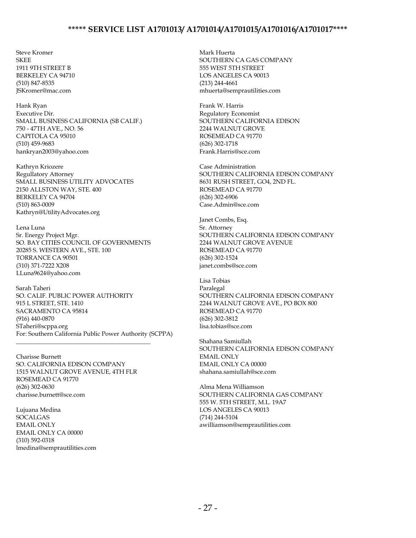Steve Kromer **SKEE** 1911 9TH STREET B BERKELEY CA 94710 (510) 847-8535 JSKromer@mac.com

Hank Ryan Executive Dir. SMALL BUSINESS CALIFORNIA (SB CALIF.) 750 - 47TH AVE., NO. 56 CAPITOLA CA 95010 (510) 459-9683 hankryan2003@yahoo.com

Kathryn Kriozere Regullatory Attorney SMALL BUSINESS UTILITY ADVOCATES 2150 ALLSTON WAY, STE. 400 BERKELEY CA 94704 (510) 863-0009 Kathryn@UtilityAdvocates.org

Lena Luna Sr. Energy Project Mgr. SO. BAY CITIES COUNCIL OF GOVERNMENTS 20285 S. WESTERN AVE., STE. 100 TORRANCE CA 90501 (310) 371-7222 X208 LLuna9624@yahoo.com

Sarah Taheri SO. CALIF. PUBLIC POWER AUTHORITY 915 L STREET, STE. 1410 SACRAMENTO CA 95814 (916) 440-0870 STaheri@scppa.org For: Southern California Public Power Authority (SCPPA) \_\_\_\_\_\_\_\_\_\_\_\_\_\_\_\_\_\_\_\_\_\_\_\_\_\_\_\_\_\_\_\_\_\_\_\_\_\_\_\_\_\_\_\_

Charisse Burnett SO. CALIFORNIA EDISON COMPANY 1515 WALNUT GROVE AVENUE, 4TH FLR ROSEMEAD CA 91770 (626) 302-0630 charisse.burnett@sce.com

Lujuana Medina SOCALGAS EMAIL ONLY EMAIL ONLY CA 00000 (310) 592-0318 lmedina@semprautilities.com

Mark Huerta SOUTHERN CA GAS COMPANY 555 WEST 5TH STREET LOS ANGELES CA 90013 (213) 244-4661 mhuerta@semprautilities.com

Frank W. Harris Regulatory Economist SOUTHERN CALIFORNIA EDISON 2244 WALNUT GROVE ROSEMEAD CA 91770 (626) 302-1718 Frank.Harris@sce.com

Case Administration SOUTHERN CALIFORNIA EDISON COMPANY 8631 RUSH STREET, GO4, 2ND FL. ROSEMEAD CA 91770 (626) 302-6906 Case.Admin@sce.com

Janet Combs, Esq. Sr. Attorney SOUTHERN CALIFORNIA EDISON COMPANY 2244 WALNUT GROVE AVENUE ROSEMEAD CA 91770 (626) 302-1524 janet.combs@sce.com

Lisa Tobias Paralegal SOUTHERN CALIFORNIA EDISON COMPANY 2244 WALNUT GROVE AVE., PO BOX 800 ROSEMEAD CA 91770 (626) 302-3812 lisa.tobias@sce.com

Shahana Samiullah SOUTHERN CALIFORNIA EDISON COMPANY EMAIL ONLY EMAIL ONLY CA 00000 shahana.samiullah@sce.com

Alma Mena Williamson SOUTHERN CALIFORNIA GAS COMPANY 555 W. 5TH STREET, M.L. 19A7 LOS ANGELES CA 90013 (714) 244-5104 awilliamson@semprautilities.com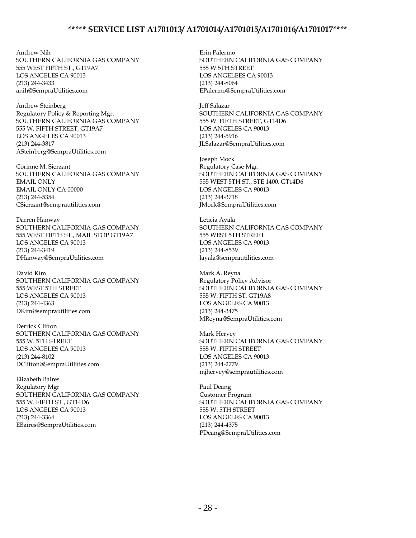Andrew Nih SOUTHERN CALIFORNIA GAS COMPANY 555 WEST FIFTH ST., GT19A7 LOS ANGELES CA 90013 (213) 244-3433 anih@SempraUtilities.com

Andrew Steinberg Regulatory Policy & Reporting Mgr. SOUTHERN CALIFORNIA GAS COMPANY 555 W. FIFTH STREET, GT19A7 LOS ANGELES CA 90013 (213) 244-3817 ASteinberg@SempraUtilities.com

Corinne M. Sierzant SOUTHERN CALIFORNIA GAS COMPANY EMAIL ONLY EMAIL ONLY CA 00000 (213) 244-5354 CSierzant@semprautilities.com

Darren Hanway SOUTHERN CALIFORNIA GAS COMPANY 555 WEST FIFTH ST., MAIL STOP GT19A7 LOS ANGELES CA 90013 (213) 244-3419 DHanway@SempraUtilities.com

David Kim SOUTHERN CALIFORNIA GAS COMPANY 555 WEST 5TH STREET LOS ANGELES CA 90013 (213) 244-4363 DKim@semprautilities.com

Derrick Clifton SOUTHERN CALIFORNIA GAS COMPANY 555 W. 5TH STREET LOS ANGELES CA 90013 (213) 244-8102 DClifton@SempraUtilities.com

Elizabeth Baires Regulatory Mgr SOUTHERN CALIFORNIA GAS COMPANY 555 W. FIFTH ST., GT14D6 LOS ANGELES CA 90013 (213) 244-3364 EBaires@SempraUtilities.com

Erin Palermo SOUTHERN CALIFORNIA GAS COMPANY 555 W 5TH STREET LOS ANGELEES CA 90013 (213) 244-8064 EPalermo@SempraUtilities.com

Jeff Salazar SOUTHERN CALIFORNIA GAS COMPANY 555 W. FIFTH STREET, GT14D6 LOS ANGELES CA 90013 (213) 244-5916 JLSalazar@SempraUtilities.com

Joseph Mock Regulatory Case Mgr. SOUTHERN CALIFORNIA GAS COMPANY 555 WEST 5TH ST., STE 1400, GT14D6 LOS ANGELES CA 90013 (213) 244-3718 JMock@SempraUtilities.com

Leticia Ayala SOUTHERN CALIFORNIA GAS COMPANY 555 WEST 5TH STREET LOS ANGELES CA 90013 (213) 244-8539 layala@semprautilities.com

Mark A. Reyna Regulatory Policy Advisor SOUTHERN CALIFORNIA GAS COMPANY 555 W. FIFTH ST. GT19A8 LOS ANGELES CA 90013 (213) 244-3475 MReyna@SempraUtilities.com

Mark Hervey SOUTHERN CALIFORNIA GAS COMPANY 555 W. FIFTH STREET LOS ANGELES CA 90013 (213) 244-2779 mjhervey@semprautilities.com

Paul Deang Customer Program SOUTHERN CALIFORNIA GAS COMPANY 555 W. 5TH STREET LOS ANGELES CA 90013 (213) 244-4375 PDeang@SempraUtilities.com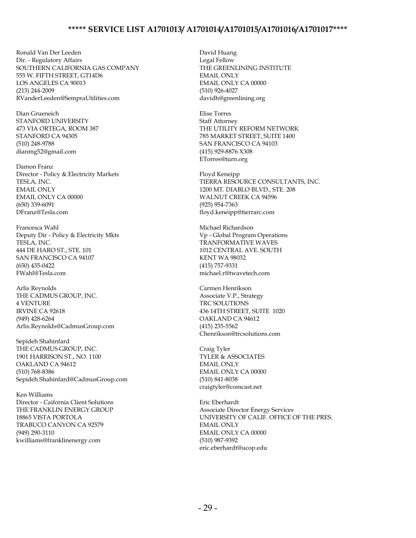Ronald Van Der Leeden Dir. - Regulatory Affairs SOUTHERN CALIFORNIA GAS COMPANY 555 W. FIFTH STREET, GT14D6 LOS ANGELES CA 90013 (213) 244-2009 RVanderLeeden@SempraUtilities.com

Dian Grueneich STANFORD UNIVERSITY 473 VIA ORTEGA, ROOM 387 STANFORD CA 94305 (510) 248-9788 dianmg52@gmail.com

Damon Franz Director - Policy & Electricity Markets TESLA, INC. EMAIL ONLY EMAIL ONLY CA 00000 (650) 339-6091 DFranz@Tesla.com

Francesca Wahl Deputy Dir - Policy & Electricity Mkts TESLA, INC. 444 DE HARO ST., STE. 101 SAN FRANCISCO CA 94107 (650) 435-0422 FWahl@Tesla.com

Arlis Reynolds THE CADMUS GROUP, INC. 4 VENTURE IRVINE CA 92618 (949) 428-6264 Arlis.Reynolds@CadmusGroup.com

Sepideh Shahinfard THE CADMUS GROUP, INC. 1901 HARRISON ST., NO. 1100 OAKLAND CA 94612 (510) 768-8386 Sepideh.Shahinfard@CadmusGroup.com

Ken Williams Director - Caifornia Client Solutions THE FRANKLIN ENERGY GROUP 18865 VISTA PORTOLA TRABUCO CANYON CA 92579 (949) 290-3110 kwilliams@franklinenergy.com

David Huang Legal Fellow THE GREENLINING INSTITUTE EMAIL ONLY EMAIL ONLY CA 00000 (510) 926-4027 davidh@greenlining.org

Elise Torres Staff Attorney THE UTILITY REFORM NETWORK 785 MARKET STREET, SUITE 1400 SAN FRANCISCO CA 94103 (415) 929-8876 X308 ETorres@turn.org

Floyd Keneipp TIERRA RESOURCE CONSULTANTS, INC. 1200 MT. DIABLO BLVD., STE. 208 WALNUT CREEK CA 94596 (925) 954-7363 floyd.keneipp@tierrarc.com

Michael Richardson Vp - Global Program Operations TRANFORMATIVE WAVES 1012 CENTRAL AVE. SOUTH KENT WA 98032 (415) 757-9331 michael.r@twavetech.com

Carmen Henrikson Associate V.P., Strategy TRC SOLUTIONS 436 14TH STREET, SUITE 1020 OAKLAND CA 94612 (415) 235-5562 Chenrikson@trcsolutions.com

Craig Tyler TYLER & ASSOCIATES EMAIL ONLY EMAIL ONLY CA 00000 (510) 841-8038 craigtyler@comcast.net

Eric Eberhardt Associate Director Energy Services UNIVERSITY OF CALIF. OFFICE OF THE PRES. EMAIL ONLY EMAIL ONLY CA 00000 (510) 987-9392 eric.eberhardt@ucop.edu